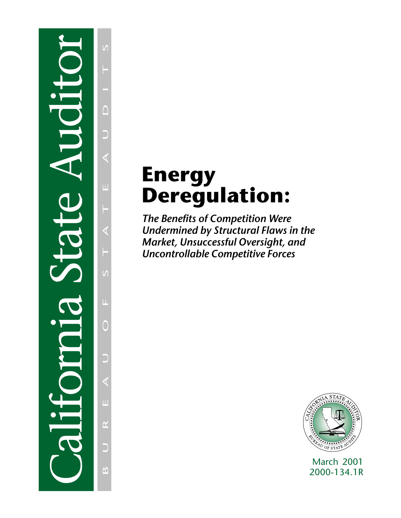# California State Auditor

 $\sqrt{ }$ BUREAU OF STATE AUDITS F  $\cap$  $\bar{\mathbf{L}}$ ◁  $\mathcal{U}$  $\bar{\mathbf{L}}$  $\bigcirc$ D  $\mathbf{H}$  $\overline{\mathbf{r}}$ D  $\Delta$ 

# **Energy Deregulation:**

*The Benefits of Competition Were Undermined by Structural Flaws in the Market, Unsuccessful Oversight, and Uncontrollable Competitive Forces*



March 2001 2000-134.1R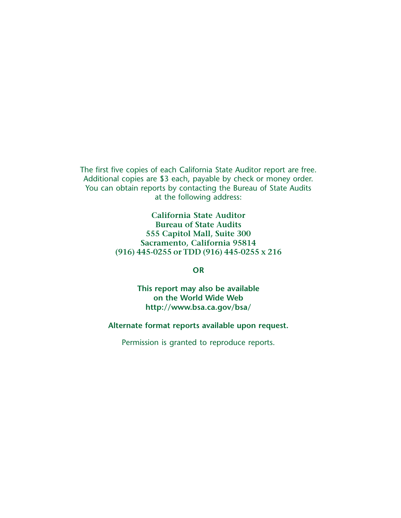The first five copies of each California State Auditor report are free. Additional copies are \$3 each, payable by check or money order. You can obtain reports by contacting the Bureau of State Audits at the following address:

> **California State Auditor Bureau of State Audits 555 Capitol Mall, Suite 300 Sacramento, California 95814 (916) 445-0255 or TDD (916) 445-0255 x 216**

> > **OR**

**This report may also be available on the World Wide Web http://www.bsa.ca.gov/bsa/**

**Alternate format reports available upon request.**

Permission is granted to reproduce reports.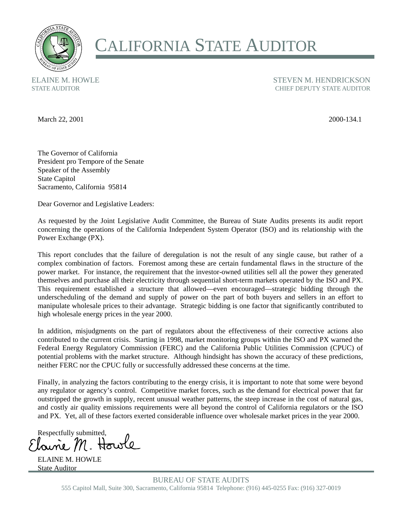

# CALIFORNIA STATE AUDITOR

ELAINE M. HOWLE STATE AUDITOR

STEVEN M. HENDRICKSON CHIEF DEPUTY STATE AUDITOR

March 22, 2001 2000-134.1

The Governor of California President pro Tempore of the Senate Speaker of the Assembly State Capitol Sacramento, California 95814

Dear Governor and Legislative Leaders:

As requested by the Joint Legislative Audit Committee, the Bureau of State Audits presents its audit report concerning the operations of the California Independent System Operator (ISO) and its relationship with the Power Exchange (PX).

This report concludes that the failure of deregulation is not the result of any single cause, but rather of a complex combination of factors. Foremost among these are certain fundamental flaws in the structure of the power market. For instance, the requirement that the investor-owned utilities sell all the power they generated themselves and purchase all their electricity through sequential short-term markets operated by the ISO and PX. This requirement established a structure that allowed—even encouraged—strategic bidding through the underscheduling of the demand and supply of power on the part of both buyers and sellers in an effort to manipulate wholesale prices to their advantage. Strategic bidding is one factor that significantly contributed to high wholesale energy prices in the year 2000.

In addition, misjudgments on the part of regulators about the effectiveness of their corrective actions also contributed to the current crisis. Starting in 1998, market monitoring groups within the ISO and PX warned the Federal Energy Regulatory Commission (FERC) and the California Public Utilities Commission (CPUC) of potential problems with the market structure. Although hindsight has shown the accuracy of these predictions, neither FERC nor the CPUC fully or successfully addressed these concerns at the time.

Finally, in analyzing the factors contributing to the energy crisis, it is important to note that some were beyond any regulator or agency's control. Competitive market forces, such as the demand for electrical power that far outstripped the growth in supply, recent unusual weather patterns, the steep increase in the cost of natural gas, and costly air quality emissions requirements were all beyond the control of California regulators or the ISO and PX. Yet, all of these factors exerted considerable influence over wholesale market prices in the year 2000.

Respectfully submitted,

ELAINE M. HOWLE State Auditor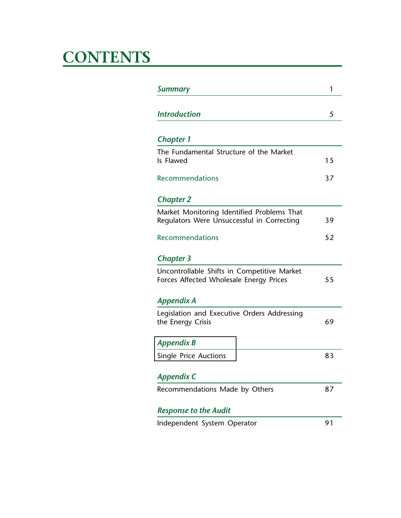# **CONTENTS**

| <b>Summary</b>                                                                           | 1   |
|------------------------------------------------------------------------------------------|-----|
| <b>Introduction</b>                                                                      | 5   |
| <b>Chapter 1</b>                                                                         |     |
| The Fundamental Structure of the Market<br>Is Flawed                                     | 1.5 |
| Recommendations                                                                          | 37  |
| <b>Chapter 2</b>                                                                         |     |
| Market Monitoring Identified Problems That<br>Regulators Were Unsuccessful in Correcting | 39  |
| <b>Recommendations</b>                                                                   | 52  |
| <b>Chapter 3</b>                                                                         |     |
| Uncontrollable Shifts in Competitive Market<br>Forces Affected Wholesale Energy Prices   | 55  |
| Appendix A                                                                               |     |
| Legislation and Executive Orders Addressing<br>the Energy Crisis                         | 69  |
| <b>Appendix B</b>                                                                        |     |
| Single Price Auctions                                                                    | 83  |
| Appendix C                                                                               |     |
| Recommendations Made by Others                                                           | 87  |
| <b>Response to the Audit</b>                                                             |     |
| Independent System Operator                                                              | 91  |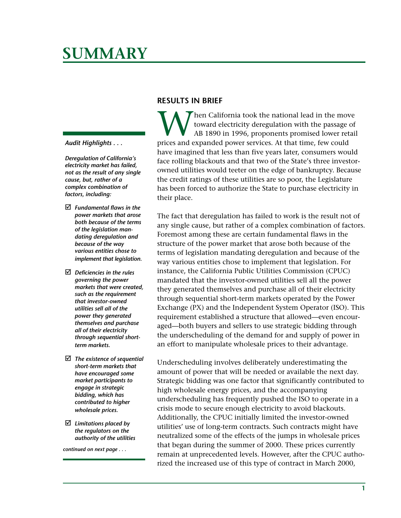# <span id="page-4-0"></span>**SUMMARY**

### *Audit Highlights . . .*

*Deregulation of California's electricity market has failed, not as the result of any single cause, but, rather of a complex combination of factors, including:*

- *Fundamental flaws in the power markets that arose both because of the terms of the legislation mandating deregulation and because of the way various entities chose to implement that legislation.*
- *Deficiencies in the rules governing the power markets that were created, such as the requirement that investor-owned utilities sell all of the power they generated themselves and purchase all of their electricity through sequential shortterm markets.*
- *The existence of sequential short-term markets that have encouraged some market participants to engage in strategic bidding, which has contributed to higher wholesale prices.*
- *Limitations placed by the regulators on the authority of the utilities*

*continued on next page . . .*

### **RESULTS IN BRIEF**

When California took the national lead in the move<br>toward electricity deregulation with the passage of<br>AB 1890 in 1996, proponents promised lower retain<br>prices and expanded nower services. At that time, few could toward electricity deregulation with the passage of AB 1890 in 1996, proponents promised lower retail prices and expanded power services. At that time, few could have imagined that less than five years later, consumers would face rolling blackouts and that two of the State's three investorowned utilities would teeter on the edge of bankruptcy. Because the credit ratings of these utilities are so poor, the Legislature has been forced to authorize the State to purchase electricity in their place.

The fact that deregulation has failed to work is the result not of any single cause, but rather of a complex combination of factors. Foremost among these are certain fundamental flaws in the structure of the power market that arose both because of the terms of legislation mandating deregulation and because of the way various entities chose to implement that legislation. For instance, the California Public Utilities Commission (CPUC) mandated that the investor-owned utilities sell all the power they generated themselves and purchase all of their electricity through sequential short-term markets operated by the Power Exchange (PX) and the Independent System Operator (ISO). This requirement established a structure that allowed—even encouraged—both buyers and sellers to use strategic bidding through the underscheduling of the demand for and supply of power in an effort to manipulate wholesale prices to their advantage.

Underscheduling involves deliberately underestimating the amount of power that will be needed or available the next day. Strategic bidding was one factor that significantly contributed to high wholesale energy prices, and the accompanying underscheduling has frequently pushed the ISO to operate in a crisis mode to secure enough electricity to avoid blackouts. Additionally, the CPUC initially limited the investor-owned utilities' use of long-term contracts. Such contracts might have neutralized some of the effects of the jumps in wholesale prices that began during the summer of 2000. These prices currently remain at unprecedented levels. However, after the CPUC authorized the increased use of this type of contract in March 2000,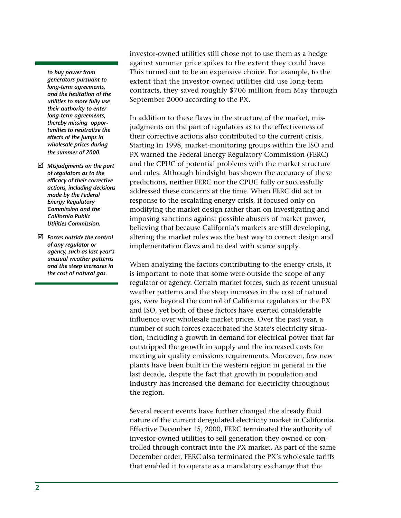*to buy power from generators pursuant to long-term agreements, and the hesitation of the utilities to more fully use their authority to enter long-term agreements, thereby missing opportunities to neutralize the effects of the jumps in wholesale prices during the summer of 2000.*

- *Misjudgments on the part of regulators as to the efficacy of their corrective actions, including decisions made by the Federal Energy Regulatory Commission and the California Public Utilities Commission.*
- *Forces outside the control of any regulator or agency, such as last year's unusual weather patterns and the steep increases in the cost of natural gas.*

investor-owned utilities still chose not to use them as a hedge against summer price spikes to the extent they could have. This turned out to be an expensive choice. For example, to the extent that the investor-owned utilities did use long-term contracts, they saved roughly \$706 million from May through September 2000 according to the PX.

In addition to these flaws in the structure of the market, misjudgments on the part of regulators as to the effectiveness of their corrective actions also contributed to the current crisis. Starting in 1998, market-monitoring groups within the ISO and PX warned the Federal Energy Regulatory Commission (FERC) and the CPUC of potential problems with the market structure and rules. Although hindsight has shown the accuracy of these predictions, neither FERC nor the CPUC fully or successfully addressed these concerns at the time. When FERC did act in response to the escalating energy crisis, it focused only on modifying the market design rather than on investigating and imposing sanctions against possible abusers of market power, believing that because California's markets are still developing, altering the market rules was the best way to correct design and implementation flaws and to deal with scarce supply.

When analyzing the factors contributing to the energy crisis, it is important to note that some were outside the scope of any regulator or agency. Certain market forces, such as recent unusual weather patterns and the steep increases in the cost of natural gas, were beyond the control of California regulators or the PX and ISO, yet both of these factors have exerted considerable influence over wholesale market prices. Over the past year, a number of such forces exacerbated the State's electricity situation, including a growth in demand for electrical power that far outstripped the growth in supply and the increased costs for meeting air quality emissions requirements. Moreover, few new plants have been built in the western region in general in the last decade, despite the fact that growth in population and industry has increased the demand for electricity throughout the region.

Several recent events have further changed the already fluid nature of the current deregulated electricity market in California. Effective December 15, 2000, FERC terminated the authority of investor-owned utilities to sell generation they owned or controlled through contract into the PX market. As part of the same December order, FERC also terminated the PX's wholesale tariffs that enabled it to operate as a mandatory exchange that the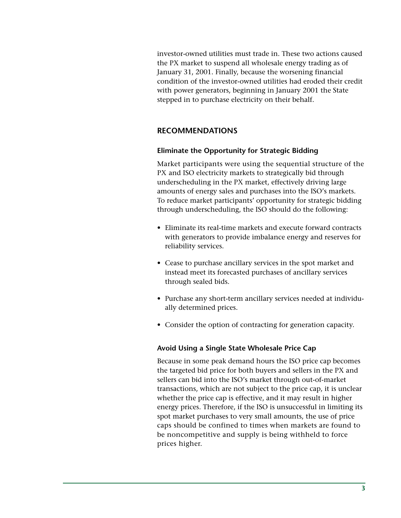investor-owned utilities must trade in. These two actions caused the PX market to suspend all wholesale energy trading as of January 31, 2001. Finally, because the worsening financial condition of the investor-owned utilities had eroded their credit with power generators, beginning in January 2001 the State stepped in to purchase electricity on their behalf.

# **RECOMMENDATIONS**

# **Eliminate the Opportunity for Strategic Bidding**

Market participants were using the sequential structure of the PX and ISO electricity markets to strategically bid through underscheduling in the PX market, effectively driving large amounts of energy sales and purchases into the ISO's markets. To reduce market participants' opportunity for strategic bidding through underscheduling, the ISO should do the following:

- Eliminate its real-time markets and execute forward contracts with generators to provide imbalance energy and reserves for reliability services.
- Cease to purchase ancillary services in the spot market and instead meet its forecasted purchases of ancillary services through sealed bids.
- Purchase any short-term ancillary services needed at individually determined prices.
- Consider the option of contracting for generation capacity.

# **Avoid Using a Single State Wholesale Price Cap**

Because in some peak demand hours the ISO price cap becomes the targeted bid price for both buyers and sellers in the PX and sellers can bid into the ISO's market through out-of-market transactions, which are not subject to the price cap, it is unclear whether the price cap is effective, and it may result in higher energy prices. Therefore, if the ISO is unsuccessful in limiting its spot market purchases to very small amounts, the use of price caps should be confined to times when markets are found to be noncompetitive and supply is being withheld to force prices higher.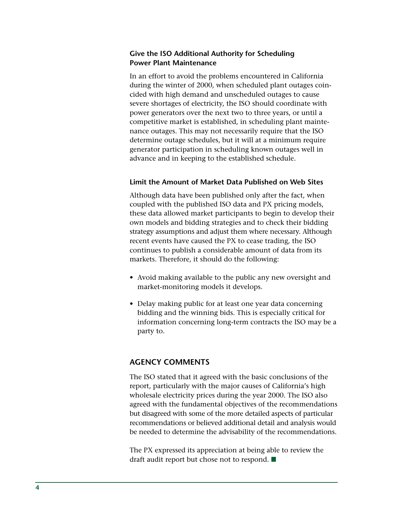# **Give the ISO Additional Authority for Scheduling Power Plant Maintenance**

In an effort to avoid the problems encountered in California during the winter of 2000, when scheduled plant outages coincided with high demand and unscheduled outages to cause severe shortages of electricity, the ISO should coordinate with power generators over the next two to three years, or until a competitive market is established, in scheduling plant maintenance outages. This may not necessarily require that the ISO determine outage schedules, but it will at a minimum require generator participation in scheduling known outages well in advance and in keeping to the established schedule.

# **Limit the Amount of Market Data Published on Web Sites**

Although data have been published only after the fact, when coupled with the published ISO data and PX pricing models, these data allowed market participants to begin to develop their own models and bidding strategies and to check their bidding strategy assumptions and adjust them where necessary. Although recent events have caused the PX to cease trading, the ISO continues to publish a considerable amount of data from its markets. Therefore, it should do the following:

- Avoid making available to the public any new oversight and market-monitoring models it develops.
- Delay making public for at least one year data concerning bidding and the winning bids. This is especially critical for information concerning long-term contracts the ISO may be a party to.

# **AGENCY COMMENTS**

The ISO stated that it agreed with the basic conclusions of the report, particularly with the major causes of California's high wholesale electricity prices during the year 2000. The ISO also agreed with the fundamental objectives of the recommendations but disagreed with some of the more detailed aspects of particular recommendations or believed additional detail and analysis would be needed to determine the advisability of the recommendations.

The PX expressed its appreciation at being able to review the draft audit report but chose not to respond.  $\blacksquare$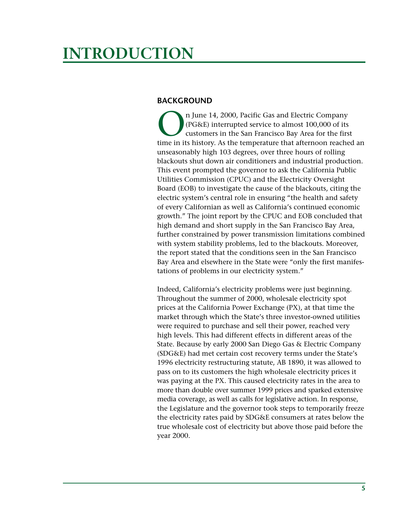# <span id="page-8-0"></span>**INTRODUCTION**

# **BACKGROUND**

n June 14, 2000, Pacific Gas and Electric Company (PG&E) interrupted service to almost 100,000 of its customers in the San Francisco Bay Area for the first time in its history. As the temperature that afternoon reached an unseasonably high 103 degrees, over three hours of rolling blackouts shut down air conditioners and industrial production. This event prompted the governor to ask the California Public Utilities Commission (CPUC) and the Electricity Oversight Board (EOB) to investigate the cause of the blackouts, citing the electric system's central role in ensuring "the health and safety of every Californian as well as California's continued economic growth." The joint report by the CPUC and EOB concluded that high demand and short supply in the San Francisco Bay Area, further constrained by power transmission limitations combined with system stability problems, led to the blackouts. Moreover, the report stated that the conditions seen in the San Francisco Bay Area and elsewhere in the State were "only the first manifestations of problems in our electricity system."

Indeed, California's electricity problems were just beginning. Throughout the summer of 2000, wholesale electricity spot prices at the California Power Exchange (PX), at that time the market through which the State's three investor-owned utilities were required to purchase and sell their power, reached very high levels. This had different effects in different areas of the State. Because by early 2000 San Diego Gas & Electric Company (SDG&E) had met certain cost recovery terms under the State's 1996 electricity restructuring statute, AB 1890, it was allowed to pass on to its customers the high wholesale electricity prices it was paying at the PX. This caused electricity rates in the area to more than double over summer 1999 prices and sparked extensive media coverage, as well as calls for legislative action. In response, the Legislature and the governor took steps to temporarily freeze the electricity rates paid by SDG&E consumers at rates below the true wholesale cost of electricity but above those paid before the year 2000.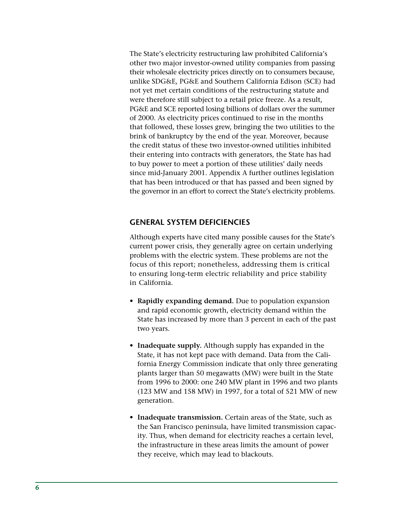The State's electricity restructuring law prohibited California's other two major investor-owned utility companies from passing their wholesale electricity prices directly on to consumers because, unlike SDG&E, PG&E and Southern California Edison (SCE) had not yet met certain conditions of the restructuring statute and were therefore still subject to a retail price freeze. As a result, PG&E and SCE reported losing billions of dollars over the summer of 2000. As electricity prices continued to rise in the months that followed, these losses grew, bringing the two utilities to the brink of bankruptcy by the end of the year. Moreover, because the credit status of these two investor-owned utilities inhibited their entering into contracts with generators, the State has had to buy power to meet a portion of these utilities' daily needs since mid-January 2001. Appendix A further outlines legislation that has been introduced or that has passed and been signed by the governor in an effort to correct the State's electricity problems.

# **GENERAL SYSTEM DEFICIENCIES**

Although experts have cited many possible causes for the State's current power crisis, they generally agree on certain underlying problems with the electric system. These problems are not the focus of this report; nonetheless, addressing them is critical to ensuring long-term electric reliability and price stability in California.

- **Rapidly expanding demand.** Due to population expansion and rapid economic growth, electricity demand within the State has increased by more than 3 percent in each of the past two years.
- **Inadequate supply.** Although supply has expanded in the State, it has not kept pace with demand. Data from the California Energy Commission indicate that only three generating plants larger than 50 megawatts (MW) were built in the State from 1996 to 2000: one 240 MW plant in 1996 and two plants (123 MW and 158 MW) in 1997, for a total of 521 MW of new generation.
- **Inadequate transmission.** Certain areas of the State, such as the San Francisco peninsula, have limited transmission capacity. Thus, when demand for electricity reaches a certain level, the infrastructure in these areas limits the amount of power they receive, which may lead to blackouts.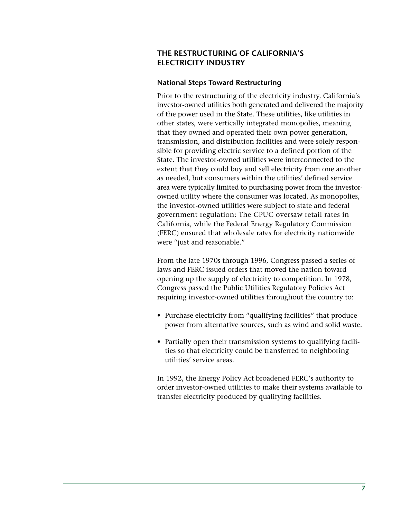# **THE RESTRUCTURING OF CALIFORNIA'S ELECTRICITY INDUSTRY**

# **National Steps Toward Restructuring**

Prior to the restructuring of the electricity industry, California's investor-owned utilities both generated and delivered the majority of the power used in the State. These utilities, like utilities in other states, were vertically integrated monopolies, meaning that they owned and operated their own power generation, transmission, and distribution facilities and were solely responsible for providing electric service to a defined portion of the State. The investor-owned utilities were interconnected to the extent that they could buy and sell electricity from one another as needed, but consumers within the utilities' defined service area were typically limited to purchasing power from the investorowned utility where the consumer was located. As monopolies, the investor-owned utilities were subject to state and federal government regulation: The CPUC oversaw retail rates in California, while the Federal Energy Regulatory Commission (FERC) ensured that wholesale rates for electricity nationwide were "just and reasonable."

From the late 1970s through 1996, Congress passed a series of laws and FERC issued orders that moved the nation toward opening up the supply of electricity to competition. In 1978, Congress passed the Public Utilities Regulatory Policies Act requiring investor-owned utilities throughout the country to:

- Purchase electricity from "qualifying facilities" that produce power from alternative sources, such as wind and solid waste.
- Partially open their transmission systems to qualifying facilities so that electricity could be transferred to neighboring utilities' service areas.

In 1992, the Energy Policy Act broadened FERC's authority to order investor-owned utilities to make their systems available to transfer electricity produced by qualifying facilities.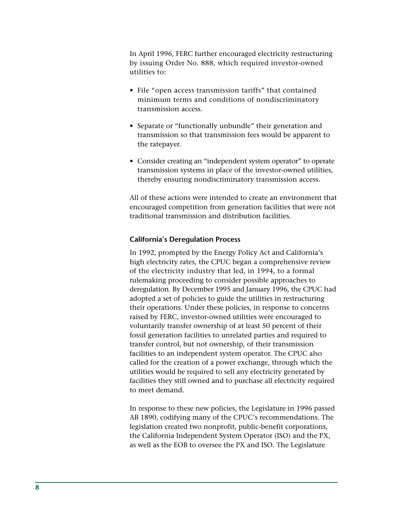In April 1996, FERC further encouraged electricity restructuring by issuing Order No. 888, which required investor-owned utilities to:

- File "open access transmission tariffs" that contained minimum terms and conditions of nondiscriminatory transmission access.
- Separate or "functionally unbundle" their generation and transmission so that transmission fees would be apparent to the ratepayer.
- Consider creating an "independent system operator" to operate transmission systems in place of the investor-owned utilities, thereby ensuring nondiscriminatory transmission access.

All of these actions were intended to create an environment that encouraged competition from generation facilities that were not traditional transmission and distribution facilities.

# **California's Deregulation Process**

In 1992, prompted by the Energy Policy Act and California's high electricity rates, the CPUC began a comprehensive review of the electricity industry that led, in 1994, to a formal rulemaking proceeding to consider possible approaches to deregulation. By December 1995 and January 1996, the CPUC had adopted a set of policies to guide the utilities in restructuring their operations. Under these policies, in response to concerns raised by FERC, investor-owned utilities were encouraged to voluntarily transfer ownership of at least 50 percent of their fossil generation facilities to unrelated parties and required to transfer control, but not ownership, of their transmission facilities to an independent system operator. The CPUC also called for the creation of a power exchange, through which the utilities would be required to sell any electricity generated by facilities they still owned and to purchase all electricity required to meet demand.

In response to these new policies, the Legislature in 1996 passed AB 1890, codifying many of the CPUC's recommendations. The legislation created two nonprofit, public-benefit corporations, the California Independent System Operator (ISO) and the PX, as well as the EOB to oversee the PX and ISO. The Legislature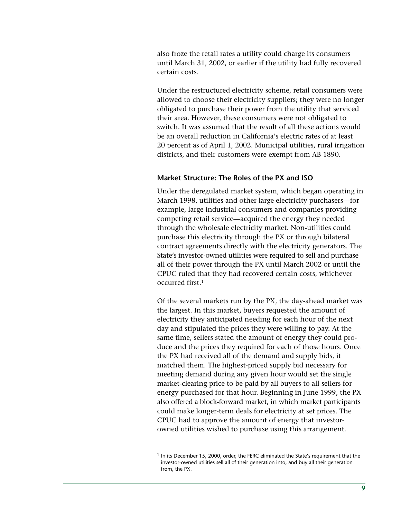also froze the retail rates a utility could charge its consumers until March 31, 2002, or earlier if the utility had fully recovered certain costs.

Under the restructured electricity scheme, retail consumers were allowed to choose their electricity suppliers; they were no longer obligated to purchase their power from the utility that serviced their area. However, these consumers were not obligated to switch. It was assumed that the result of all these actions would be an overall reduction in California's electric rates of at least 20 percent as of April 1, 2002. Municipal utilities, rural irrigation districts, and their customers were exempt from AB 1890.

### **Market Structure: The Roles of the PX and ISO**

Under the deregulated market system, which began operating in March 1998, utilities and other large electricity purchasers—for example, large industrial consumers and companies providing competing retail service—acquired the energy they needed through the wholesale electricity market. Non-utilities could purchase this electricity through the PX or through bilateral contract agreements directly with the electricity generators. The State's investor-owned utilities were required to sell and purchase all of their power through the PX until March 2002 or until the CPUC ruled that they had recovered certain costs, whichever occurred first.1

Of the several markets run by the PX, the day-ahead market was the largest. In this market, buyers requested the amount of electricity they anticipated needing for each hour of the next day and stipulated the prices they were willing to pay. At the same time, sellers stated the amount of energy they could produce and the prices they required for each of those hours. Once the PX had received all of the demand and supply bids, it matched them. The highest-priced supply bid necessary for meeting demand during any given hour would set the single market-clearing price to be paid by all buyers to all sellers for energy purchased for that hour. Beginning in June 1999, the PX also offered a block-forward market, in which market participants could make longer-term deals for electricity at set prices. The CPUC had to approve the amount of energy that investorowned utilities wished to purchase using this arrangement.

 $<sup>1</sup>$  In its December 15, 2000, order, the FERC eliminated the State's requirement that the</sup> investor-owned utilities sell all of their generation into, and buy all their generation from, the PX.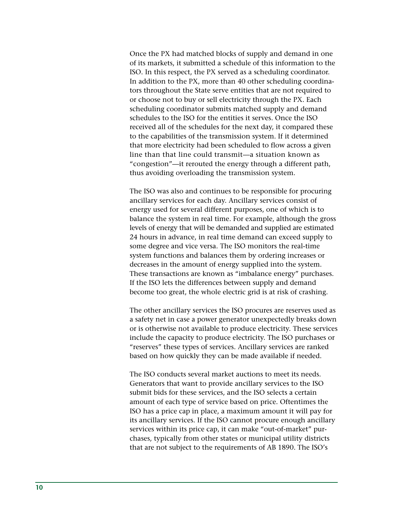Once the PX had matched blocks of supply and demand in one of its markets, it submitted a schedule of this information to the ISO. In this respect, the PX served as a scheduling coordinator. In addition to the PX, more than 40 other scheduling coordinators throughout the State serve entities that are not required to or choose not to buy or sell electricity through the PX. Each scheduling coordinator submits matched supply and demand schedules to the ISO for the entities it serves. Once the ISO received all of the schedules for the next day, it compared these to the capabilities of the transmission system. If it determined that more electricity had been scheduled to flow across a given line than that line could transmit—a situation known as "congestion"—it rerouted the energy through a different path, thus avoiding overloading the transmission system.

The ISO was also and continues to be responsible for procuring ancillary services for each day. Ancillary services consist of energy used for several different purposes, one of which is to balance the system in real time. For example, although the gross levels of energy that will be demanded and supplied are estimated 24 hours in advance, in real time demand can exceed supply to some degree and vice versa. The ISO monitors the real-time system functions and balances them by ordering increases or decreases in the amount of energy supplied into the system. These transactions are known as "imbalance energy" purchases. If the ISO lets the differences between supply and demand become too great, the whole electric grid is at risk of crashing.

The other ancillary services the ISO procures are reserves used as a safety net in case a power generator unexpectedly breaks down or is otherwise not available to produce electricity. These services include the capacity to produce electricity. The ISO purchases or "reserves" these types of services. Ancillary services are ranked based on how quickly they can be made available if needed.

The ISO conducts several market auctions to meet its needs. Generators that want to provide ancillary services to the ISO submit bids for these services, and the ISO selects a certain amount of each type of service based on price. Oftentimes the ISO has a price cap in place, a maximum amount it will pay for its ancillary services. If the ISO cannot procure enough ancillary services within its price cap, it can make "out-of-market" purchases, typically from other states or municipal utility districts that are not subject to the requirements of AB 1890. The ISO's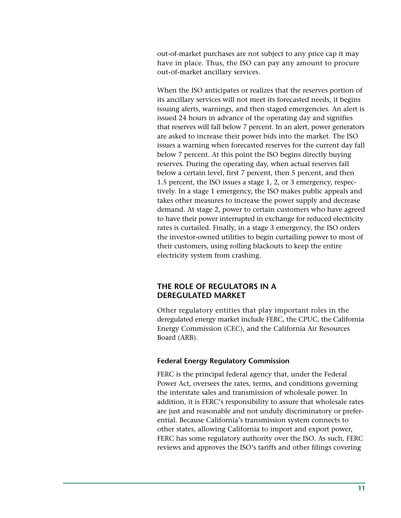out-of-market purchases are not subject to any price cap it may have in place. Thus, the ISO can pay any amount to procure out-of-market ancillary services.

When the ISO anticipates or realizes that the reserves portion of its ancillary services will not meet its forecasted needs, it begins issuing alerts, warnings, and then staged emergencies. An alert is issued 24 hours in advance of the operating day and signifies that reserves will fall below 7 percent. In an alert, power generators are asked to increase their power bids into the market. The ISO issues a warning when forecasted reserves for the current day fall below 7 percent. At this point the ISO begins directly buying reserves. During the operating day, when actual reserves fall below a certain level, first 7 percent, then 5 percent, and then 1.5 percent, the ISO issues a stage 1, 2, or 3 emergency, respectively. In a stage 1 emergency, the ISO makes public appeals and takes other measures to increase the power supply and decrease demand. At stage 2, power to certain customers who have agreed to have their power interrupted in exchange for reduced electricity rates is curtailed. Finally, in a stage 3 emergency, the ISO orders the investor-owned utilities to begin curtailing power to most of their customers, using rolling blackouts to keep the entire electricity system from crashing.

# **THE ROLE OF REGULATORS IN A DEREGULATED MARKET**

Other regulatory entities that play important roles in the deregulated energy market include FERC, the CPUC, the California Energy Commission (CEC), and the California Air Resources Board (ARB).

# **Federal Energy Regulatory Commission**

FERC is the principal federal agency that, under the Federal Power Act, oversees the rates, terms, and conditions governing the interstate sales and transmission of wholesale power. In addition, it is FERC's responsibility to assure that wholesale rates are just and reasonable and not unduly discriminatory or preferential. Because California's transmission system connects to other states, allowing California to import and export power, FERC has some regulatory authority over the ISO. As such, FERC reviews and approves the ISO's tariffs and other filings covering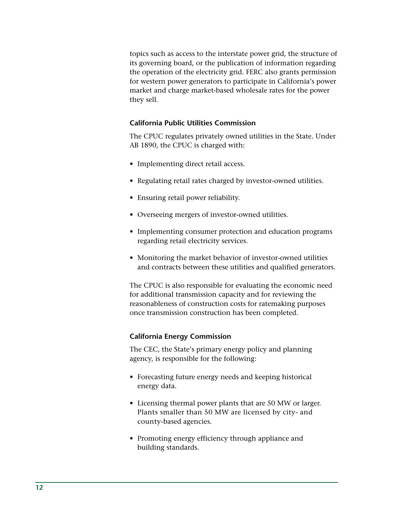topics such as access to the interstate power grid, the structure of its governing board, or the publication of information regarding the operation of the electricity grid. FERC also grants permission for western power generators to participate in California's power market and charge market-based wholesale rates for the power they sell.

# **California Public Utilities Commission**

The CPUC regulates privately owned utilities in the State. Under AB 1890, the CPUC is charged with:

- Implementing direct retail access.
- Regulating retail rates charged by investor-owned utilities.
- Ensuring retail power reliability.
- Overseeing mergers of investor-owned utilities.
- Implementing consumer protection and education programs regarding retail electricity services.
- Monitoring the market behavior of investor-owned utilities and contracts between these utilities and qualified generators.

The CPUC is also responsible for evaluating the economic need for additional transmission capacity and for reviewing the reasonableness of construction costs for ratemaking purposes once transmission construction has been completed.

# **California Energy Commission**

The CEC, the State's primary energy policy and planning agency, is responsible for the following:

- Forecasting future energy needs and keeping historical energy data.
- Licensing thermal power plants that are 50 MW or larger. Plants smaller than 50 MW are licensed by city- and county-based agencies.
- Promoting energy efficiency through appliance and building standards.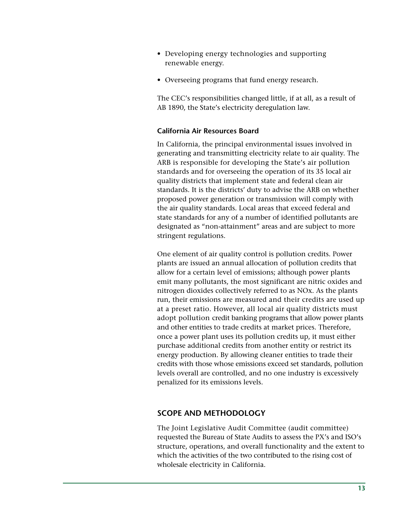- Developing energy technologies and supporting renewable energy.
- Overseeing programs that fund energy research.

The CEC's responsibilities changed little, if at all, as a result of AB 1890, the State's electricity deregulation law.

# **California Air Resources Board**

In California, the principal environmental issues involved in generating and transmitting electricity relate to air quality. The ARB is responsible for developing the State's air pollution standards and for overseeing the operation of its 35 local air quality districts that implement state and federal clean air standards. It is the districts' duty to advise the ARB on whether proposed power generation or transmission will comply with the air quality standards. Local areas that exceed federal and state standards for any of a number of identified pollutants are designated as "non-attainment" areas and are subject to more stringent regulations.

One element of air quality control is pollution credits. Power plants are issued an annual allocation of pollution credits that allow for a certain level of emissions; although power plants emit many pollutants, the most significant are nitric oxides and nitrogen dioxides collectively referred to as NOx. As the plants run, their emissions are measured and their credits are used up at a preset ratio. However, all local air quality districts must adopt pollution credit banking programs that allow power plants and other entities to trade credits at market prices. Therefore, once a power plant uses its pollution credits up, it must either purchase additional credits from another entity or restrict its energy production. By allowing cleaner entities to trade their credits with those whose emissions exceed set standards, pollution levels overall are controlled, and no one industry is excessively penalized for its emissions levels.

# **SCOPE AND METHODOLOGY**

The Joint Legislative Audit Committee (audit committee) requested the Bureau of State Audits to assess the PX's and ISO's structure, operations, and overall functionality and the extent to which the activities of the two contributed to the rising cost of wholesale electricity in California.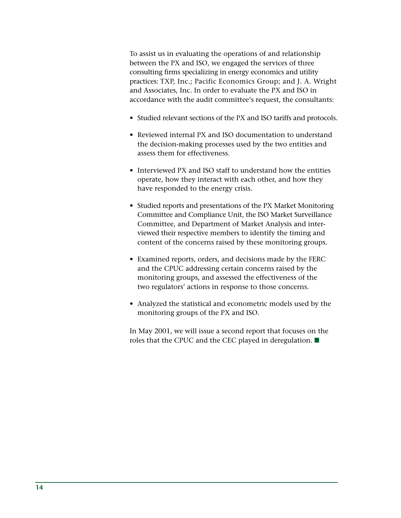To assist us in evaluating the operations of and relationship between the PX and ISO, we engaged the services of three consulting firms specializing in energy economics and utility practices: TXP, Inc.; Pacific Economics Group; and J. A. Wright and Associates, Inc. In order to evaluate the PX and ISO in accordance with the audit committee's request, the consultants:

- Studied relevant sections of the PX and ISO tariffs and protocols.
- Reviewed internal PX and ISO documentation to understand the decision-making processes used by the two entities and assess them for effectiveness.
- Interviewed PX and ISO staff to understand how the entities operate, how they interact with each other, and how they have responded to the energy crisis.
- Studied reports and presentations of the PX Market Monitoring Committee and Compliance Unit, the ISO Market Surveillance Committee, and Department of Market Analysis and interviewed their respective members to identify the timing and content of the concerns raised by these monitoring groups.
- Examined reports, orders, and decisions made by the FERC and the CPUC addressing certain concerns raised by the monitoring groups, and assessed the effectiveness of the two regulators' actions in response to those concerns.
- Analyzed the statistical and econometric models used by the monitoring groups of the PX and ISO.

In May 2001, we will issue a second report that focuses on the roles that the CPUC and the CEC played in deregulation.  $\blacksquare$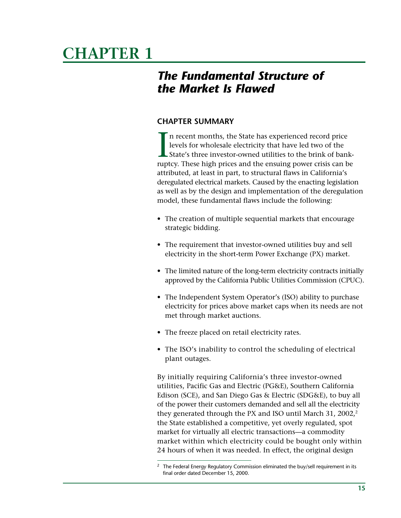# <span id="page-18-0"></span>**CHAPTER 1**

# *The Fundamental Structure of the Market Is Flawed*

# **CHAPTER SUMMARY**

 $\prod_{\text{rurb}}$ n recent months, the State has experienced record price levels for wholesale electricity that have led two of the State's three investor-owned utilities to the brink of bankruptcy. These high prices and the ensuing power crisis can be attributed, at least in part, to structural flaws in California's deregulated electrical markets. Caused by the enacting legislation as well as by the design and implementation of the deregulation model, these fundamental flaws include the following:

- The creation of multiple sequential markets that encourage strategic bidding.
- The requirement that investor-owned utilities buy and sell electricity in the short-term Power Exchange (PX) market.
- The limited nature of the long-term electricity contracts initially approved by the California Public Utilities Commission (CPUC).
- The Independent System Operator's (ISO) ability to purchase electricity for prices above market caps when its needs are not met through market auctions.
- The freeze placed on retail electricity rates.
- The ISO's inability to control the scheduling of electrical plant outages.

By initially requiring California's three investor-owned utilities, Pacific Gas and Electric (PG&E), Southern California Edison (SCE), and San Diego Gas & Electric (SDG&E), to buy all of the power their customers demanded and sell all the electricity they generated through the PX and ISO until March 31, 2002,<sup>2</sup> the State established a competitive, yet overly regulated, spot market for virtually all electric transactions—a commodity market within which electricity could be bought only within 24 hours of when it was needed. In effect, the original design

The Federal Energy Regulatory Commission eliminated the buy/sell requirement in its final order dated December 15, 2000.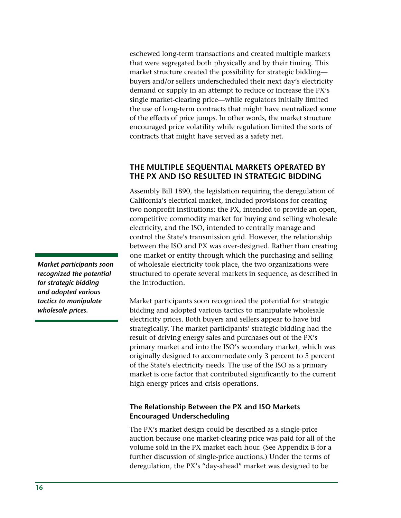eschewed long-term transactions and created multiple markets that were segregated both physically and by their timing. This market structure created the possibility for strategic bidding buyers and/or sellers underscheduled their next day's electricity demand or supply in an attempt to reduce or increase the PX's single market-clearing price—while regulators initially limited the use of long-term contracts that might have neutralized some of the effects of price jumps. In other words, the market structure encouraged price volatility while regulation limited the sorts of contracts that might have served as a safety net.

# **THE MULTIPLE SEQUENTIAL MARKETS OPERATED BY THE PX AND ISO RESULTED IN STRATEGIC BIDDING**

Assembly Bill 1890, the legislation requiring the deregulation of California's electrical market, included provisions for creating two nonprofit institutions: the PX, intended to provide an open, competitive commodity market for buying and selling wholesale electricity, and the ISO, intended to centrally manage and control the State's transmission grid. However, the relationship between the ISO and PX was over-designed. Rather than creating one market or entity through which the purchasing and selling of wholesale electricity took place, the two organizations were structured to operate several markets in sequence, as described in the Introduction.

Market participants soon recognized the potential for strategic bidding and adopted various tactics to manipulate wholesale electricity prices. Both buyers and sellers appear to have bid strategically. The market participants' strategic bidding had the result of driving energy sales and purchases out of the PX's primary market and into the ISO's secondary market, which was originally designed to accommodate only 3 percent to 5 percent of the State's electricity needs. The use of the ISO as a primary market is one factor that contributed significantly to the current high energy prices and crisis operations.

# **The Relationship Between the PX and ISO Markets Encouraged Underscheduling**

The PX's market design could be described as a single-price auction because one market-clearing price was paid for all of the volume sold in the PX market each hour. (See Appendix B for a further discussion of single-price auctions.) Under the terms of deregulation, the PX's "day-ahead" market was designed to be

*Market participants soon recognized the potential for strategic bidding and adopted various tactics to manipulate wholesale prices.*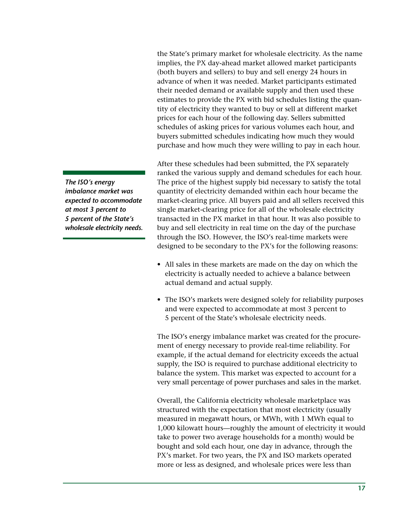the State's primary market for wholesale electricity. As the name implies, the PX day-ahead market allowed market participants (both buyers and sellers) to buy and sell energy 24 hours in advance of when it was needed. Market participants estimated their needed demand or available supply and then used these estimates to provide the PX with bid schedules listing the quantity of electricity they wanted to buy or sell at different market prices for each hour of the following day. Sellers submitted schedules of asking prices for various volumes each hour, and buyers submitted schedules indicating how much they would purchase and how much they were willing to pay in each hour.

After these schedules had been submitted, the PX separately ranked the various supply and demand schedules for each hour. The price of the highest supply bid necessary to satisfy the total quantity of electricity demanded within each hour became the market-clearing price. All buyers paid and all sellers received this single market-clearing price for all of the wholesale electricity transacted in the PX market in that hour. It was also possible to buy and sell electricity in real time on the day of the purchase through the ISO. However, the ISO's real-time markets were designed to be secondary to the PX's for the following reasons:

- All sales in these markets are made on the day on which the electricity is actually needed to achieve a balance between actual demand and actual supply.
- The ISO's markets were designed solely for reliability purposes and were expected to accommodate at most 3 percent to 5 percent of the State's wholesale electricity needs.

The ISO's energy imbalance market was created for the procurement of energy necessary to provide real-time reliability. For example, if the actual demand for electricity exceeds the actual supply, the ISO is required to purchase additional electricity to balance the system. This market was expected to account for a very small percentage of power purchases and sales in the market.

Overall, the California electricity wholesale marketplace was structured with the expectation that most electricity (usually measured in megawatt hours, or MWh, with 1 MWh equal to 1,000 kilowatt hours—roughly the amount of electricity it would take to power two average households for a month) would be bought and sold each hour, one day in advance, through the PX's market. For two years, the PX and ISO markets operated more or less as designed, and wholesale prices were less than

*The ISO's energy imbalance market was expected to accommodate at most 3 percent to 5 percent of the State's wholesale electricity needs.*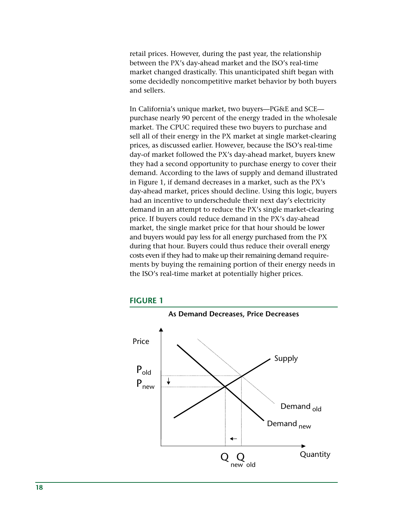retail prices. However, during the past year, the relationship between the PX's day-ahead market and the ISO's real-time market changed drastically. This unanticipated shift began with some decidedly noncompetitive market behavior by both buyers and sellers.

In California's unique market, two buyers—PG&E and SCE purchase nearly 90 percent of the energy traded in the wholesale market. The CPUC required these two buyers to purchase and sell all of their energy in the PX market at single market-clearing prices, as discussed earlier. However, because the ISO's real-time day-of market followed the PX's day-ahead market, buyers knew they had a second opportunity to purchase energy to cover their demand. According to the laws of supply and demand illustrated in Figure 1, if demand decreases in a market, such as the PX's day-ahead market, prices should decline. Using this logic, buyers had an incentive to underschedule their next day's electricity demand in an attempt to reduce the PX's single market-clearing price. If buyers could reduce demand in the PX's day-ahead market, the single market price for that hour should be lower and buyers would pay less for all energy purchased from the PX during that hour. Buyers could thus reduce their overall energy costs even if they had to make up their remaining demand requirements by buying the remaining portion of their energy needs in the ISO's real-time market at potentially higher prices.



# **FIGURE 1**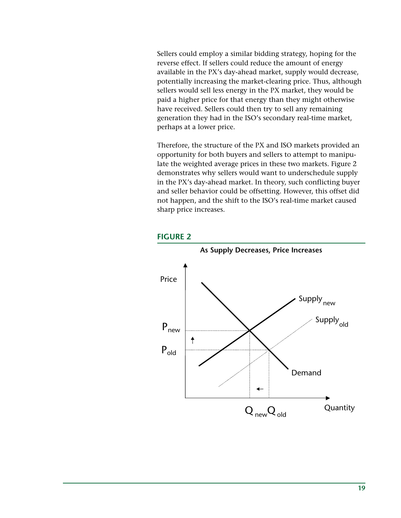Sellers could employ a similar bidding strategy, hoping for the reverse effect. If sellers could reduce the amount of energy available in the PX's day-ahead market, supply would decrease, potentially increasing the market-clearing price. Thus, although sellers would sell less energy in the PX market, they would be paid a higher price for that energy than they might otherwise have received. Sellers could then try to sell any remaining generation they had in the ISO's secondary real-time market, perhaps at a lower price.

Therefore, the structure of the PX and ISO markets provided an opportunity for both buyers and sellers to attempt to manipulate the weighted average prices in these two markets. Figure 2 demonstrates why sellers would want to underschedule supply in the PX's day-ahead market. In theory, such conflicting buyer and seller behavior could be offsetting. However, this offset did not happen, and the shift to the ISO's real-time market caused sharp price increases.



### **FIGURE 2**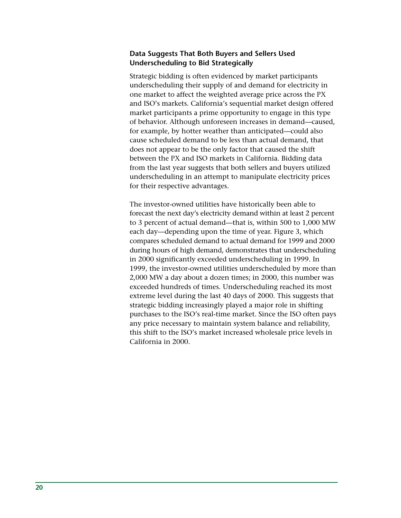# **Data Suggests That Both Buyers and Sellers Used Underscheduling to Bid Strategically**

Strategic bidding is often evidenced by market participants underscheduling their supply of and demand for electricity in one market to affect the weighted average price across the PX and ISO's markets. California's sequential market design offered market participants a prime opportunity to engage in this type of behavior. Although unforeseen increases in demand—caused, for example, by hotter weather than anticipated—could also cause scheduled demand to be less than actual demand, that does not appear to be the only factor that caused the shift between the PX and ISO markets in California. Bidding data from the last year suggests that both sellers and buyers utilized underscheduling in an attempt to manipulate electricity prices for their respective advantages.

The investor-owned utilities have historically been able to forecast the next day's electricity demand within at least 2 percent to 3 percent of actual demand—that is, within 500 to 1,000 MW each day—depending upon the time of year. Figure 3, which compares scheduled demand to actual demand for 1999 and 2000 during hours of high demand, demonstrates that underscheduling in 2000 significantly exceeded underscheduling in 1999. In 1999, the investor-owned utilities underscheduled by more than 2,000 MW a day about a dozen times; in 2000, this number was exceeded hundreds of times. Underscheduling reached its most extreme level during the last 40 days of 2000. This suggests that strategic bidding increasingly played a major role in shifting purchases to the ISO's real-time market. Since the ISO often pays any price necessary to maintain system balance and reliability, this shift to the ISO's market increased wholesale price levels in California in 2000.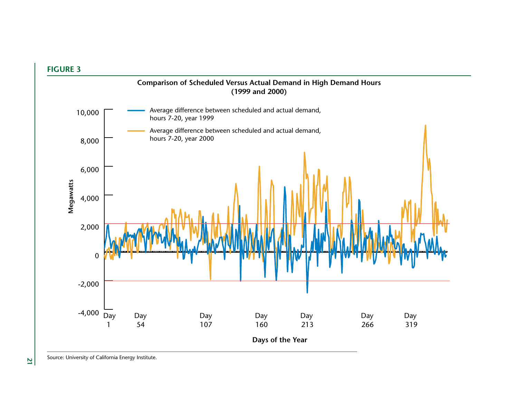

**<sup>21</sup>**Source: University of California Energy Institute.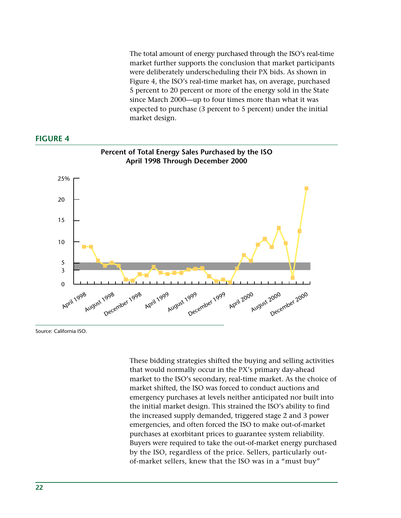The total amount of energy purchased through the ISO's real-time market further supports the conclusion that market participants were deliberately underscheduling their PX bids. As shown in Figure 4, the ISO's real-time market has, on average, purchased 5 percent to 20 percent or more of the energy sold in the State since March 2000—up to four times more than what it was expected to purchase (3 percent to 5 percent) under the initial market design.

# **FIGURE 4**



Source: California ISO.

These bidding strategies shifted the buying and selling activities that would normally occur in the PX's primary day-ahead market to the ISO's secondary, real-time market. As the choice of market shifted, the ISO was forced to conduct auctions and emergency purchases at levels neither anticipated nor built into the initial market design. This strained the ISO's ability to find the increased supply demanded, triggered stage 2 and 3 power emergencies, and often forced the ISO to make out-of-market purchases at exorbitant prices to guarantee system reliability. Buyers were required to take the out-of-market energy purchased by the ISO, regardless of the price. Sellers, particularly outof-market sellers, knew that the ISO was in a "must buy"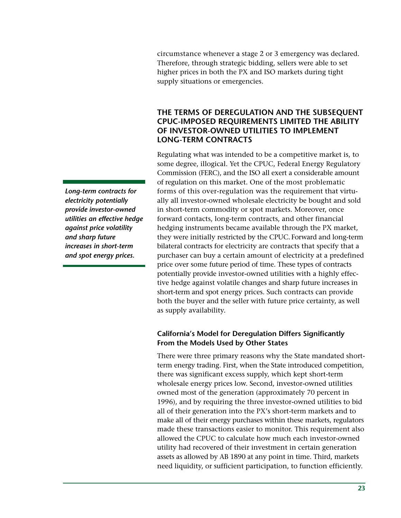circumstance whenever a stage 2 or 3 emergency was declared. Therefore, through strategic bidding, sellers were able to set higher prices in both the PX and ISO markets during tight supply situations or emergencies.

# **THE TERMS OF DEREGULATION AND THE SUBSEQUENT CPUC-IMPOSED REQUIREMENTS LIMITED THE ABILITY OF INVESTOR-OWNED UTILITIES TO IMPLEMENT LONG-TERM CONTRACTS**

Regulating what was intended to be a competitive market is, to some degree, illogical. Yet the CPUC, Federal Energy Regulatory Commission (FERC), and the ISO all exert a considerable amount of regulation on this market. One of the most problematic forms of this over-regulation was the requirement that virtually all investor-owned wholesale electricity be bought and sold in short-term commodity or spot markets. Moreover, once forward contacts, long-term contracts, and other financial hedging instruments became available through the PX market, they were initially restricted by the CPUC. Forward and long-term bilateral contracts for electricity are contracts that specify that a purchaser can buy a certain amount of electricity at a predefined price over some future period of time. These types of contracts potentially provide investor-owned utilities with a highly effective hedge against volatile changes and sharp future increases in short-term and spot energy prices. Such contracts can provide both the buyer and the seller with future price certainty, as well as supply availability.

# **California's Model for Deregulation Differs Significantly From the Models Used by Other States**

There were three primary reasons why the State mandated shortterm energy trading. First, when the State introduced competition, there was significant excess supply, which kept short-term wholesale energy prices low. Second, investor-owned utilities owned most of the generation (approximately 70 percent in 1996), and by requiring the three investor-owned utilities to bid all of their generation into the PX's short-term markets and to make all of their energy purchases within these markets, regulators made these transactions easier to monitor. This requirement also allowed the CPUC to calculate how much each investor-owned utility had recovered of their investment in certain generation assets as allowed by AB 1890 at any point in time. Third, markets need liquidity, or sufficient participation, to function efficiently.

*Long-term contracts for electricity potentially provide investor-owned utilities an effective hedge against price volatility and sharp future increases in short-term and spot energy prices.*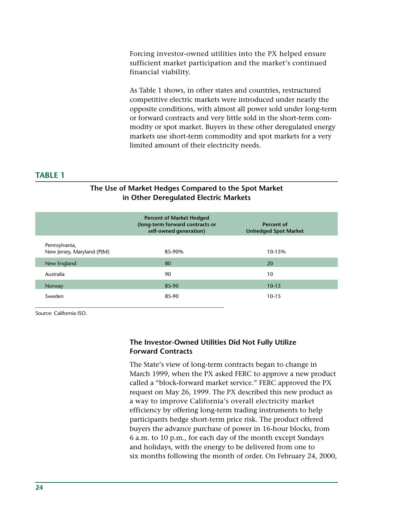Forcing investor-owned utilities into the PX helped ensure sufficient market participation and the market's continued financial viability.

As Table 1 shows, in other states and countries, restructured competitive electric markets were introduced under nearly the opposite conditions, with almost all power sold under long-term or forward contracts and very little sold in the short-term commodity or spot market. Buyers in these other deregulated energy markets use short-term commodity and spot markets for a very limited amount of their electricity needs.

# **TABLE 1**

|                                             | <b>Percent of Market Hedged</b><br>(long-term forward contracts or<br>self-owned generation) | Percent of<br><b>Unhedged Spot Market</b> |  |  |  |
|---------------------------------------------|----------------------------------------------------------------------------------------------|-------------------------------------------|--|--|--|
| Pennsylvania,<br>New Jersey, Maryland (PJM) | 85-90%                                                                                       | 10-15%                                    |  |  |  |
| New England                                 | 80                                                                                           | 20                                        |  |  |  |
| Australia                                   | 90                                                                                           | 10                                        |  |  |  |
| Norway                                      | 85-90                                                                                        | $10 - 15$                                 |  |  |  |
| Sweden                                      | 85-90                                                                                        | $10 - 15$                                 |  |  |  |

# **The Use of Market Hedges Compared to the Spot Market in Other Deregulated Electric Markets**

Source: California ISO.

# **The Investor-Owned Utilities Did Not Fully Utilize Forward Contracts**

The State's view of long-term contracts began to change in March 1999, when the PX asked FERC to approve a new product called a "block-forward market service." FERC approved the PX request on May 26, 1999. The PX described this new product as a way to improve California's overall electricity market efficiency by offering long-term trading instruments to help participants hedge short-term price risk. The product offered buyers the advance purchase of power in 16-hour blocks, from 6 a.m. to 10 p.m., for each day of the month except Sundays and holidays, with the energy to be delivered from one to six months following the month of order. On February 24, 2000,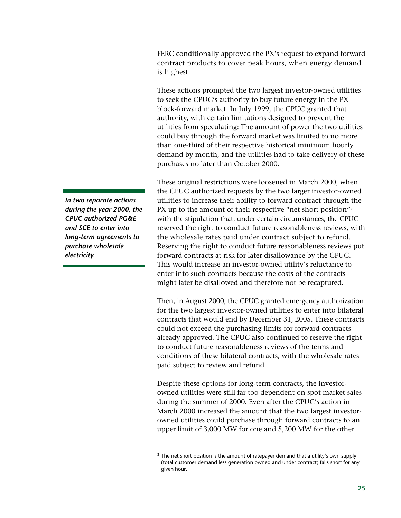FERC conditionally approved the PX's request to expand forward contract products to cover peak hours, when energy demand is highest.

These actions prompted the two largest investor-owned utilities to seek the CPUC's authority to buy future energy in the PX block-forward market. In July 1999, the CPUC granted that authority, with certain limitations designed to prevent the utilities from speculating: The amount of power the two utilities could buy through the forward market was limited to no more than one-third of their respective historical minimum hourly demand by month, and the utilities had to take delivery of these purchases no later than October 2000.

These original restrictions were loosened in March 2000, when the CPUC authorized requests by the two larger investor-owned utilities to increase their ability to forward contract through the PX up to the amount of their respective "net short position"<sup>3</sup> with the stipulation that, under certain circumstances, the CPUC reserved the right to conduct future reasonableness reviews, with the wholesale rates paid under contract subject to refund. Reserving the right to conduct future reasonableness reviews put forward contracts at risk for later disallowance by the CPUC. This would increase an investor-owned utility's reluctance to enter into such contracts because the costs of the contracts might later be disallowed and therefore not be recaptured.

Then, in August 2000, the CPUC granted emergency authorization for the two largest investor-owned utilities to enter into bilateral contracts that would end by December 31, 2005. These contracts could not exceed the purchasing limits for forward contracts already approved. The CPUC also continued to reserve the right to conduct future reasonableness reviews of the terms and conditions of these bilateral contracts, with the wholesale rates paid subject to review and refund.

Despite these options for long-term contracts, the investorowned utilities were still far too dependent on spot market sales during the summer of 2000. Even after the CPUC's action in March 2000 increased the amount that the two largest investorowned utilities could purchase through forward contracts to an upper limit of 3,000 MW for one and 5,200 MW for the other

*In two separate actions during the year 2000, the CPUC authorized PG&E and SCE to enter into long-term agreements to purchase wholesale electricity.*

 $3$  The net short position is the amount of ratepayer demand that a utility's own supply (total customer demand less generation owned and under contract) falls short for any given hour*.*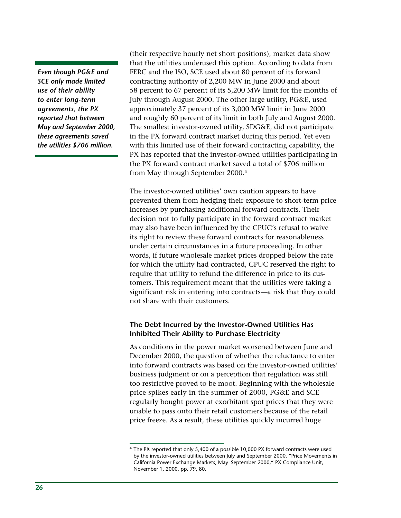*Even though PG&E and SCE only made limited use of their ability to enter long-term agreements, the PX reported that between May and September 2000, these agreements saved the utilities \$706 million.*

(their respective hourly net short positions), market data show that the utilities underused this option. According to data from FERC and the ISO, SCE used about 80 percent of its forward contracting authority of 2,200 MW in June 2000 and about 58 percent to 67 percent of its 5,200 MW limit for the months of July through August 2000. The other large utility, PG&E, used approximately 37 percent of its 3,000 MW limit in June 2000 and roughly 60 percent of its limit in both July and August 2000. The smallest investor-owned utility, SDG&E, did not participate in the PX forward contract market during this period. Yet even with this limited use of their forward contracting capability, the PX has reported that the investor-owned utilities participating in the PX forward contract market saved a total of \$706 million from May through September 2000.4

The investor-owned utilities' own caution appears to have prevented them from hedging their exposure to short-term price increases by purchasing additional forward contracts. Their decision not to fully participate in the forward contract market may also have been influenced by the CPUC's refusal to waive its right to review these forward contracts for reasonableness under certain circumstances in a future proceeding. In other words, if future wholesale market prices dropped below the rate for which the utility had contracted, CPUC reserved the right to require that utility to refund the difference in price to its customers. This requirement meant that the utilities were taking a significant risk in entering into contracts—a risk that they could not share with their customers.

# **The Debt Incurred by the Investor-Owned Utilities Has Inhibited Their Ability to Purchase Electricity**

As conditions in the power market worsened between June and December 2000, the question of whether the reluctance to enter into forward contracts was based on the investor-owned utilities' business judgment or on a perception that regulation was still too restrictive proved to be moot. Beginning with the wholesale price spikes early in the summer of 2000, PG&E and SCE regularly bought power at exorbitant spot prices that they were unable to pass onto their retail customers because of the retail price freeze. As a result, these utilities quickly incurred huge

<sup>&</sup>lt;sup>4</sup> The PX reported that only 5,400 of a possible 10,000 PX forward contracts were used by the investor-owned utilities between July and September 2000. "Price Movements in California Power Exchange Markets, May–September 2000," PX Compliance Unit, November 1, 2000, pp. 79, 80.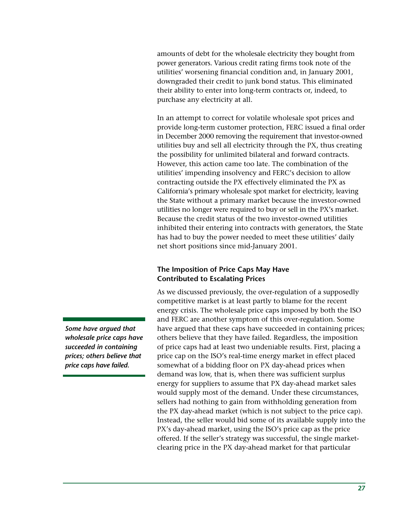amounts of debt for the wholesale electricity they bought from power generators. Various credit rating firms took note of the utilities' worsening financial condition and, in January 2001, downgraded their credit to junk bond status. This eliminated their ability to enter into long-term contracts or, indeed, to purchase any electricity at all.

In an attempt to correct for volatile wholesale spot prices and provide long-term customer protection, FERC issued a final order in December 2000 removing the requirement that investor-owned utilities buy and sell all electricity through the PX, thus creating the possibility for unlimited bilateral and forward contracts. However, this action came too late. The combination of the utilities' impending insolvency and FERC's decision to allow contracting outside the PX effectively eliminated the PX as California's primary wholesale spot market for electricity, leaving the State without a primary market because the investor-owned utilities no longer were required to buy or sell in the PX's market. Because the credit status of the two investor-owned utilities inhibited their entering into contracts with generators, the State has had to buy the power needed to meet these utilities' daily net short positions since mid-January 2001.

# **The Imposition of Price Caps May Have Contributed to Escalating Prices**

As we discussed previously, the over-regulation of a supposedly competitive market is at least partly to blame for the recent energy crisis. The wholesale price caps imposed by both the ISO and FERC are another symptom of this over-regulation. Some have argued that these caps have succeeded in containing prices; others believe that they have failed. Regardless, the imposition of price caps had at least two undeniable results. First, placing a price cap on the ISO's real-time energy market in effect placed somewhat of a bidding floor on PX day-ahead prices when demand was low, that is, when there was sufficient surplus energy for suppliers to assume that PX day-ahead market sales would supply most of the demand. Under these circumstances, sellers had nothing to gain from withholding generation from the PX day-ahead market (which is not subject to the price cap). Instead, the seller would bid some of its available supply into the PX's day-ahead market, using the ISO's price cap as the price offered. If the seller's strategy was successful, the single marketclearing price in the PX day-ahead market for that particular

*Some have argued that wholesale price caps have succeeded in containing prices; others believe that price caps have failed.*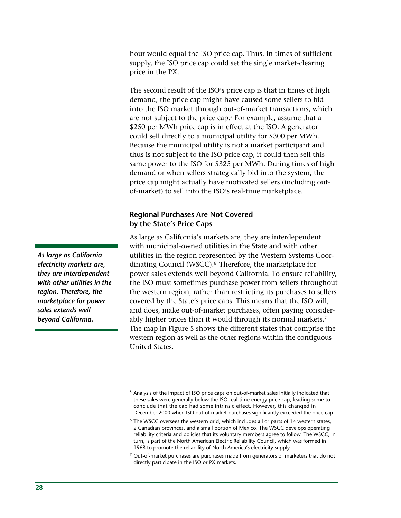hour would equal the ISO price cap. Thus, in times of sufficient supply, the ISO price cap could set the single market-clearing price in the PX.

The second result of the ISO's price cap is that in times of high demand, the price cap might have caused some sellers to bid into the ISO market through out-of-market transactions, which are not subject to the price cap. $^5$  For example, assume that a \$250 per MWh price cap is in effect at the ISO. A generator could sell directly to a municipal utility for \$300 per MWh. Because the municipal utility is not a market participant and thus is not subject to the ISO price cap, it could then sell this same power to the ISO for \$325 per MWh. During times of high demand or when sellers strategically bid into the system, the price cap might actually have motivated sellers (including outof-market) to sell into the ISO's real-time marketplace.

# **Regional Purchases Are Not Covered by the State's Price Caps**

As large as California's markets are, they are interdependent with municipal-owned utilities in the State and with other utilities in the region represented by the Western Systems Coordinating Council (WSCC).<sup>6</sup> Therefore, the marketplace for power sales extends well beyond California. To ensure reliability, the ISO must sometimes purchase power from sellers throughout the western region, rather than restricting its purchases to sellers covered by the State's price caps. This means that the ISO will, and does, make out-of-market purchases, often paying considerably higher prices than it would through its normal markets.<sup>7</sup> The map in Figure 5 shows the different states that comprise the western region as well as the other regions within the contiguous United States.

*As large as California electricity markets are, they are interdependent with other utilities in the region. Therefore, the marketplace for power sales extends well beyond California.*

<sup>5</sup> Analysis of the impact of ISO price caps on out-of-market sales initially indicated that these sales were generally below the ISO real-time energy price cap, leading some to conclude that the cap had some intrinsic effect. However, this changed in December 2000 when ISO out-of-market purchases significantly exceeded the price cap.

<sup>&</sup>lt;sup>6</sup> The WSCC oversees the western grid, which includes all or parts of 14 western states, 2 Canadian provinces, and a small portion of Mexico. The WSCC develops operating reliability criteria and policies that its voluntary members agree to follow. The WSCC, in turn, is part of the North American Electric Reliability Council, which was formed in 1968 to promote the reliability of North America's electricity supply.

 $7$  Out-of-market purchases are purchases made from generators or marketers that do not directly participate in the ISO or PX markets.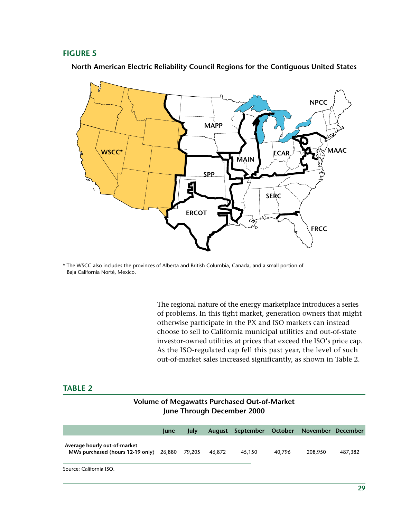# **FIGURE 5**

**North American Electric Reliability Council Regions for the Contiguous United States**



\* The WSCC also includes the provinces of Alberta and British Columbia, Canada, and a small portion of Baja California Norté, Mexico.

> The regional nature of the energy marketplace introduces a series of problems. In this tight market, generation owners that might otherwise participate in the PX and ISO markets can instead choose to sell to California municipal utilities and out-of-state investor-owned utilities at prices that exceed the ISO's price cap. As the ISO-regulated cap fell this past year, the level of such out-of-market sales increased significantly, as shown in Table 2.

# **TABLE 2**

# **Volume of Megawatts Purchased Out-of-Market June Through December 2000**

|                                                                                | <b>lune</b> | <b>July</b> |        | August September October November December |        |         |         |
|--------------------------------------------------------------------------------|-------------|-------------|--------|--------------------------------------------|--------|---------|---------|
| Average hourly out-of-market<br>MWs purchased (hours 12-19 only) 26,880 79,205 |             |             | 46.872 | 45.150                                     | 40.796 | 208,950 | 487.382 |
| Source: California ISO.                                                        |             |             |        |                                            |        |         |         |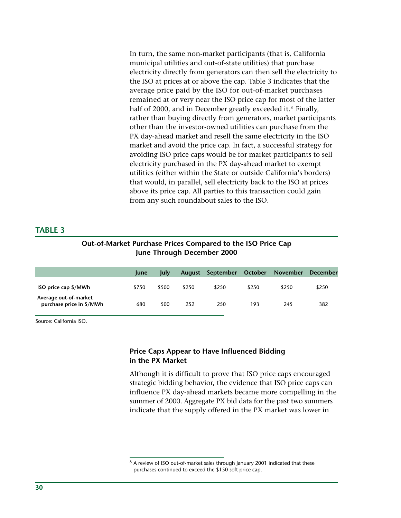In turn, the same non-market participants (that is, California municipal utilities and out-of-state utilities) that purchase electricity directly from generators can then sell the electricity to the ISO at prices at or above the cap. Table 3 indicates that the average price paid by the ISO for out-of-market purchases remained at or very near the ISO price cap for most of the latter half of 2000, and in December greatly exceeded it.<sup>8</sup> Finally, rather than buying directly from generators, market participants other than the investor-owned utilities can purchase from the PX day-ahead market and resell the same electricity in the ISO market and avoid the price cap. In fact, a successful strategy for avoiding ISO price caps would be for market participants to sell electricity purchased in the PX day-ahead market to exempt utilities (either within the State or outside California's borders) that would, in parallel, sell electricity back to the ISO at prices above its price cap. All parties to this transaction could gain from any such roundabout sales to the ISO.

# **TABLE 3**

# **Out-of-Market Purchase Prices Compared to the ISO Price Cap June Through December 2000**

|                                                   | <b>lune</b> | lulv  | <b>August</b> | September | October | November | December |
|---------------------------------------------------|-------------|-------|---------------|-----------|---------|----------|----------|
| ISO price cap \$/MWh                              | \$750       | \$500 | \$250         | \$250     | \$250   | \$250    | \$250    |
| Average out-of-market<br>purchase price in \$/MWh | 680         | 500   | 252           | 250       | 193     | 245      | 382      |

Source: California ISO.

# **Price Caps Appear to Have Influenced Bidding in the PX Market**

Although it is difficult to prove that ISO price caps encouraged strategic bidding behavior, the evidence that ISO price caps can influence PX day-ahead markets became more compelling in the summer of 2000. Aggregate PX bid data for the past two summers indicate that the supply offered in the PX market was lower in

<sup>&</sup>lt;sup>8</sup> A review of ISO out-of-market sales through January 2001 indicated that these purchases continued to exceed the \$150 soft price cap.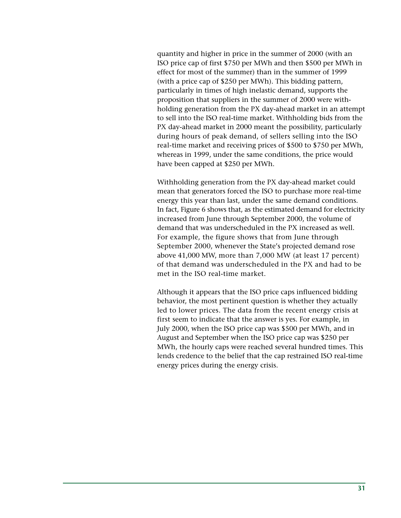quantity and higher in price in the summer of 2000 (with an ISO price cap of first \$750 per MWh and then \$500 per MWh in effect for most of the summer) than in the summer of 1999 (with a price cap of \$250 per MWh). This bidding pattern, particularly in times of high inelastic demand, supports the proposition that suppliers in the summer of 2000 were withholding generation from the PX day-ahead market in an attempt to sell into the ISO real-time market. Withholding bids from the PX day-ahead market in 2000 meant the possibility, particularly during hours of peak demand, of sellers selling into the ISO real-time market and receiving prices of \$500 to \$750 per MWh, whereas in 1999, under the same conditions, the price would have been capped at \$250 per MWh.

Withholding generation from the PX day-ahead market could mean that generators forced the ISO to purchase more real-time energy this year than last, under the same demand conditions. In fact, Figure 6 shows that, as the estimated demand for electricity increased from June through September 2000, the volume of demand that was underscheduled in the PX increased as well. For example, the figure shows that from June through September 2000, whenever the State's projected demand rose above 41,000 MW, more than 7,000 MW (at least 17 percent) of that demand was underscheduled in the PX and had to be met in the ISO real-time market.

Although it appears that the ISO price caps influenced bidding behavior, the most pertinent question is whether they actually led to lower prices. The data from the recent energy crisis at first seem to indicate that the answer is yes. For example, in July 2000, when the ISO price cap was \$500 per MWh, and in August and September when the ISO price cap was \$250 per MWh, the hourly caps were reached several hundred times. This lends credence to the belief that the cap restrained ISO real-time energy prices during the energy crisis.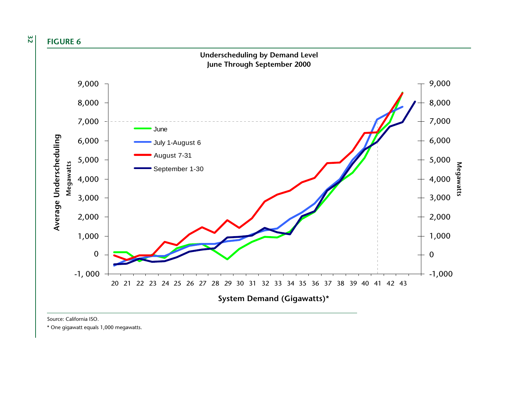**32 FIGURE 6**



Source: California ISO.

\* One gigawatt equals 1,000 megawatts.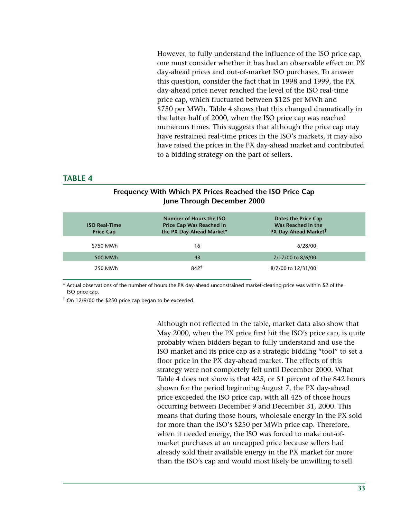However, to fully understand the influence of the ISO price cap, one must consider whether it has had an observable effect on PX day-ahead prices and out-of-market ISO purchases. To answer this question, consider the fact that in 1998 and 1999, the PX day-ahead price never reached the level of the ISO real-time price cap, which fluctuated between \$125 per MWh and \$750 per MWh. Table 4 shows that this changed dramatically in the latter half of 2000, when the ISO price cap was reached numerous times. This suggests that although the price cap may have restrained real-time prices in the ISO's markets, it may also have raised the prices in the PX day-ahead market and contributed to a bidding strategy on the part of sellers.

#### **TABLE 4**

| <b>ISO Real-Time</b><br><b>Price Cap</b> | Number of Hours the ISO<br><b>Price Cap Was Reached in</b><br>the PX Day-Ahead Market* | Dates the Price Cap<br>Was Reached in the<br>PX Day-Ahead Market <sup>†</sup> |
|------------------------------------------|----------------------------------------------------------------------------------------|-------------------------------------------------------------------------------|
| \$750 MWh                                | 16                                                                                     | 6/28/00                                                                       |
| 500 MWh                                  | 43                                                                                     | 7/17/00 to 8/6/00                                                             |
| 250 MWh                                  | $842^{\dagger}$                                                                        | 8/7/00 to 12/31/00                                                            |

# **Frequency With Which PX Prices Reached the ISO Price Cap June Through December 2000**

\* Actual observations of the number of hours the PX day-ahead unconstrained market-clearing price was within \$2 of the ISO price cap.

 $\dagger$  On 12/9/00 the \$250 price cap began to be exceeded.

Although not reflected in the table, market data also show that May 2000, when the PX price first hit the ISO's price cap, is quite probably when bidders began to fully understand and use the ISO market and its price cap as a strategic bidding "tool" to set a floor price in the PX day-ahead market. The effects of this strategy were not completely felt until December 2000. What Table 4 does not show is that 425, or 51 percent of the 842 hours shown for the period beginning August 7, the PX day-ahead price exceeded the ISO price cap, with all 425 of those hours occurring between December 9 and December 31, 2000. This means that during those hours, wholesale energy in the PX sold for more than the ISO's \$250 per MWh price cap. Therefore, when it needed energy, the ISO was forced to make out-ofmarket purchases at an uncapped price because sellers had already sold their available energy in the PX market for more than the ISO's cap and would most likely be unwilling to sell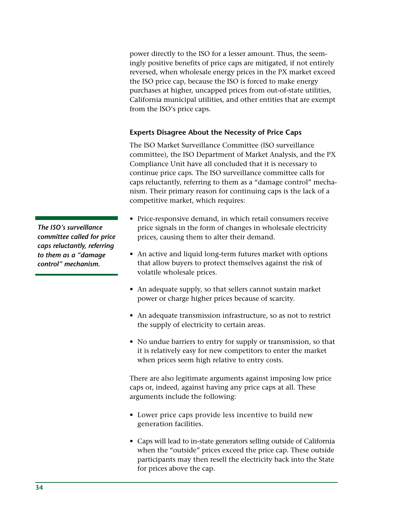power directly to the ISO for a lesser amount. Thus, the seemingly positive benefits of price caps are mitigated, if not entirely reversed, when wholesale energy prices in the PX market exceed the ISO price cap, because the ISO is forced to make energy purchases at higher, uncapped prices from out-of-state utilities, California municipal utilities, and other entities that are exempt from the ISO's price caps.

# **Experts Disagree About the Necessity of Price Caps**

The ISO Market Surveillance Committee (ISO surveillance committee), the ISO Department of Market Analysis, and the PX Compliance Unit have all concluded that it is necessary to continue price caps. The ISO surveillance committee calls for caps reluctantly, referring to them as a "damage control" mechanism. Their primary reason for continuing caps is the lack of a competitive market, which requires:

- Price-responsive demand, in which retail consumers receive price signals in the form of changes in wholesale electricity prices, causing them to alter their demand.
- An active and liquid long-term futures market with options that allow buyers to protect themselves against the risk of volatile wholesale prices.
- An adequate supply, so that sellers cannot sustain market power or charge higher prices because of scarcity.
- An adequate transmission infrastructure, so as not to restrict the supply of electricity to certain areas.
- No undue barriers to entry for supply or transmission, so that it is relatively easy for new competitors to enter the market when prices seem high relative to entry costs.

There are also legitimate arguments against imposing low price caps or, indeed, against having any price caps at all. These arguments include the following:

- Lower price caps provide less incentive to build new generation facilities.
- Caps will lead to in-state generators selling outside of California when the "outside" prices exceed the price cap. These outside participants may then resell the electricity back into the State for prices above the cap.

*The ISO's surveillance committee called for price caps reluctantly, referring to them as a "damage control" mechanism.*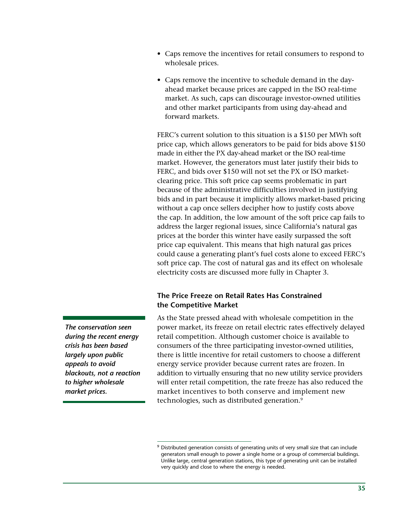- Caps remove the incentives for retail consumers to respond to wholesale prices.
- Caps remove the incentive to schedule demand in the dayahead market because prices are capped in the ISO real-time market. As such, caps can discourage investor-owned utilities and other market participants from using day-ahead and forward markets.

FERC's current solution to this situation is a \$150 per MWh soft price cap, which allows generators to be paid for bids above \$150 made in either the PX day-ahead market or the ISO real-time market. However, the generators must later justify their bids to FERC, and bids over \$150 will not set the PX or ISO marketclearing price. This soft price cap seems problematic in part because of the administrative difficulties involved in justifying bids and in part because it implicitly allows market-based pricing without a cap once sellers decipher how to justify costs above the cap. In addition, the low amount of the soft price cap fails to address the larger regional issues, since California's natural gas prices at the border this winter have easily surpassed the soft price cap equivalent. This means that high natural gas prices could cause a generating plant's fuel costs alone to exceed FERC's soft price cap. The cost of natural gas and its effect on wholesale electricity costs are discussed more fully in Chapter 3.

#### **The Price Freeze on Retail Rates Has Constrained the Competitive Market**

As the State pressed ahead with wholesale competition in the power market, its freeze on retail electric rates effectively delayed retail competition. Although customer choice is available to consumers of the three participating investor-owned utilities, there is little incentive for retail customers to choose a different energy service provider because current rates are frozen. In addition to virtually ensuring that no new utility service providers will enter retail competition, the rate freeze has also reduced the market incentives to both conserve and implement new technologies, such as distributed generation.<sup>9</sup>

*The conservation seen during the recent energy crisis has been based largely upon public appeals to avoid blackouts, not a reaction to higher wholesale market prices.*

 $9$  Distributed generation consists of generating units of very small size that can include generators small enough to power a single home or a group of commercial buildings. Unlike large, central generation stations, this type of generating unit can be installed very quickly and close to where the energy is needed.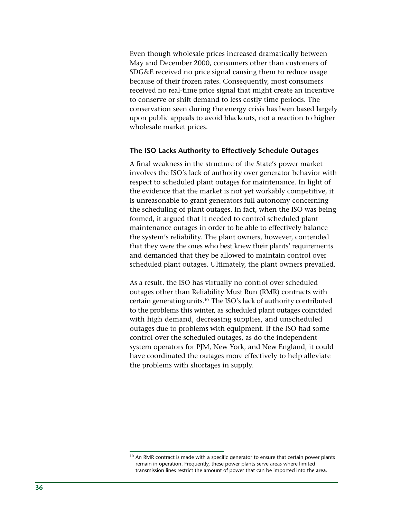Even though wholesale prices increased dramatically between May and December 2000, consumers other than customers of SDG&E received no price signal causing them to reduce usage because of their frozen rates. Consequently, most consumers received no real-time price signal that might create an incentive to conserve or shift demand to less costly time periods. The conservation seen during the energy crisis has been based largely upon public appeals to avoid blackouts, not a reaction to higher wholesale market prices.

#### **The ISO Lacks Authority to Effectively Schedule Outages**

A final weakness in the structure of the State's power market involves the ISO's lack of authority over generator behavior with respect to scheduled plant outages for maintenance. In light of the evidence that the market is not yet workably competitive, it is unreasonable to grant generators full autonomy concerning the scheduling of plant outages. In fact, when the ISO was being formed, it argued that it needed to control scheduled plant maintenance outages in order to be able to effectively balance the system's reliability. The plant owners, however, contended that they were the ones who best knew their plants' requirements and demanded that they be allowed to maintain control over scheduled plant outages. Ultimately, the plant owners prevailed.

As a result, the ISO has virtually no control over scheduled outages other than Reliability Must Run (RMR) contracts with certain generating units.<sup>10</sup> The ISO's lack of authority contributed to the problems this winter, as scheduled plant outages coincided with high demand, decreasing supplies, and unscheduled outages due to problems with equipment. If the ISO had some control over the scheduled outages, as do the independent system operators for PJM, New York, and New England, it could have coordinated the outages more effectively to help alleviate the problems with shortages in supply.

<sup>&</sup>lt;sup>10</sup> An RMR contract is made with a specific generator to ensure that certain power plants remain in operation. Frequently, these power plants serve areas where limited transmission lines restrict the amount of power that can be imported into the area.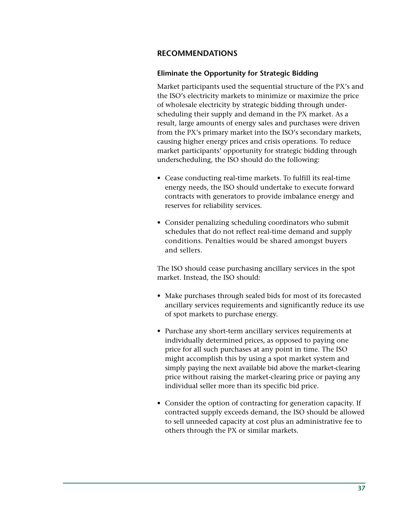# **RECOMMENDATIONS**

#### **Eliminate the Opportunity for Strategic Bidding**

Market participants used the sequential structure of the PX's and the ISO's electricity markets to minimize or maximize the price of wholesale electricity by strategic bidding through underscheduling their supply and demand in the PX market. As a result, large amounts of energy sales and purchases were driven from the PX's primary market into the ISO's secondary markets, causing higher energy prices and crisis operations. To reduce market participants' opportunity for strategic bidding through underscheduling, the ISO should do the following:

- Cease conducting real-time markets. To fulfill its real-time energy needs, the ISO should undertake to execute forward contracts with generators to provide imbalance energy and reserves for reliability services.
- Consider penalizing scheduling coordinators who submit schedules that do not reflect real-time demand and supply conditions. Penalties would be shared amongst buyers and sellers.

The ISO should cease purchasing ancillary services in the spot market. Instead, the ISO should:

- Make purchases through sealed bids for most of its forecasted ancillary services requirements and significantly reduce its use of spot markets to purchase energy.
- Purchase any short-term ancillary services requirements at individually determined prices, as opposed to paying one price for all such purchases at any point in time. The ISO might accomplish this by using a spot market system and simply paying the next available bid above the market-clearing price without raising the market-clearing price or paying any individual seller more than its specific bid price.
- Consider the option of contracting for generation capacity. If contracted supply exceeds demand, the ISO should be allowed to sell unneeded capacity at cost plus an administrative fee to others through the PX or similar markets.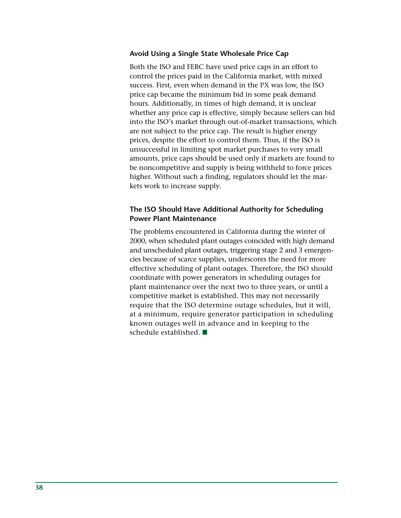#### **Avoid Using a Single State Wholesale Price Cap**

Both the ISO and FERC have used price caps in an effort to control the prices paid in the California market, with mixed success. First, even when demand in the PX was low, the ISO price cap became the minimum bid in some peak demand hours. Additionally, in times of high demand, it is unclear whether any price cap is effective, simply because sellers can bid into the ISO's market through out-of-market transactions, which are not subject to the price cap. The result is higher energy prices, despite the effort to control them. Thus, if the ISO is unsuccessful in limiting spot market purchases to very small amounts, price caps should be used only if markets are found to be noncompetitive and supply is being withheld to force prices higher. Without such a finding, regulators should let the markets work to increase supply.

# **The ISO Should Have Additional Authority for Scheduling Power Plant Maintenance**

The problems encountered in California during the winter of 2000, when scheduled plant outages coincided with high demand and unscheduled plant outages, triggering stage 2 and 3 emergencies because of scarce supplies, underscores the need for more effective scheduling of plant outages. Therefore, the ISO should coordinate with power generators in scheduling outages for plant maintenance over the next two to three years, or until a competitive market is established. This may not necessarily require that the ISO determine outage schedules, but it will, at a minimum, require generator participation in scheduling known outages well in advance and in keeping to the schedule established.  $\blacksquare$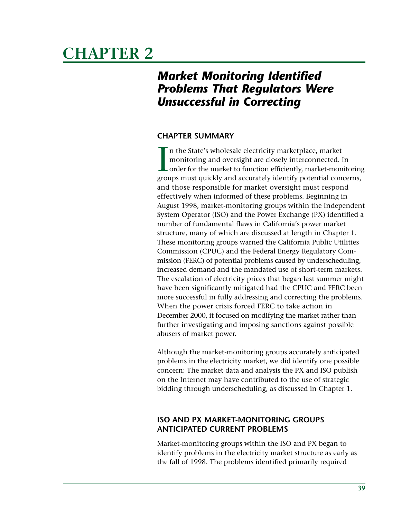# **CHAPTER 2**

# *Market Monitoring Identified Problems That Regulators Were Unsuccessful in Correcting*

# **CHAPTER SUMMARY**

 $\prod_{\rm geno}$ n the State's wholesale electricity marketplace, market monitoring and oversight are closely interconnected. In order for the market to function efficiently, market-monitoring groups must quickly and accurately identify potential concerns, and those responsible for market oversight must respond effectively when informed of these problems. Beginning in August 1998, market-monitoring groups within the Independent System Operator (ISO) and the Power Exchange (PX) identified a number of fundamental flaws in California's power market structure, many of which are discussed at length in Chapter 1. These monitoring groups warned the California Public Utilities Commission (CPUC) and the Federal Energy Regulatory Commission (FERC) of potential problems caused by underscheduling, increased demand and the mandated use of short-term markets. The escalation of electricity prices that began last summer might have been significantly mitigated had the CPUC and FERC been more successful in fully addressing and correcting the problems. When the power crisis forced FERC to take action in December 2000, it focused on modifying the market rather than further investigating and imposing sanctions against possible abusers of market power.

Although the market-monitoring groups accurately anticipated problems in the electricity market, we did identify one possible concern: The market data and analysis the PX and ISO publish on the Internet may have contributed to the use of strategic bidding through underscheduling, as discussed in Chapter 1.

# **ISO AND PX MARKET-MONITORING GROUPS ANTICIPATED CURRENT PROBLEMS**

Market-monitoring groups within the ISO and PX began to identify problems in the electricity market structure as early as the fall of 1998. The problems identified primarily required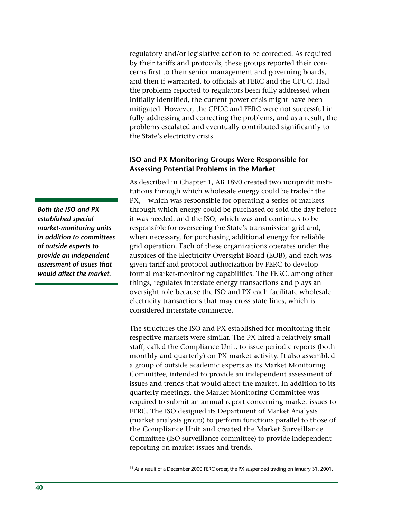regulatory and/or legislative action to be corrected. As required by their tariffs and protocols, these groups reported their concerns first to their senior management and governing boards, and then if warranted, to officials at FERC and the CPUC. Had the problems reported to regulators been fully addressed when initially identified, the current power crisis might have been mitigated. However, the CPUC and FERC were not successful in fully addressing and correcting the problems, and as a result, the problems escalated and eventually contributed significantly to the State's electricity crisis.

#### **ISO and PX Monitoring Groups Were Responsible for Assessing Potential Problems in the Market**

As described in Chapter 1, AB 1890 created two nonprofit institutions through which wholesale energy could be traded: the  $PX<sub>11</sub>$  which was responsible for operating a series of markets through which energy could be purchased or sold the day before it was needed, and the ISO, which was and continues to be responsible for overseeing the State's transmission grid and, when necessary, for purchasing additional energy for reliable grid operation. Each of these organizations operates under the auspices of the Electricity Oversight Board (EOB), and each was given tariff and protocol authorization by FERC to develop formal market-monitoring capabilities. The FERC, among other things, regulates interstate energy transactions and plays an oversight role because the ISO and PX each facilitate wholesale electricity transactions that may cross state lines, which is considered interstate commerce.

The structures the ISO and PX established for monitoring their respective markets were similar. The PX hired a relatively small staff, called the Compliance Unit, to issue periodic reports (both monthly and quarterly) on PX market activity. It also assembled a group of outside academic experts as its Market Monitoring Committee, intended to provide an independent assessment of issues and trends that would affect the market. In addition to its quarterly meetings, the Market Monitoring Committee was required to submit an annual report concerning market issues to FERC. The ISO designed its Department of Market Analysis (market analysis group) to perform functions parallel to those of the Compliance Unit and created the Market Surveillance Committee (ISO surveillance committee) to provide independent reporting on market issues and trends.

*Both the ISO and PX established special market-monitoring units in addition to committees of outside experts to provide an independent assessment of issues that would affect the market.*

<sup>&</sup>lt;sup>11</sup> As a result of a December 2000 FERC order, the PX suspended trading on January 31, 2001.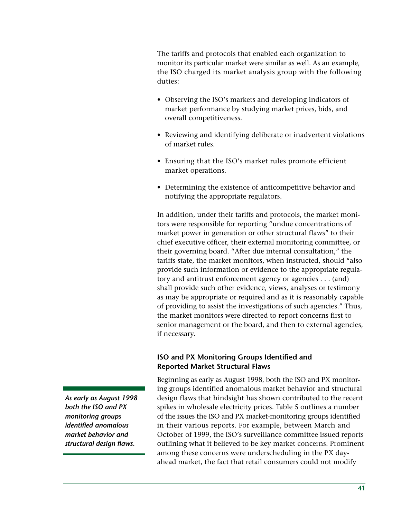The tariffs and protocols that enabled each organization to monitor its particular market were similar as well. As an example, the ISO charged its market analysis group with the following duties:

- Observing the ISO's markets and developing indicators of market performance by studying market prices, bids, and overall competitiveness.
- Reviewing and identifying deliberate or inadvertent violations of market rules.
- Ensuring that the ISO's market rules promote efficient market operations.
- Determining the existence of anticompetitive behavior and notifying the appropriate regulators.

In addition, under their tariffs and protocols, the market monitors were responsible for reporting "undue concentrations of market power in generation or other structural flaws" to their chief executive officer, their external monitoring committee, or their governing board. "After due internal consultation," the tariffs state, the market monitors, when instructed, should "also provide such information or evidence to the appropriate regulatory and antitrust enforcement agency or agencies . . . (and) shall provide such other evidence, views, analyses or testimony as may be appropriate or required and as it is reasonably capable of providing to assist the investigations of such agencies." Thus, the market monitors were directed to report concerns first to senior management or the board, and then to external agencies, if necessary.

# **ISO and PX Monitoring Groups Identified and Reported Market Structural Flaws**

Beginning as early as August 1998, both the ISO and PX monitoring groups identified anomalous market behavior and structural design flaws that hindsight has shown contributed to the recent spikes in wholesale electricity prices. Table 5 outlines a number of the issues the ISO and PX market-monitoring groups identified in their various reports. For example, between March and October of 1999, the ISO's surveillance committee issued reports outlining what it believed to be key market concerns. Prominent among these concerns were underscheduling in the PX dayahead market, the fact that retail consumers could not modify

*As early as August 1998 both the ISO and PX monitoring groups identified anomalous market behavior and structural design flaws.*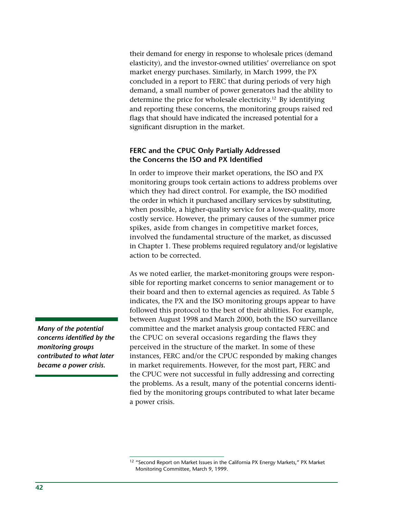their demand for energy in response to wholesale prices (demand elasticity), and the investor-owned utilities' overreliance on spot market energy purchases. Similarly, in March 1999, the PX concluded in a report to FERC that during periods of very high demand, a small number of power generators had the ability to determine the price for wholesale electricity.<sup>12</sup> By identifying and reporting these concerns, the monitoring groups raised red flags that should have indicated the increased potential for a significant disruption in the market.

#### **FERC and the CPUC Only Partially Addressed the Concerns the ISO and PX Identified**

In order to improve their market operations, the ISO and PX monitoring groups took certain actions to address problems over which they had direct control. For example, the ISO modified the order in which it purchased ancillary services by substituting, when possible, a higher-quality service for a lower-quality, more costly service. However, the primary causes of the summer price spikes, aside from changes in competitive market forces, involved the fundamental structure of the market, as discussed in Chapter 1. These problems required regulatory and/or legislative action to be corrected.

As we noted earlier, the market-monitoring groups were responsible for reporting market concerns to senior management or to their board and then to external agencies as required. As Table 5 indicates, the PX and the ISO monitoring groups appear to have followed this protocol to the best of their abilities. For example, between August 1998 and March 2000, both the ISO surveillance committee and the market analysis group contacted FERC and the CPUC on several occasions regarding the flaws they perceived in the structure of the market. In some of these instances, FERC and/or the CPUC responded by making changes in market requirements. However, for the most part, FERC and the CPUC were not successful in fully addressing and correcting the problems. As a result, many of the potential concerns identified by the monitoring groups contributed to what later became a power crisis.

<sup>12</sup> "Second Report on Market Issues in the California PX Energy Markets," PX Market Monitoring Committee, March 9, 1999.

*Many of the potential concerns identified by the monitoring groups contributed to what later became a power crisis.*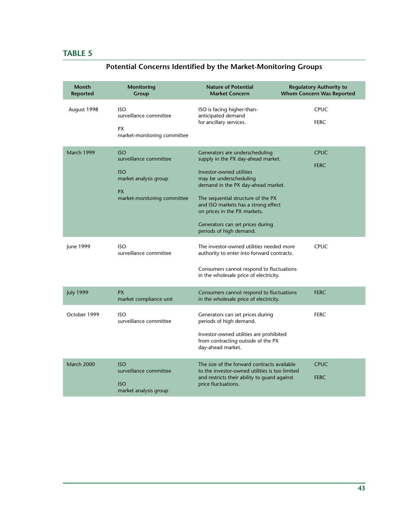# **TABLE 5**

| <b>Month</b><br><b>Reported</b> | <b>Monitoring</b><br>Group                                                                                              | <b>Nature of Potential</b><br><b>Market Concern</b>                                                                                                                                                                                                                                                                                          | <b>Regulatory Authority to</b><br><b>Whom Concern Was Reported</b> |
|---------------------------------|-------------------------------------------------------------------------------------------------------------------------|----------------------------------------------------------------------------------------------------------------------------------------------------------------------------------------------------------------------------------------------------------------------------------------------------------------------------------------------|--------------------------------------------------------------------|
| August 1998                     | <b>ISO</b><br>surveillance committee<br><b>PX</b><br>market-monitoring committee                                        | ISO is facing higher-than-<br>anticipated demand<br>for ancillary services.                                                                                                                                                                                                                                                                  | <b>CPUC</b><br><b>FERC</b>                                         |
| March 1999                      | <b>ISO</b><br>surveillance committee<br><b>ISO</b><br>market analysis group<br><b>PX</b><br>market-monitoring committee | Generators are underscheduling<br>supply in the PX day-ahead market.<br>Investor-owned utilities<br>may be underscheduling<br>demand in the PX day-ahead market.<br>The sequential structure of the PX<br>and ISO markets has a strong effect<br>on prices in the PX markets.<br>Generators can set prices during<br>periods of high demand. | <b>CPUC</b><br><b>FERC</b>                                         |
| June 1999                       | <b>ISO</b><br>surveillance committee                                                                                    | The investor-owned utilities needed more<br>authority to enter into forward contracts.<br>Consumers cannot respond to fluctuations<br>in the wholesale price of electricity.                                                                                                                                                                 | <b>CPUC</b>                                                        |
| <b>July 1999</b>                | <b>PX</b><br>market compliance unit                                                                                     | Consumers cannot respond to fluctuations<br>in the wholesale price of electricity.                                                                                                                                                                                                                                                           | <b>FERC</b>                                                        |
| October 1999                    | <b>ISO</b><br>surveillance committee                                                                                    | Generators can set prices during<br>periods of high demand.<br>Investor-owned utilities are prohibited<br>from contracting outside of the PX<br>day-ahead market.                                                                                                                                                                            | <b>FERC</b>                                                        |
| <b>March 2000</b>               | <b>ISO</b><br>surveillance committee<br><b>ISO</b><br>market analysis group                                             | The size of the forward contracts available<br>to the investor-owned utilities is too limited<br>and restricts their ability to guard against<br>price fluctuations.                                                                                                                                                                         | <b>CPUC</b><br><b>FERC</b>                                         |

# **Potential Concerns Identified by the Market-Monitoring Groups**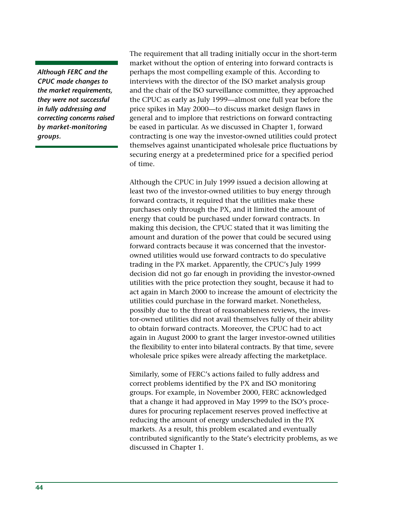*Although FERC and the CPUC made changes to the market requirements, they were not successful in fully addressing and correcting concerns raised by market-monitoring groups.*

The requirement that all trading initially occur in the short-term market without the option of entering into forward contracts is perhaps the most compelling example of this. According to interviews with the director of the ISO market analysis group and the chair of the ISO surveillance committee, they approached the CPUC as early as July 1999—almost one full year before the price spikes in May 2000—to discuss market design flaws in general and to implore that restrictions on forward contracting be eased in particular. As we discussed in Chapter 1, forward contracting is one way the investor-owned utilities could protect themselves against unanticipated wholesale price fluctuations by securing energy at a predetermined price for a specified period of time.

Although the CPUC in July 1999 issued a decision allowing at least two of the investor-owned utilities to buy energy through forward contracts, it required that the utilities make these purchases only through the PX, and it limited the amount of energy that could be purchased under forward contracts. In making this decision, the CPUC stated that it was limiting the amount and duration of the power that could be secured using forward contracts because it was concerned that the investorowned utilities would use forward contracts to do speculative trading in the PX market. Apparently, the CPUC's July 1999 decision did not go far enough in providing the investor-owned utilities with the price protection they sought, because it had to act again in March 2000 to increase the amount of electricity the utilities could purchase in the forward market. Nonetheless, possibly due to the threat of reasonableness reviews, the investor-owned utilities did not avail themselves fully of their ability to obtain forward contracts. Moreover, the CPUC had to act again in August 2000 to grant the larger investor-owned utilities the flexibility to enter into bilateral contracts. By that time, severe wholesale price spikes were already affecting the marketplace.

Similarly, some of FERC's actions failed to fully address and correct problems identified by the PX and ISO monitoring groups. For example, in November 2000, FERC acknowledged that a change it had approved in May 1999 to the ISO's procedures for procuring replacement reserves proved ineffective at reducing the amount of energy underscheduled in the PX markets. As a result, this problem escalated and eventually contributed significantly to the State's electricity problems, as we discussed in Chapter 1.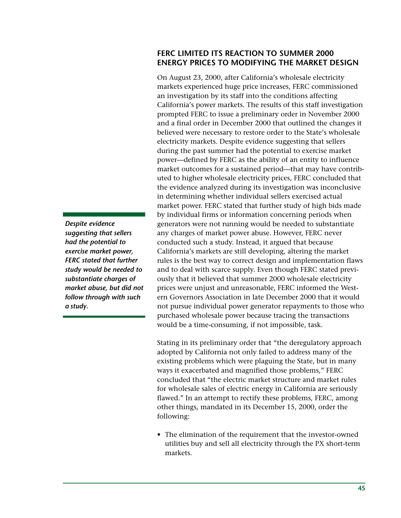# **FERC LIMITED ITS REACTION TO SUMMER 2000 ENERGY PRICES TO MODIFYING THE MARKET DESIGN**

On August 23, 2000, after California's wholesale electricity markets experienced huge price increases, FERC commissioned an investigation by its staff into the conditions affecting California's power markets. The results of this staff investigation prompted FERC to issue a preliminary order in November 2000 and a final order in December 2000 that outlined the changes it believed were necessary to restore order to the State's wholesale electricity markets. Despite evidence suggesting that sellers during the past summer had the potential to exercise market power—defined by FERC as the ability of an entity to influence market outcomes for a sustained period—that may have contributed to higher wholesale electricity prices, FERC concluded that the evidence analyzed during its investigation was inconclusive in determining whether individual sellers exercised actual market power. FERC stated that further study of high bids made by individual firms or information concerning periods when generators were not running would be needed to substantiate any charges of market power abuse. However, FERC never conducted such a study. Instead, it argued that because California's markets are still developing, altering the market rules is the best way to correct design and implementation flaws and to deal with scarce supply. Even though FERC stated previously that it believed that summer 2000 wholesale electricity prices were unjust and unreasonable, FERC informed the Western Governors Association in late December 2000 that it would not pursue individual power generator repayments to those who purchased wholesale power because tracing the transactions would be a time-consuming, if not impossible, task.

Stating in its preliminary order that "the deregulatory approach adopted by California not only failed to address many of the existing problems which were plaguing the State, but in many ways it exacerbated and magnified those problems," FERC concluded that "the electric market structure and market rules for wholesale sales of electric energy in California are seriously flawed." In an attempt to rectify these problems, FERC, among other things, mandated in its December 15, 2000, order the following:

• The elimination of the requirement that the investor-owned utilities buy and sell all electricity through the PX short-term markets.

*Despite evidence suggesting that sellers had the potential to exercise market power, FERC stated that further study would be needed to substantiate charges of market abuse, but did not follow through with such a study.*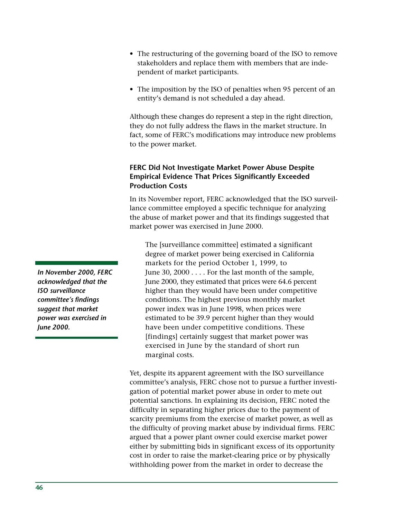- The restructuring of the governing board of the ISO to remove stakeholders and replace them with members that are independent of market participants.
- The imposition by the ISO of penalties when 95 percent of an entity's demand is not scheduled a day ahead.

Although these changes do represent a step in the right direction, they do not fully address the flaws in the market structure. In fact, some of FERC's modifications may introduce new problems to the power market.

# **FERC Did Not Investigate Market Power Abuse Despite Empirical Evidence That Prices Significantly Exceeded Production Costs**

In its November report, FERC acknowledged that the ISO surveillance committee employed a specific technique for analyzing the abuse of market power and that its findings suggested that market power was exercised in June 2000.

The [surveillance committee] estimated a significant degree of market power being exercised in California markets for the period October 1, 1999, to June 30, 2000 . . . . For the last month of the sample, June 2000, they estimated that prices were 64.6 percent higher than they would have been under competitive conditions. The highest previous monthly market power index was in June 1998, when prices were estimated to be 39.9 percent higher than they would have been under competitive conditions. These [findings] certainly suggest that market power was exercised in June by the standard of short run marginal costs.

Yet, despite its apparent agreement with the ISO surveillance committee's analysis, FERC chose not to pursue a further investigation of potential market power abuse in order to mete out potential sanctions. In explaining its decision, FERC noted the difficulty in separating higher prices due to the payment of scarcity premiums from the exercise of market power, as well as the difficulty of proving market abuse by individual firms. FERC argued that a power plant owner could exercise market power either by submitting bids in significant excess of its opportunity cost in order to raise the market-clearing price or by physically withholding power from the market in order to decrease the

*In November 2000, FERC acknowledged that the ISO surveillance committee's findings suggest that market power was exercised in June 2000.*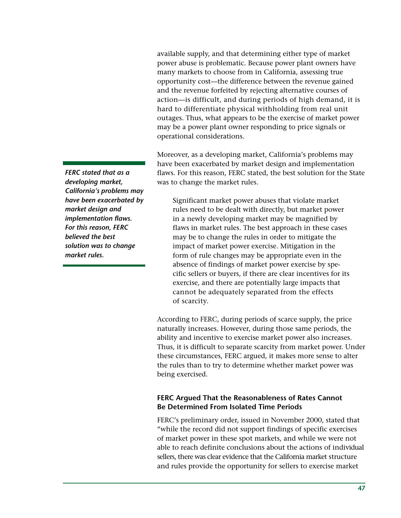available supply, and that determining either type of market power abuse is problematic. Because power plant owners have many markets to choose from in California, assessing true opportunity cost—the difference between the revenue gained and the revenue forfeited by rejecting alternative courses of action—is difficult, and during periods of high demand, it is hard to differentiate physical withholding from real unit outages. Thus, what appears to be the exercise of market power may be a power plant owner responding to price signals or operational considerations.

Moreover, as a developing market, California's problems may have been exacerbated by market design and implementation flaws. For this reason, FERC stated, the best solution for the State was to change the market rules.

Significant market power abuses that violate market rules need to be dealt with directly, but market power in a newly developing market may be magnified by flaws in market rules. The best approach in these cases may be to change the rules in order to mitigate the impact of market power exercise. Mitigation in the form of rule changes may be appropriate even in the absence of findings of market power exercise by specific sellers or buyers, if there are clear incentives for its exercise, and there are potentially large impacts that cannot be adequately separated from the effects of scarcity.

According to FERC, during periods of scarce supply, the price naturally increases. However, during those same periods, the ability and incentive to exercise market power also increases. Thus, it is difficult to separate scarcity from market power. Under these circumstances, FERC argued, it makes more sense to alter the rules than to try to determine whether market power was being exercised.

#### **FERC Argued That the Reasonableness of Rates Cannot Be Determined From Isolated Time Periods**

FERC's preliminary order, issued in November 2000, stated that "while the record did not support findings of specific exercises of market power in these spot markets, and while we were not able to reach definite conclusions about the actions of individual sellers, there was clear evidence that the California market structure and rules provide the opportunity for sellers to exercise market

*FERC stated that as a developing market, California's problems may have been exacerbated by market design and implementation flaws. For this reason, FERC believed the best solution was to change market rules.*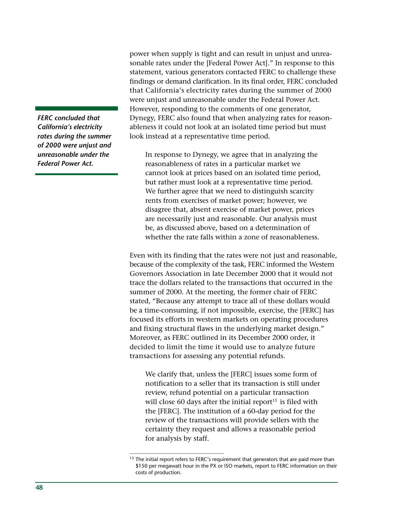*FERC concluded that California's electricity rates during the summer of 2000 were unjust and unreasonable under the Federal Power Act.*

power when supply is tight and can result in unjust and unreasonable rates under the [Federal Power Act]." In response to this statement, various generators contacted FERC to challenge these findings or demand clarification. In its final order, FERC concluded that California's electricity rates during the summer of 2000 were unjust and unreasonable under the Federal Power Act. However, responding to the comments of one generator, Dynegy, FERC also found that when analyzing rates for reasonableness it could not look at an isolated time period but must look instead at a representative time period.

In response to Dynegy, we agree that in analyzing the reasonableness of rates in a particular market we cannot look at prices based on an isolated time period, but rather must look at a representative time period. We further agree that we need to distinguish scarcity rents from exercises of market power; however, we disagree that, absent exercise of market power, prices are necessarily just and reasonable. Our analysis must be, as discussed above, based on a determination of whether the rate falls within a zone of reasonableness.

Even with its finding that the rates were not just and reasonable, because of the complexity of the task, FERC informed the Western Governors Association in late December 2000 that it would not trace the dollars related to the transactions that occurred in the summer of 2000. At the meeting, the former chair of FERC stated, "Because any attempt to trace all of these dollars would be a time-consuming, if not impossible, exercise, the [FERC] has focused its efforts in western markets on operating procedures and fixing structural flaws in the underlying market design." Moreover, as FERC outlined in its December 2000 order, it decided to limit the time it would use to analyze future transactions for assessing any potential refunds.

We clarify that, unless the [FERC] issues some form of notification to a seller that its transaction is still under review, refund potential on a particular transaction will close 60 days after the initial report $13$  is filed with the [FERC]. The institution of a 60-day period for the review of the transactions will provide sellers with the certainty they request and allows a reasonable period for analysis by staff.

<sup>&</sup>lt;sup>13</sup> The initial report refers to FERC's requirement that generators that are paid more than \$150 per megawatt hour in the PX or ISO markets, report to FERC information on their costs of production.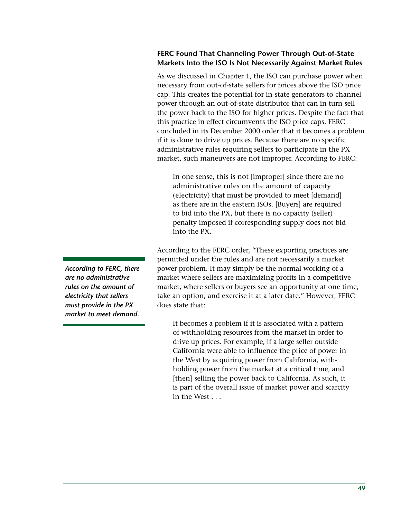# **FERC Found That Channeling Power Through Out-of-State Markets Into the ISO Is Not Necessarily Against Market Rules**

As we discussed in Chapter 1, the ISO can purchase power when necessary from out-of-state sellers for prices above the ISO price cap. This creates the potential for in-state generators to channel power through an out-of-state distributor that can in turn sell the power back to the ISO for higher prices. Despite the fact that this practice in effect circumvents the ISO price caps, FERC concluded in its December 2000 order that it becomes a problem if it is done to drive up prices. Because there are no specific administrative rules requiring sellers to participate in the PX market, such maneuvers are not improper. According to FERC:

In one sense, this is not [improper] since there are no administrative rules on the amount of capacity (electricity) that must be provided to meet [demand] as there are in the eastern ISOs. [Buyers] are required to bid into the PX, but there is no capacity (seller) penalty imposed if corresponding supply does not bid into the PX.

According to the FERC order, "These exporting practices are permitted under the rules and are not necessarily a market power problem. It may simply be the normal working of a market where sellers are maximizing profits in a competitive market, where sellers or buyers see an opportunity at one time, take an option, and exercise it at a later date." However, FERC does state that:

It becomes a problem if it is associated with a pattern of withholding resources from the market in order to drive up prices. For example, if a large seller outside California were able to influence the price of power in the West by acquiring power from California, withholding power from the market at a critical time, and [then] selling the power back to California. As such, it is part of the overall issue of market power and scarcity in the West . . .

*According to FERC, there are no administrative rules on the amount of electricity that sellers must provide in the PX market to meet demand.*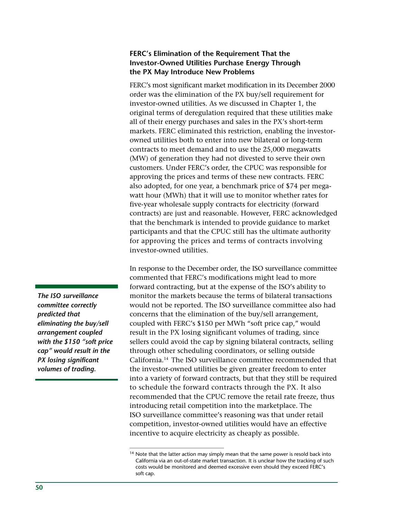#### **FERC's Elimination of the Requirement That the Investor-Owned Utilities Purchase Energy Through the PX May Introduce New Problems**

FERC's most significant market modification in its December 2000 order was the elimination of the PX buy/sell requirement for investor-owned utilities. As we discussed in Chapter 1, the original terms of deregulation required that these utilities make all of their energy purchases and sales in the PX's short-term markets. FERC eliminated this restriction, enabling the investorowned utilities both to enter into new bilateral or long-term contracts to meet demand and to use the 25,000 megawatts (MW) of generation they had not divested to serve their own customers. Under FERC's order, the CPUC was responsible for approving the prices and terms of these new contracts. FERC also adopted, for one year, a benchmark price of \$74 per megawatt hour (MWh) that it will use to monitor whether rates for five-year wholesale supply contracts for electricity (forward contracts) are just and reasonable. However, FERC acknowledged that the benchmark is intended to provide guidance to market participants and that the CPUC still has the ultimate authority for approving the prices and terms of contracts involving investor-owned utilities.

In response to the December order, the ISO surveillance committee commented that FERC's modifications might lead to more forward contracting, but at the expense of the ISO's ability to monitor the markets because the terms of bilateral transactions would not be reported. The ISO surveillance committee also had concerns that the elimination of the buy/sell arrangement, coupled with FERC's \$150 per MWh "soft price cap," would result in the PX losing significant volumes of trading, since sellers could avoid the cap by signing bilateral contracts, selling through other scheduling coordinators, or selling outside California.14 The ISO surveillance committee recommended that the investor-owned utilities be given greater freedom to enter into a variety of forward contracts, but that they still be required to schedule the forward contracts through the PX. It also recommended that the CPUC remove the retail rate freeze, thus introducing retail competition into the marketplace. The ISO surveillance committee's reasoning was that under retail competition, investor-owned utilities would have an effective incentive to acquire electricity as cheaply as possible.

*The ISO surveillance committee correctly predicted that eliminating the buy/sell arrangement coupled with the \$150 "soft price cap" would result in the PX losing significant volumes of trading.*

<sup>&</sup>lt;sup>14</sup> Note that the latter action may simply mean that the same power is resold back into California via an out-of-state market transaction. It is unclear how the tracking of such costs would be monitored and deemed excessive even should they exceed FERC's soft cap.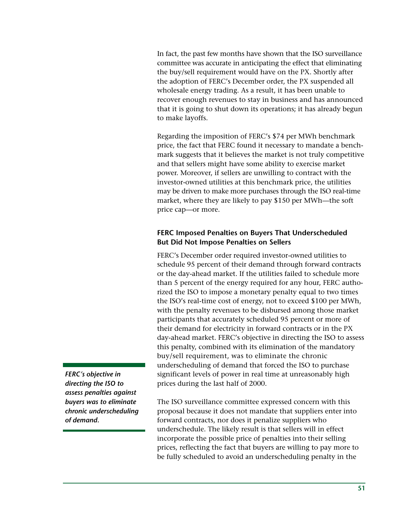In fact, the past few months have shown that the ISO surveillance committee was accurate in anticipating the effect that eliminating the buy/sell requirement would have on the PX. Shortly after the adoption of FERC's December order, the PX suspended all wholesale energy trading. As a result, it has been unable to recover enough revenues to stay in business and has announced that it is going to shut down its operations; it has already begun to make layoffs.

Regarding the imposition of FERC's \$74 per MWh benchmark price, the fact that FERC found it necessary to mandate a benchmark suggests that it believes the market is not truly competitive and that sellers might have some ability to exercise market power. Moreover, if sellers are unwilling to contract with the investor-owned utilities at this benchmark price, the utilities may be driven to make more purchases through the ISO real-time market, where they are likely to pay \$150 per MWh—the soft price cap—or more.

# **FERC Imposed Penalties on Buyers That Underscheduled But Did Not Impose Penalties on Sellers**

FERC's December order required investor-owned utilities to schedule 95 percent of their demand through forward contracts or the day-ahead market. If the utilities failed to schedule more than 5 percent of the energy required for any hour, FERC authorized the ISO to impose a monetary penalty equal to two times the ISO's real-time cost of energy, not to exceed \$100 per MWh, with the penalty revenues to be disbursed among those market participants that accurately scheduled 95 percent or more of their demand for electricity in forward contracts or in the PX day-ahead market. FERC's objective in directing the ISO to assess this penalty, combined with its elimination of the mandatory buy/sell requirement, was to eliminate the chronic underscheduling of demand that forced the ISO to purchase significant levels of power in real time at unreasonably high prices during the last half of 2000.

The ISO surveillance committee expressed concern with this proposal because it does not mandate that suppliers enter into forward contracts, nor does it penalize suppliers who underschedule. The likely result is that sellers will in effect incorporate the possible price of penalties into their selling prices, reflecting the fact that buyers are willing to pay more to be fully scheduled to avoid an underscheduling penalty in the

*FERC's objective in directing the ISO to assess penalties against buyers was to eliminate chronic underscheduling of demand.*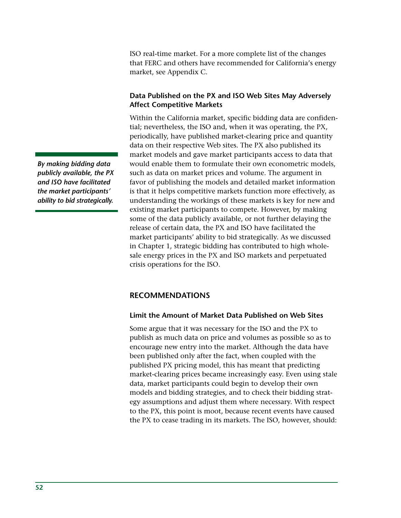ISO real-time market. For a more complete list of the changes that FERC and others have recommended for California's energy market, see Appendix C.

# **Data Published on the PX and ISO Web Sites May Adversely Affect Competitive Markets**

Within the California market, specific bidding data are confidential; nevertheless, the ISO and, when it was operating, the PX, periodically, have published market-clearing price and quantity data on their respective Web sites. The PX also published its market models and gave market participants access to data that would enable them to formulate their own econometric models, such as data on market prices and volume. The argument in favor of publishing the models and detailed market information is that it helps competitive markets function more effectively, as understanding the workings of these markets is key for new and existing market participants to compete. However, by making some of the data publicly available, or not further delaying the release of certain data, the PX and ISO have facilitated the market participants' ability to bid strategically. As we discussed in Chapter 1, strategic bidding has contributed to high wholesale energy prices in the PX and ISO markets and perpetuated crisis operations for the ISO.

# **RECOMMENDATIONS**

#### **Limit the Amount of Market Data Published on Web Sites**

Some argue that it was necessary for the ISO and the PX to publish as much data on price and volumes as possible so as to encourage new entry into the market. Although the data have been published only after the fact, when coupled with the published PX pricing model, this has meant that predicting market-clearing prices became increasingly easy. Even using stale data, market participants could begin to develop their own models and bidding strategies, and to check their bidding strategy assumptions and adjust them where necessary. With respect to the PX, this point is moot, because recent events have caused the PX to cease trading in its markets. The ISO, however, should:

*By making bidding data publicly available, the PX and ISO have facilitated the market participants' ability to bid strategically.*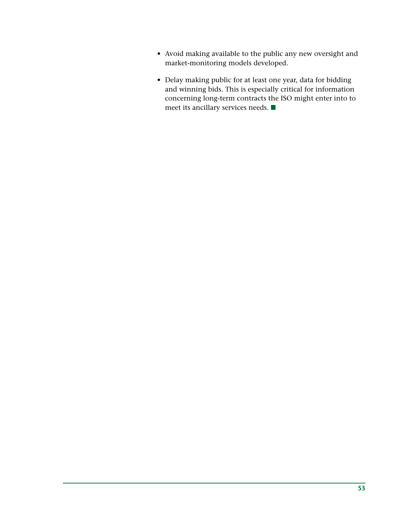- Avoid making available to the public any new oversight and market-monitoring models developed.
- Delay making public for at least one year, data for bidding and winning bids. This is especially critical for information concerning long-term contracts the ISO might enter into to meet its ancillary services needs.  $\blacksquare$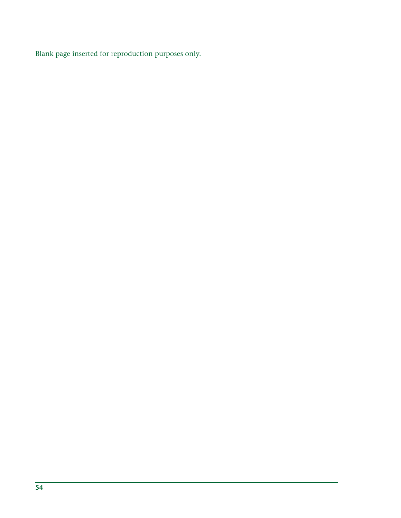Blank page inserted for reproduction purposes only.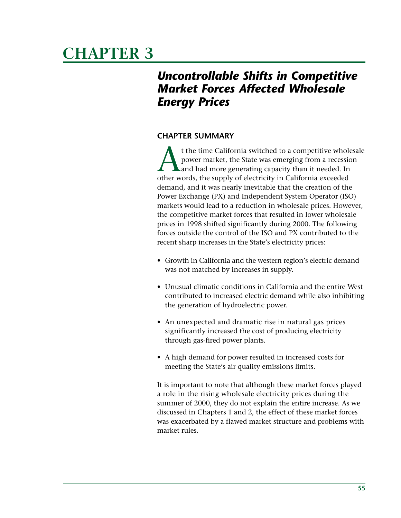# **CHAPTER 3**

# *Uncontrollable Shifts in Competitive Market Forces Affected Wholesale Energy Prices*

# **CHAPTER SUMMARY**

t the time California switched to a competitive wholesale power market, the State was emerging from a recession and had more generating capacity than it needed. In other words, the supply of electricity in California exceeded demand, and it was nearly inevitable that the creation of the Power Exchange (PX) and Independent System Operator (ISO) markets would lead to a reduction in wholesale prices. However, the competitive market forces that resulted in lower wholesale prices in 1998 shifted significantly during 2000. The following forces outside the control of the ISO and PX contributed to the recent sharp increases in the State's electricity prices:

- Growth in California and the western region's electric demand was not matched by increases in supply.
- Unusual climatic conditions in California and the entire West contributed to increased electric demand while also inhibiting the generation of hydroelectric power.
- An unexpected and dramatic rise in natural gas prices significantly increased the cost of producing electricity through gas-fired power plants.
- A high demand for power resulted in increased costs for meeting the State's air quality emissions limits.

It is important to note that although these market forces played a role in the rising wholesale electricity prices during the summer of 2000, they do not explain the entire increase. As we discussed in Chapters 1 and 2, the effect of these market forces was exacerbated by a flawed market structure and problems with market rules.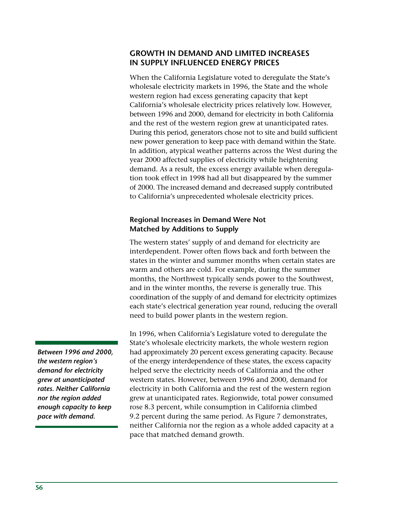# **GROWTH IN DEMAND AND LIMITED INCREASES IN SUPPLY INFLUENCED ENERGY PRICES**

When the California Legislature voted to deregulate the State's wholesale electricity markets in 1996, the State and the whole western region had excess generating capacity that kept California's wholesale electricity prices relatively low. However, between 1996 and 2000, demand for electricity in both California and the rest of the western region grew at unanticipated rates. During this period, generators chose not to site and build sufficient new power generation to keep pace with demand within the State. In addition, atypical weather patterns across the West during the year 2000 affected supplies of electricity while heightening demand. As a result, the excess energy available when deregulation took effect in 1998 had all but disappeared by the summer of 2000. The increased demand and decreased supply contributed to California's unprecedented wholesale electricity prices.

#### **Regional Increases in Demand Were Not Matched by Additions to Supply**

The western states' supply of and demand for electricity are interdependent. Power often flows back and forth between the states in the winter and summer months when certain states are warm and others are cold. For example, during the summer months, the Northwest typically sends power to the Southwest, and in the winter months, the reverse is generally true. This coordination of the supply of and demand for electricity optimizes each state's electrical generation year round, reducing the overall need to build power plants in the western region.

In 1996, when California's Legislature voted to deregulate the State's wholesale electricity markets, the whole western region had approximately 20 percent excess generating capacity. Because of the energy interdependence of these states, the excess capacity helped serve the electricity needs of California and the other western states. However, between 1996 and 2000, demand for electricity in both California and the rest of the western region grew at unanticipated rates. Regionwide, total power consumed rose 8.3 percent, while consumption in California climbed 9.2 percent during the same period. As Figure 7 demonstrates, neither California nor the region as a whole added capacity at a pace that matched demand growth.

*Between 1996 and 2000, the western region's demand for electricity grew at unanticipated rates. Neither California nor the region added enough capacity to keep pace with demand.*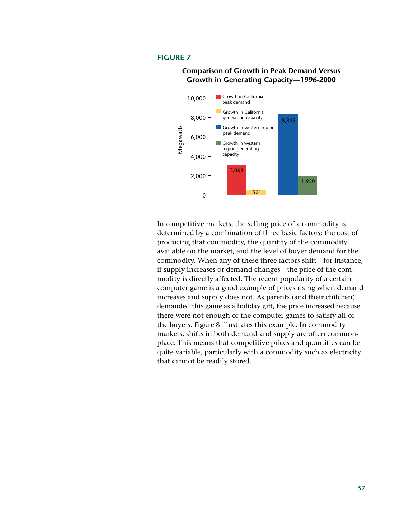#### **FIGURE 7**



#### **Comparison of Growth in Peak Demand Versus Growth in Generating Capacity—1996-2000**

In competitive markets, the selling price of a commodity is determined by a combination of three basic factors: the cost of producing that commodity, the quantity of the commodity available on the market, and the level of buyer demand for the commodity. When any of these three factors shift—for instance, if supply increases or demand changes—the price of the commodity is directly affected. The recent popularity of a certain computer game is a good example of prices rising when demand increases and supply does not. As parents (and their children) demanded this game as a holiday gift, the price increased because there were not enough of the computer games to satisfy all of the buyers. Figure 8 illustrates this example. In commodity markets, shifts in both demand and supply are often commonplace. This means that competitive prices and quantities can be quite variable, particularly with a commodity such as electricity that cannot be readily stored.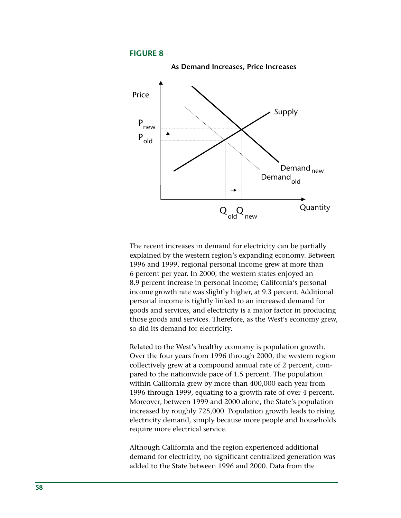#### **FIGURE 8**



The recent increases in demand for electricity can be partially explained by the western region's expanding economy. Between 1996 and 1999, regional personal income grew at more than 6 percent per year. In 2000, the western states enjoyed an 8.9 percent increase in personal income; California's personal income growth rate was slightly higher, at 9.3 percent. Additional personal income is tightly linked to an increased demand for goods and services, and electricity is a major factor in producing those goods and services. Therefore, as the West's economy grew, so did its demand for electricity.

Related to the West's healthy economy is population growth. Over the four years from 1996 through 2000, the western region collectively grew at a compound annual rate of 2 percent, compared to the nationwide pace of 1.5 percent. The population within California grew by more than 400,000 each year from 1996 through 1999, equating to a growth rate of over 4 percent. Moreover, between 1999 and 2000 alone, the State's population increased by roughly 725,000. Population growth leads to rising electricity demand, simply because more people and households require more electrical service.

Although California and the region experienced additional demand for electricity, no significant centralized generation was added to the State between 1996 and 2000. Data from the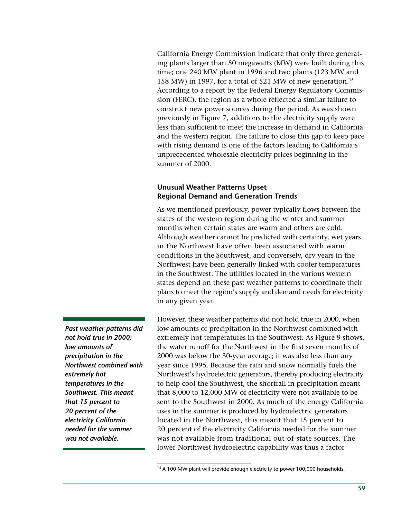California Energy Commission indicate that only three generating plants larger than 50 megawatts (MW) were built during this time; one 240 MW plant in 1996 and two plants (123 MW and 158 MW) in 1997, for a total of 521 MW of new generation.15 According to a report by the Federal Energy Regulatory Commission (FERC), the region as a whole reflected a similar failure to construct new power sources during the period. As was shown previously in Figure 7, additions to the electricity supply were less than sufficient to meet the increase in demand in California and the western region. The failure to close this gap to keep pace with rising demand is one of the factors leading to California's unprecedented wholesale electricity prices beginning in the summer of 2000.

#### **Unusual Weather Patterns Upset Regional Demand and Generation Trends**

As we mentioned previously, power typically flows between the states of the western region during the winter and summer months when certain states are warm and others are cold. Although weather cannot be predicted with certainty, wet years in the Northwest have often been associated with warm conditions in the Southwest, and conversely, dry years in the Northwest have been generally linked with cooler temperatures in the Southwest. The utilities located in the various western states depend on these past weather patterns to coordinate their plans to meet the region's supply and demand needs for electricity in any given year.

However, these weather patterns did not hold true in 2000, when low amounts of precipitation in the Northwest combined with extremely hot temperatures in the Southwest. As Figure 9 shows, the water runoff for the Northwest in the first seven months of 2000 was below the 30-year average; it was also less than any year since 1995. Because the rain and snow normally fuels the Northwest's hydroelectric generators, thereby producing electricity to help cool the Southwest, the shortfall in precipitation meant that 8,000 to 12,000 MW of electricity were not available to be sent to the Southwest in 2000. As much of the energy California uses in the summer is produced by hydroelectric generators located in the Northwest, this meant that 15 percent to 20 percent of the electricity California needed for the summer was not available from traditional out-of-state sources. The lower Northwest hydroelectric capability was thus a factor

*Past weather patterns did not hold true in 2000; low amounts of precipitation in the Northwest combined with extremely hot temperatures in the Southwest. This meant that 15 percent to 20 percent of the electricity California needed for the summer was not available.*

<sup>&</sup>lt;sup>15</sup> A 100 MW plant will provide enough electricity to power 100,000 households.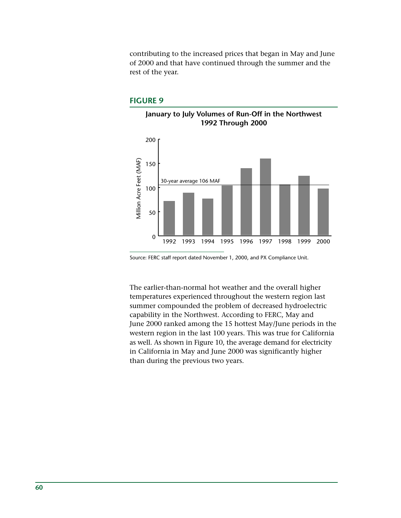contributing to the increased prices that began in May and June of 2000 and that have continued through the summer and the rest of the year.

#### **FIGURE 9**



Source: FERC staff report dated November 1, 2000, and PX Compliance Unit.

The earlier-than-normal hot weather and the overall higher temperatures experienced throughout the western region last summer compounded the problem of decreased hydroelectric capability in the Northwest. According to FERC, May and June 2000 ranked among the 15 hottest May/June periods in the western region in the last 100 years. This was true for California as well. As shown in Figure 10, the average demand for electricity in California in May and June 2000 was significantly higher than during the previous two years.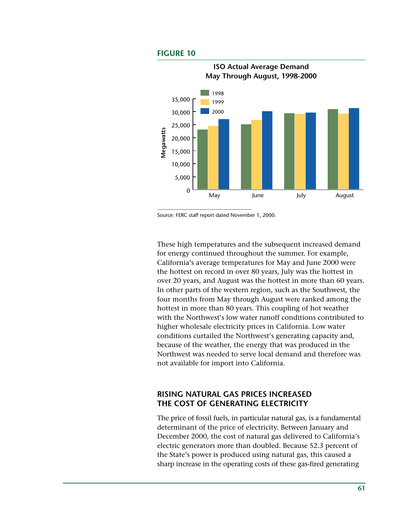#### **FIGURE 10**



Source: FERC staff report dated November 1, 2000.

These high temperatures and the subsequent increased demand for energy continued throughout the summer. For example, California's average temperatures for May and June 2000 were the hottest on record in over 80 years, July was the hottest in over 20 years, and August was the hottest in more than 60 years. In other parts of the western region, such as the Southwest, the four months from May through August were ranked among the hottest in more than 80 years. This coupling of hot weather with the Northwest's low water runoff conditions contributed to higher wholesale electricity prices in California. Low water conditions curtailed the Northwest's generating capacity and, because of the weather, the energy that was produced in the Northwest was needed to serve local demand and therefore was not available for import into California.

# **RISING NATURAL GAS PRICES INCREASED THE COST OF GENERATING ELECTRICITY**

The price of fossil fuels, in particular natural gas, is a fundamental determinant of the price of electricity. Between January and December 2000, the cost of natural gas delivered to California's electric generators more than doubled. Because 52.3 percent of the State's power is produced using natural gas, this caused a sharp increase in the operating costs of these gas-fired generating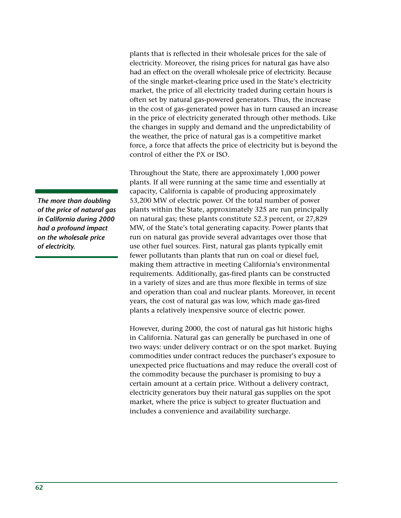plants that is reflected in their wholesale prices for the sale of electricity. Moreover, the rising prices for natural gas have also had an effect on the overall wholesale price of electricity. Because of the single market-clearing price used in the State's electricity market, the price of all electricity traded during certain hours is often set by natural gas-powered generators. Thus, the increase in the cost of gas-generated power has in turn caused an increase in the price of electricity generated through other methods. Like the changes in supply and demand and the unpredictability of the weather, the price of natural gas is a competitive market force, a force that affects the price of electricity but is beyond the control of either the PX or ISO.

Throughout the State, there are approximately 1,000 power plants. If all were running at the same time and essentially at capacity, California is capable of producing approximately 53,200 MW of electric power. Of the total number of power plants within the State, approximately 325 are run principally on natural gas; these plants constitute 52.3 percent, or 27,829 MW, of the State's total generating capacity. Power plants that run on natural gas provide several advantages over those that use other fuel sources. First, natural gas plants typically emit fewer pollutants than plants that run on coal or diesel fuel, making them attractive in meeting California's environmental requirements. Additionally, gas-fired plants can be constructed in a variety of sizes and are thus more flexible in terms of size and operation than coal and nuclear plants. Moreover, in recent years, the cost of natural gas was low, which made gas-fired plants a relatively inexpensive source of electric power.

However, during 2000, the cost of natural gas hit historic highs in California. Natural gas can generally be purchased in one of two ways: under delivery contract or on the spot market. Buying commodities under contract reduces the purchaser's exposure to unexpected price fluctuations and may reduce the overall cost of the commodity because the purchaser is promising to buy a certain amount at a certain price. Without a delivery contract, electricity generators buy their natural gas supplies on the spot market, where the price is subject to greater fluctuation and includes a convenience and availability surcharge.

*The more than doubling of the price of natural gas in California during 2000 had a profound impact on the wholesale price of electricity.*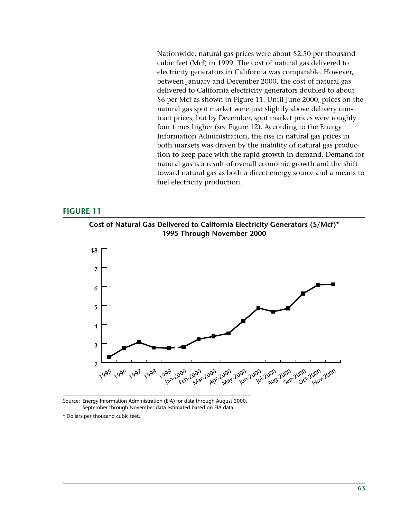Nationwide, natural gas prices were about \$2.50 per thousand cubic feet (Mcf) in 1999. The cost of natural gas delivered to electricity generators in California was comparable. However, between January and December 2000, the cost of natural gas delivered to California electricity generators doubled to about \$6 per Mcf as shown in Figure 11. Until June 2000, prices on the natural gas spot market were just slightly above delivery contract prices, but by December, spot market prices were roughly four times higher (see Figure 12). According to the Energy Information Administration, the rise in natural gas prices in both markets was driven by the inability of natural gas production to keep pace with the rapid growth in demand. Demand for natural gas is a result of overall economic growth and the shift toward natural gas as both a direct energy source and a means to fuel electricity production.

#### **FIGURE 11**

**Cost of Natural Gas Delivered to California Electricity Generators (\$/Mcf)\* 1995 Through November 2000**



Source: Energy Information Administration (EIA) for data through August 2000. September through November data estimated based on EIA data.

\* Dollars per thousand cubic feet.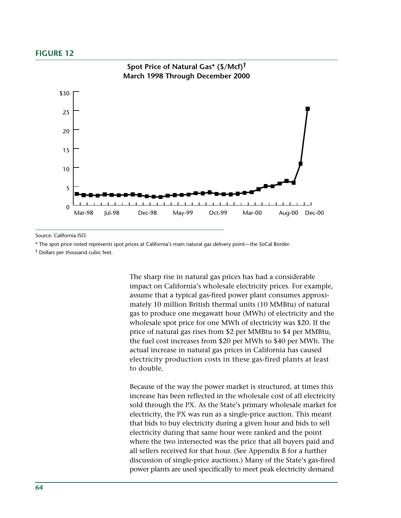#### **FIGURE 12**



Source: California ISO.

\* The spot price noted represents spot prices at California's main natural gas delivery point—the SoCal Border.

† Dollars per thousand cubic feet.

The sharp rise in natural gas prices has had a considerable impact on California's wholesale electricity prices. For example, assume that a typical gas-fired power plant consumes approximately 10 million British thermal units (10 MMBtu) of natural gas to produce one megawatt hour (MWh) of electricity and the wholesale spot price for one MWh of electricity was \$20. If the price of natural gas rises from \$2 per MMBtu to \$4 per MMBtu, the fuel cost increases from \$20 per MWh to \$40 per MWh. The actual increase in natural gas prices in California has caused electricity production costs in these gas-fired plants at least to double.

Because of the way the power market is structured, at times this increase has been reflected in the wholesale cost of all electricity sold through the PX. As the State's primary wholesale market for electricity, the PX was run as a single-price auction. This meant that bids to buy electricity during a given hour and bids to sell electricity during that same hour were ranked and the point where the two intersected was the price that all buyers paid and all sellers received for that hour. (See Appendix B for a further discussion of single-price auctions.) Many of the State's gas-fired power plants are used specifically to meet peak electricity demand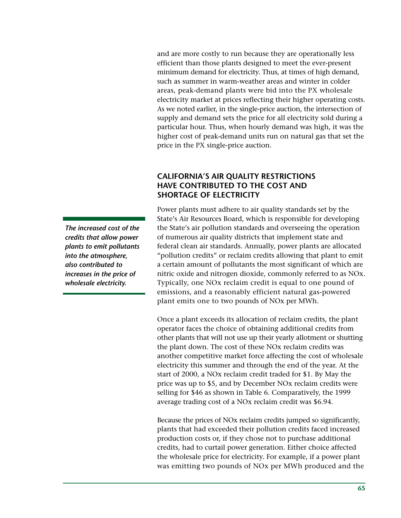and are more costly to run because they are operationally less efficient than those plants designed to meet the ever-present minimum demand for electricity. Thus, at times of high demand, such as summer in warm-weather areas and winter in colder areas, peak-demand plants were bid into the PX wholesale electricity market at prices reflecting their higher operating costs. As we noted earlier, in the single-price auction, the intersection of supply and demand sets the price for all electricity sold during a particular hour. Thus, when hourly demand was high, it was the higher cost of peak-demand units run on natural gas that set the price in the PX single-price auction.

# **CALIFORNIA'S AIR QUALITY RESTRICTIONS HAVE CONTRIBUTED TO THE COST AND SHORTAGE OF ELECTRICITY**

Power plants must adhere to air quality standards set by the State's Air Resources Board, which is responsible for developing the State's air pollution standards and overseeing the operation of numerous air quality districts that implement state and federal clean air standards. Annually, power plants are allocated "pollution credits" or reclaim credits allowing that plant to emit a certain amount of pollutants the most significant of which are nitric oxide and nitrogen dioxide, commonly referred to as NOx. Typically, one NOx reclaim credit is equal to one pound of emissions, and a reasonably efficient natural gas-powered plant emits one to two pounds of NOx per MWh.

Once a plant exceeds its allocation of reclaim credits, the plant operator faces the choice of obtaining additional credits from other plants that will not use up their yearly allotment or shutting the plant down. The cost of these NOx reclaim credits was another competitive market force affecting the cost of wholesale electricity this summer and through the end of the year. At the start of 2000, a NOx reclaim credit traded for \$1. By May the price was up to \$5, and by December NOx reclaim credits were selling for \$46 as shown in Table 6. Comparatively, the 1999 average trading cost of a NOx reclaim credit was \$6.94.

Because the prices of NOx reclaim credits jumped so significantly, plants that had exceeded their pollution credits faced increased production costs or, if they chose not to purchase additional credits, had to curtail power generation. Either choice affected the wholesale price for electricity. For example, if a power plant was emitting two pounds of NOx per MWh produced and the

*The increased cost of the credits that allow power plants to emit pollutants into the atmosphere, also contributed to increases in the price of wholesale electricity.*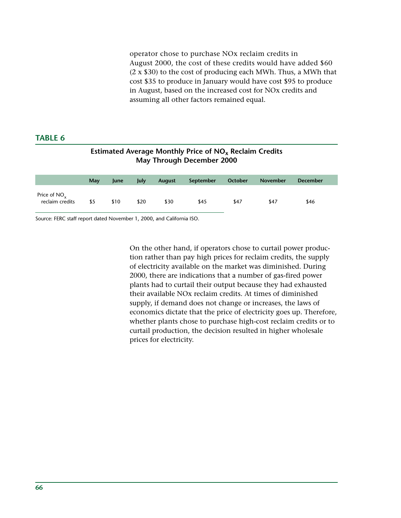operator chose to purchase NOx reclaim credits in August 2000, the cost of these credits would have added \$60 (2 x \$30) to the cost of producing each MWh. Thus, a MWh that cost \$35 to produce in January would have cost \$95 to produce in August, based on the increased cost for NOx credits and assuming all other factors remained equal.

# **TABLE 6**

| Estimated Average Monthly Price of $NOx$ Reclaim Credits<br>May Through December 2000 |     |             |      |               |           |         |                 |                 |  |  |
|---------------------------------------------------------------------------------------|-----|-------------|------|---------------|-----------|---------|-----------------|-----------------|--|--|
|                                                                                       | May | <b>lune</b> | July | <b>August</b> | September | October | <b>November</b> | <b>December</b> |  |  |
| Price of $NO_x$<br>reclaim credits                                                    | \$5 | \$10        | \$20 | \$30          | \$45      | \$47    | \$47            | \$46            |  |  |

Source: FERC staff report dated November 1, 2000, and California ISO.

On the other hand, if operators chose to curtail power production rather than pay high prices for reclaim credits, the supply of electricity available on the market was diminished. During 2000, there are indications that a number of gas-fired power plants had to curtail their output because they had exhausted their available NOx reclaim credits. At times of diminished supply, if demand does not change or increases, the laws of economics dictate that the price of electricity goes up. Therefore, whether plants chose to purchase high-cost reclaim credits or to curtail production, the decision resulted in higher wholesale prices for electricity.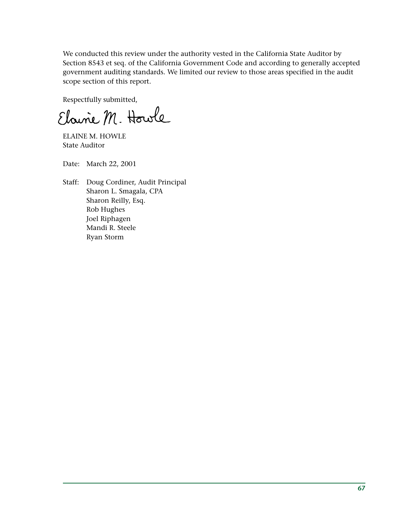We conducted this review under the authority vested in the California State Auditor by Section 8543 et seq. of the California Government Code and according to generally accepted government auditing standards. We limited our review to those areas specified in the audit scope section of this report.

Respectfully submitted,

Elaine M. Howle

ELAINE M. HOWLE State Auditor

Date: March 22, 2001

Staff: Doug Cordiner, Audit Principal Sharon L. Smagala, CPA Sharon Reilly, Esq. Rob Hughes Joel Riphagen Mandi R. Steele Ryan Storm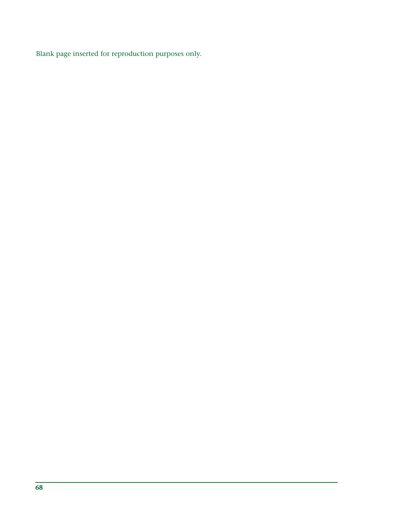Blank page inserted for reproduction purposes only.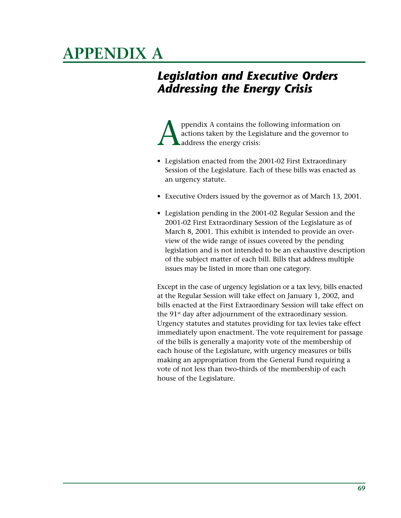# **APPENDIX A**

# *Legislation and Executive Orders Addressing the Energy Crisis*

ppendix A contains the following information on<br>actions taken by the Legislature and the governor<br>address the energy crisis: actions taken by the Legislature and the governor to address the energy crisis:

- Legislation enacted from the 2001-02 First Extraordinary Session of the Legislature. Each of these bills was enacted as an urgency statute.
- Executive Orders issued by the governor as of March 13, 2001.
- Legislation pending in the 2001-02 Regular Session and the 2001-02 First Extraordinary Session of the Legislature as of March 8, 2001. This exhibit is intended to provide an overview of the wide range of issues covered by the pending legislation and is not intended to be an exhaustive description of the subject matter of each bill. Bills that address multiple issues may be listed in more than one category.

Except in the case of urgency legislation or a tax levy, bills enacted at the Regular Session will take effect on January 1, 2002, and bills enacted at the First Extraordinary Session will take effect on the 91<sup>st</sup> day after adjournment of the extraordinary session. Urgency statutes and statutes providing for tax levies take effect immediately upon enactment. The vote requirement for passage of the bills is generally a majority vote of the membership of each house of the Legislature, with urgency measures or bills making an appropriation from the General Fund requiring a vote of not less than two-thirds of the membership of each house of the Legislature.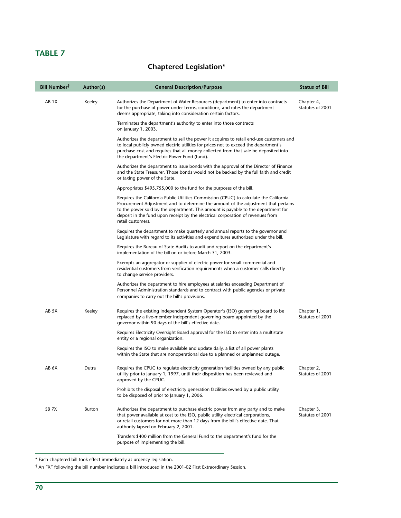## **TABLE 7**

# **Chaptered Legislation\***

| <b>Bill Number<sup>T</sup></b> | Author(s) | <b>General Description/Purpose</b>                                                                                                                                                                                                                                                                                                                                        | <b>Status of Bill</b>          |
|--------------------------------|-----------|---------------------------------------------------------------------------------------------------------------------------------------------------------------------------------------------------------------------------------------------------------------------------------------------------------------------------------------------------------------------------|--------------------------------|
| AB 1X                          | Keeley    | Authorizes the Department of Water Resources (department) to enter into contracts<br>for the purchase of power under terms, conditions, and rates the department<br>deems appropriate, taking into consideration certain factors.                                                                                                                                         | Chapter 4,<br>Statutes of 2001 |
|                                |           | Terminates the department's authority to enter into those contracts<br>on January 1, 2003.                                                                                                                                                                                                                                                                                |                                |
|                                |           | Authorizes the department to sell the power it acquires to retail end-use customers and<br>to local publicly owned electric utilities for prices not to exceed the department's<br>purchase cost and requires that all money collected from that sale be deposited into<br>the department's Electric Power Fund (fund).                                                   |                                |
|                                |           | Authorizes the department to issue bonds with the approval of the Director of Finance<br>and the State Treasurer. Those bonds would not be backed by the full faith and credit<br>or taxing power of the State.                                                                                                                                                           |                                |
|                                |           | Appropriates \$495,755,000 to the fund for the purposes of the bill.                                                                                                                                                                                                                                                                                                      |                                |
|                                |           | Requires the California Public Utilities Commission (CPUC) to calculate the California<br>Procurement Adjustment and to determine the amount of the adjustment that pertains<br>to the power sold by the department. This amount is payable to the department for<br>deposit in the fund upon receipt by the electrical corporation of revenues from<br>retail customers. |                                |
|                                |           | Requires the department to make quarterly and annual reports to the governor and<br>Legislature with regard to its activities and expenditures authorized under the bill.                                                                                                                                                                                                 |                                |
|                                |           | Requires the Bureau of State Audits to audit and report on the department's<br>implementation of the bill on or before March 31, 2003.                                                                                                                                                                                                                                    |                                |
|                                |           | Exempts an aggregator or supplier of electric power for small commercial and<br>residential customers from verification requirements when a customer calls directly<br>to change service providers.                                                                                                                                                                       |                                |
|                                |           | Authorizes the department to hire employees at salaries exceeding Department of<br>Personnel Administration standards and to contract with public agencies or private<br>companies to carry out the bill's provisions.                                                                                                                                                    |                                |
| AB 5X                          | Keeley    | Requires the existing Independent System Operator's (ISO) governing board to be<br>replaced by a five-member independent governing board appointed by the<br>governor within 90 days of the bill's effective date.                                                                                                                                                        | Chapter 1,<br>Statutes of 2001 |
|                                |           | Requires Electricity Oversight Board approval for the ISO to enter into a multistate<br>entity or a regional organization.                                                                                                                                                                                                                                                |                                |
|                                |           | Requires the ISO to make available and update daily, a list of all power plants<br>within the State that are nonoperational due to a planned or unplanned outage.                                                                                                                                                                                                         |                                |
| AB 6X                          | Dutra     | Requires the CPUC to regulate electricity generation facilities owned by any public<br>utility prior to January 1, 1997, until their disposition has been reviewed and<br>approved by the CPUC.                                                                                                                                                                           | Chapter 2,<br>Statutes of 2001 |
|                                |           | Prohibits the disposal of electricity generation facilities owned by a public utility<br>to be disposed of prior to January 1, 2006.                                                                                                                                                                                                                                      |                                |
| SB <sub>7</sub> X              | Burton    | Authorizes the department to purchase electric power from any party and to make<br>that power available at cost to the ISO, public utility electrical corporations,<br>or retail customers for not more than 12 days from the bill's effective date. That<br>authority lapsed on February 2, 2001.                                                                        | Chapter 3,<br>Statutes of 2001 |
|                                |           | Transfers \$400 million from the General Fund to the department's fund for the<br>purpose of implementing the bill.                                                                                                                                                                                                                                                       |                                |

\* Each chaptered bill took effect immediately as urgency legislation.

† An "X" following the bill number indicates a bill introduced in the 2001-02 First Extraordinary Session.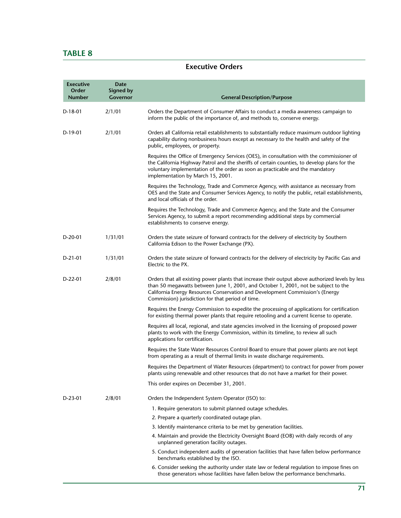# **TABLE 8**

## **Executive Orders**

| <b>Executive</b><br>Order<br><b>Number</b> | Date<br>Signed by<br>Governor | <b>General Description/Purpose</b>                                                                                                                                                                                                                                                                                           |
|--------------------------------------------|-------------------------------|------------------------------------------------------------------------------------------------------------------------------------------------------------------------------------------------------------------------------------------------------------------------------------------------------------------------------|
| D-18-01                                    | 2/1/01                        | Orders the Department of Consumer Affairs to conduct a media awareness campaign to<br>inform the public of the importance of, and methods to, conserve energy.                                                                                                                                                               |
| $D-19-01$                                  | 2/1/01                        | Orders all California retail establishments to substantially reduce maximum outdoor lighting<br>capability during nonbusiness hours except as necessary to the health and safety of the<br>public, employees, or property.                                                                                                   |
|                                            |                               | Requires the Office of Emergency Services (OES), in consultation with the commissioner of<br>the California Highway Patrol and the sheriffs of certain counties, to develop plans for the<br>voluntary implementation of the order as soon as practicable and the mandatory<br>implementation by March 15, 2001.             |
|                                            |                               | Requires the Technology, Trade and Commerce Agency, with assistance as necessary from<br>OES and the State and Consumer Services Agency, to notify the public, retail establishments,<br>and local officials of the order.                                                                                                   |
|                                            |                               | Requires the Technology, Trade and Commerce Agency, and the State and the Consumer<br>Services Agency, to submit a report recommending additional steps by commercial<br>establishments to conserve energy.                                                                                                                  |
| $D-20-01$                                  | 1/31/01                       | Orders the state seizure of forward contracts for the delivery of electricity by Southern<br>California Edison to the Power Exchange (PX).                                                                                                                                                                                   |
| $D-21-01$                                  | 1/31/01                       | Orders the state seizure of forward contracts for the delivery of electricity by Pacific Gas and<br>Electric to the PX.                                                                                                                                                                                                      |
| $D-22-01$                                  | 2/8/01                        | Orders that all existing power plants that increase their output above authorized levels by less<br>than 50 megawatts between June 1, 2001, and October 1, 2001, not be subject to the<br>California Energy Resources Conservation and Development Commission's (Energy<br>Commission) jurisdiction for that period of time. |
|                                            |                               | Requires the Energy Commission to expedite the processing of applications for certification<br>for existing thermal power plants that require retooling and a current license to operate.                                                                                                                                    |
|                                            |                               | Requires all local, regional, and state agencies involved in the licensing of proposed power<br>plants to work with the Energy Commission, within its timeline, to review all such<br>applications for certification.                                                                                                        |
|                                            |                               | Requires the State Water Resources Control Board to ensure that power plants are not kept<br>from operating as a result of thermal limits in waste discharge requirements.                                                                                                                                                   |
|                                            |                               | Requires the Department of Water Resources (department) to contract for power from power<br>plants using renewable and other resources that do not have a market for their power.                                                                                                                                            |
|                                            |                               | This order expires on December 31, 2001.                                                                                                                                                                                                                                                                                     |
| D-23-01                                    | 2/8/01                        | Orders the Independent System Operator (ISO) to:                                                                                                                                                                                                                                                                             |
|                                            |                               | 1. Require generators to submit planned outage schedules.                                                                                                                                                                                                                                                                    |
|                                            |                               | 2. Prepare a quarterly coordinated outage plan.                                                                                                                                                                                                                                                                              |
|                                            |                               | 3. Identify maintenance criteria to be met by generation facilities.                                                                                                                                                                                                                                                         |
|                                            |                               | 4. Maintain and provide the Electricity Oversight Board (EOB) with daily records of any<br>unplanned generation facility outages.                                                                                                                                                                                            |
|                                            |                               | 5. Conduct independent audits of generation facilities that have fallen below performance<br>benchmarks established by the ISO.                                                                                                                                                                                              |
|                                            |                               | 6. Consider seeking the authority under state law or federal regulation to impose fines on<br>those generators whose facilities have fallen below the performance benchmarks.                                                                                                                                                |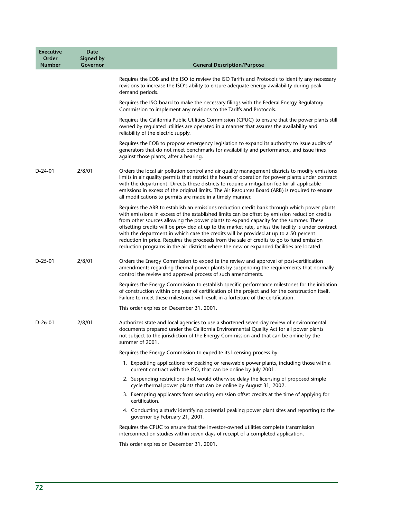| <b>Executive</b><br>Order<br><b>Number</b> | <b>Date</b><br>Signed by<br>Governor | <b>General Description/Purpose</b>                                                                                                                                                                                                                                                                                                                                                                                                                                                                                                                                                                                                                                              |
|--------------------------------------------|--------------------------------------|---------------------------------------------------------------------------------------------------------------------------------------------------------------------------------------------------------------------------------------------------------------------------------------------------------------------------------------------------------------------------------------------------------------------------------------------------------------------------------------------------------------------------------------------------------------------------------------------------------------------------------------------------------------------------------|
|                                            |                                      | Requires the EOB and the ISO to review the ISO Tariffs and Protocols to identify any necessary<br>revisions to increase the ISO's ability to ensure adequate energy availability during peak<br>demand periods.                                                                                                                                                                                                                                                                                                                                                                                                                                                                 |
|                                            |                                      | Requires the ISO board to make the necessary filings with the Federal Energy Regulatory<br>Commission to implement any revisions to the Tariffs and Protocols.                                                                                                                                                                                                                                                                                                                                                                                                                                                                                                                  |
|                                            |                                      | Requires the California Public Utilities Commission (CPUC) to ensure that the power plants still<br>owned by regulated utilities are operated in a manner that assures the availability and<br>reliability of the electric supply.                                                                                                                                                                                                                                                                                                                                                                                                                                              |
|                                            |                                      | Requires the EOB to propose emergency legislation to expand its authority to issue audits of<br>generators that do not meet benchmarks for availability and performance, and issue fines<br>against those plants, after a hearing.                                                                                                                                                                                                                                                                                                                                                                                                                                              |
| $D-24-01$                                  | 2/8/01                               | Orders the local air pollution control and air quality management districts to modify emissions<br>limits in air quality permits that restrict the hours of operation for power plants under contract<br>with the department. Directs these districts to require a mitigation fee for all applicable<br>emissions in excess of the original limits. The Air Resources Board (ARB) is required to ensure<br>all modifications to permits are made in a timely manner.                                                                                                                                                                                                            |
|                                            |                                      | Requires the ARB to establish an emissions reduction credit bank through which power plants<br>with emissions in excess of the established limits can be offset by emission reduction credits<br>from other sources allowing the power plants to expand capacity for the summer. These<br>offsetting credits will be provided at up to the market rate, unless the facility is under contract<br>with the department in which case the credits will be provided at up to a 50 percent<br>reduction in price. Requires the proceeds from the sale of credits to go to fund emission<br>reduction programs in the air districts where the new or expanded facilities are located. |
| $D-25-01$                                  | 2/8/01                               | Orders the Energy Commission to expedite the review and approval of post-certification<br>amendments regarding thermal power plants by suspending the requirements that normally<br>control the review and approval process of such amendments.                                                                                                                                                                                                                                                                                                                                                                                                                                 |
|                                            |                                      | Requires the Energy Commission to establish specific performance milestones for the initiation<br>of construction within one year of certification of the project and for the construction itself.<br>Failure to meet these milestones will result in a forfeiture of the certification.                                                                                                                                                                                                                                                                                                                                                                                        |
|                                            |                                      | This order expires on December 31, 2001.                                                                                                                                                                                                                                                                                                                                                                                                                                                                                                                                                                                                                                        |
| $D-26-01$                                  | 2/8/01                               | Authorizes state and local agencies to use a shortened seven-day review of environmental<br>documents prepared under the California Environmental Quality Act for all power plants<br>not subject to the jurisdiction of the Energy Commission and that can be online by the<br>summer of 2001.                                                                                                                                                                                                                                                                                                                                                                                 |
|                                            |                                      | Requires the Energy Commission to expedite its licensing process by:                                                                                                                                                                                                                                                                                                                                                                                                                                                                                                                                                                                                            |
|                                            |                                      | 1. Expediting applications for peaking or renewable power plants, including those with a<br>current contract with the ISO, that can be online by July 2001.                                                                                                                                                                                                                                                                                                                                                                                                                                                                                                                     |
|                                            |                                      | 2. Suspending restrictions that would otherwise delay the licensing of proposed simple<br>cycle thermal power plants that can be online by August 31, 2002.                                                                                                                                                                                                                                                                                                                                                                                                                                                                                                                     |
|                                            |                                      | 3. Exempting applicants from securing emission offset credits at the time of applying for<br>certification.                                                                                                                                                                                                                                                                                                                                                                                                                                                                                                                                                                     |
|                                            |                                      | 4. Conducting a study identifying potential peaking power plant sites and reporting to the<br>governor by February 21, 2001.                                                                                                                                                                                                                                                                                                                                                                                                                                                                                                                                                    |
|                                            |                                      | Requires the CPUC to ensure that the investor-owned utilities complete transmission<br>interconnection studies within seven days of receipt of a completed application.                                                                                                                                                                                                                                                                                                                                                                                                                                                                                                         |
|                                            |                                      | This order expires on December 31, 2001.                                                                                                                                                                                                                                                                                                                                                                                                                                                                                                                                                                                                                                        |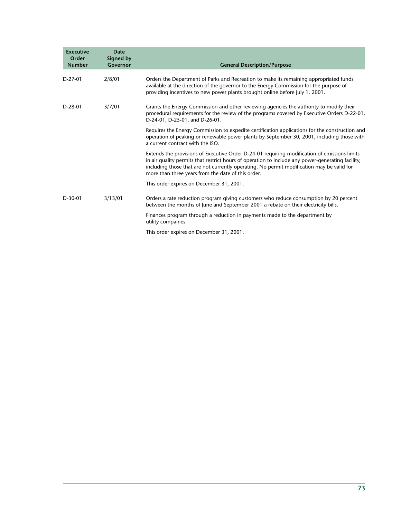| <b>Executive</b><br>Order<br><b>Number</b> | <b>Date</b><br><b>Signed by</b><br>Governor | <b>General Description/Purpose</b>                                                                                                                                                                                                                                                                                                                   |
|--------------------------------------------|---------------------------------------------|------------------------------------------------------------------------------------------------------------------------------------------------------------------------------------------------------------------------------------------------------------------------------------------------------------------------------------------------------|
| $D-27-01$                                  | 2/8/01                                      | Orders the Department of Parks and Recreation to make its remaining appropriated funds<br>available at the direction of the governor to the Energy Commission for the purpose of<br>providing incentives to new power plants brought online before July 1, 2001.                                                                                     |
| $D-28-01$                                  | 3/7/01                                      | Grants the Energy Commission and other reviewing agencies the authority to modify their<br>procedural requirements for the review of the programs covered by Executive Orders D-22-01,<br>D-24-01, D-25-01, and D-26-01.                                                                                                                             |
|                                            |                                             | Requires the Energy Commission to expedite certification applications for the construction and<br>operation of peaking or renewable power plants by September 30, 2001, including those with<br>a current contract with the ISO.                                                                                                                     |
|                                            |                                             | Extends the provisions of Executive Order D-24-01 requiring modification of emissions limits<br>in air quality permits that restrict hours of operation to include any power-generating facility,<br>including those that are not currently operating. No permit modification may be valid for<br>more than three years from the date of this order. |
|                                            |                                             | This order expires on December 31, 2001.                                                                                                                                                                                                                                                                                                             |
| $D-30-01$                                  | 3/13/01                                     | Orders a rate reduction program giving customers who reduce consumption by 20 percent<br>between the months of June and September 2001 a rebate on their electricity bills.                                                                                                                                                                          |
|                                            |                                             | Finances program through a reduction in payments made to the department by<br>utility companies.                                                                                                                                                                                                                                                     |
|                                            |                                             | This order expires on December 31, 2001.                                                                                                                                                                                                                                                                                                             |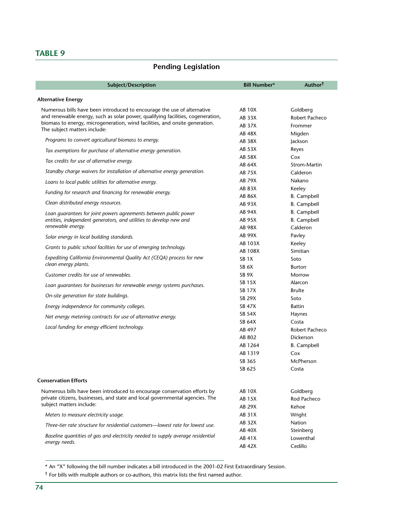# **Pending Legislation**

| Subject/Description                                                                                                                    | <b>Bill Number*</b>     | Author <sup>†</sup>          |
|----------------------------------------------------------------------------------------------------------------------------------------|-------------------------|------------------------------|
| <b>Alternative Energy</b>                                                                                                              |                         |                              |
| Numerous bills have been introduced to encourage the use of alternative                                                                | AB 10X                  | Goldberg                     |
| and renewable energy, such as solar power, qualifying facilities, cogeneration,                                                        | <b>AB 33X</b>           | Robert Pacheco               |
| biomass to energy, microgeneration, wind facilities, and onsite generation.                                                            | AB 37X                  | Frommer                      |
| The subject matters include:                                                                                                           | AB 48X                  | Migden                       |
| Programs to convert agricultural biomass to energy.                                                                                    | <b>AB 38X</b>           | Jackson                      |
| Tax exemptions for purchase of alternative energy generation.                                                                          | AB 53X                  | Reyes                        |
| Tax credits for use of alternative energy.                                                                                             | <b>AB 58X</b>           | Cox                          |
| Standby charge waivers for installation of alternative energy generation.                                                              | AB 64X                  | Strom-Martin                 |
|                                                                                                                                        | <b>AB 75X</b>           | Calderon                     |
| Loans to local public utilities for alternative energy.                                                                                | <b>AB 79X</b><br>AB 83X | Nakano                       |
| Funding for research and financing for renewable energy.                                                                               | <b>AB 86X</b>           | Keeley<br><b>B.</b> Campbell |
| Clean distributed energy resources.                                                                                                    | AB 93X                  | <b>B.</b> Campbell           |
|                                                                                                                                        | AB 94X                  | <b>B.</b> Campbell           |
| Loan quarantees for joint powers agreements between public power<br>entities, independent generators, and utilities to develop new and | AB 95X                  | <b>B.</b> Campbell           |
| renewable energy.                                                                                                                      | <b>AB 98X</b>           | Calderon                     |
| Solar energy in local building standards.                                                                                              | AB 99X                  | Pavley                       |
|                                                                                                                                        | AB 103X                 | Keeley                       |
| Grants to public school facilities for use of emerging technology.                                                                     | <b>AB 108X</b>          | Simitian                     |
| Expediting California Environmental Quality Act (CEQA) process for new                                                                 | SB <sub>1</sub> X       | Soto                         |
| clean energy plants.                                                                                                                   | SB <sub>6</sub> X       | <b>Burton</b>                |
| Customer credits for use of renewables.                                                                                                | SB <sub>9X</sub>        | Morrow                       |
| Loan guarantees for businesses for renewable energy systems purchases.                                                                 | <b>SB 15X</b>           | Alarcon                      |
|                                                                                                                                        | <b>SB 17X</b>           | <b>Brulte</b>                |
| On-site generation for state buildings.                                                                                                | <b>SB 29X</b>           | Soto                         |
| Energy independence for community colleges.                                                                                            | <b>SB 47X</b>           | <b>Battin</b>                |
| Net energy metering contracts for use of alternative energy.                                                                           | <b>SB 54X</b>           | Haynes                       |
| Local funding for energy efficient technology.                                                                                         | SB 64X                  | Costa                        |
|                                                                                                                                        | AB 497                  | Robert Pacheco               |
|                                                                                                                                        | AB 802                  | <b>Dickerson</b>             |
|                                                                                                                                        | AB 1264                 | <b>B.</b> Campbell           |
|                                                                                                                                        | AB 1319                 | Cox                          |
|                                                                                                                                        | SB 365                  | McPherson                    |
|                                                                                                                                        | SB 625                  | Costa                        |
| <b>Conservation Efforts</b>                                                                                                            |                         |                              |
| Numerous bills have been introduced to encourage conservation efforts by                                                               | <b>AB 10X</b>           | Goldberg                     |
| private citizens, businesses, and state and local governmental agencies. The                                                           | AB 15X                  | Rod Pacheco                  |
| subject matters include:                                                                                                               | AB 29X                  | Kehoe                        |
| Meters to measure electricity usage.                                                                                                   | <b>AB 31X</b>           | Wright                       |
| Three-tier rate structure for residential customers—lowest rate for lowest use.                                                        | AB 32X                  | Nation                       |
| Baseline quantities of gas and electricity needed to supply average residential                                                        | <b>AB 40X</b>           | Steinberg                    |
| energy needs.                                                                                                                          | AB 41X                  | Lowenthal                    |
|                                                                                                                                        | <b>AB 42X</b>           | Cedillo                      |

\* An "X" following the bill number indicates a bill introduced in the 2001-02 First Extraordinary Session.

† For bills with multiple authors or co-authors, this matrix lists the first named author.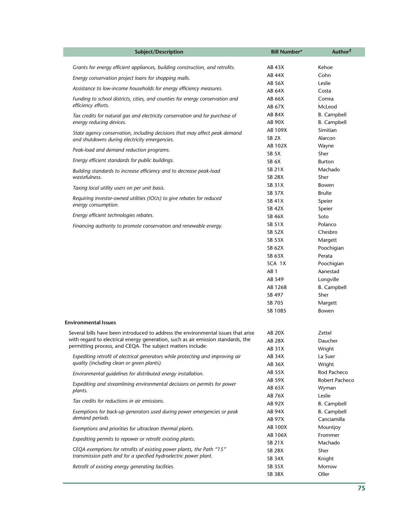| Subject/Description                                                                                                                       | <b>Bill Number*</b>            | Author <sup>†</sup> |
|-------------------------------------------------------------------------------------------------------------------------------------------|--------------------------------|---------------------|
| Grants for energy efficient appliances, building construction, and retrofits.                                                             | <b>AB 43X</b>                  | Kehoe               |
| Energy conservation project loans for shopping malls.                                                                                     | <b>AB 44X</b>                  | Cohn                |
|                                                                                                                                           | AB 56X                         | Leslie              |
| Assistance to low-income households for energy efficiency measures.                                                                       | AB 64X                         | Costa               |
| Funding to school districts, cities, and counties for energy conservation and                                                             | AB 66X                         | Correa              |
| efficiency efforts.                                                                                                                       | AB 67X                         | McLeod              |
| Tax credits for natural gas and electricity conservation and for purchase of                                                              | <b>AB 84X</b>                  | <b>B.</b> Campbell  |
| energy reducing devices.                                                                                                                  | <b>AB 90X</b>                  | <b>B.</b> Campbell  |
| State agency conservation, including decisions that may affect peak demand                                                                | AB 109X                        | Simitian            |
| and shutdowns during electricity emergencies.                                                                                             | SB <sub>2X</sub>               | Alarcon             |
| Peak-load and demand reduction programs.                                                                                                  | AB 102X                        | Wayne               |
|                                                                                                                                           | SB <sub>5</sub> X              | Sher                |
| Energy efficient standards for public buildings.                                                                                          | SB <sub>6</sub> X              | Burton              |
| Building standards to increase efficiency and to decrease peak-load                                                                       | <b>SB 21X</b>                  | Machado             |
| wastefulness.                                                                                                                             | <b>SB 28X</b>                  | Sher                |
| Taxing local utility users on per unit basis.                                                                                             | <b>SB 31X</b>                  | Bowen               |
| Requiring investor-owned utilities (IOUs) to give rebates for reduced                                                                     | <b>SB 37X</b><br><b>SB 41X</b> | <b>Brulte</b>       |
| energy consumption.                                                                                                                       | <b>SB 42X</b>                  | Speier              |
| Energy efficient technologies rebates.                                                                                                    | <b>SB 46X</b>                  | Speier<br>Soto      |
|                                                                                                                                           | <b>SB 51X</b>                  | Polanco             |
| Financing authority to promote conservation and renewable energy.                                                                         | <b>SB 52X</b>                  | Chesbro             |
|                                                                                                                                           | <b>SB 53X</b>                  | Margett             |
|                                                                                                                                           | SB 62X                         | Poochigian          |
|                                                                                                                                           | SB 63X                         | Perata              |
|                                                                                                                                           | SCA 1X                         | Poochigian          |
|                                                                                                                                           | AB <sub>1</sub>                | Aanestad            |
|                                                                                                                                           | AB 549                         | Longville           |
|                                                                                                                                           | AB 1268                        | <b>B.</b> Campbell  |
|                                                                                                                                           | SB 497                         | Sher                |
|                                                                                                                                           | SB 705                         | Margett             |
|                                                                                                                                           | SB 1085                        | Bowen               |
| <b>Environmental Issues</b>                                                                                                               |                                |                     |
| Several bills have been introduced to address the environmental issues that arise                                                         | AB 20X                         | Zettel              |
| with regard to electrical energy generation, such as air emission standards, the                                                          | AB 28X                         | Daucher             |
| permitting process, and CEQA. The subject matters include:                                                                                | AB 31X                         | Wright              |
| Expediting retrofit of electrical generators while protecting and improving air                                                           | AB 34X                         | La Suer             |
| quality (including clean or green plants).                                                                                                | AB 36X                         | Wright              |
| Environmental quidelines for distributed energy installation.                                                                             | AB 55X                         | Rod Pacheco         |
|                                                                                                                                           | AB 59X                         | Robert Pacheco      |
| Expediting and streamlining environmental decisions on permits for power<br>plants.                                                       | AB 65X                         | Wyman               |
|                                                                                                                                           | <b>AB 76X</b>                  | Leslie              |
| Tax credits for reductions in air emissions.                                                                                              | AB 92X                         | <b>B.</b> Campbell  |
| Exemptions for back-up generators used during power emergencies or peak                                                                   | AB 94X                         | <b>B.</b> Campbell  |
| demand periods.                                                                                                                           | <b>AB 97X</b>                  | Canciamilla         |
| Exemptions and priorities for ultraclean thermal plants.                                                                                  | AB 100X                        | Mountjoy            |
| Expediting permits to repower or retrofit existing plants.                                                                                | AB 106X                        | Frommer             |
|                                                                                                                                           | SB 21X                         | Machado             |
| CEQA exemptions for retrofits of existing power plants, the Path "15"<br>transmission path and for a specified hydroelectric power plant. | <b>SB 28X</b>                  | Sher                |
|                                                                                                                                           | SB 34X                         | Knight              |
| Retrofit of existing energy generating facilities.                                                                                        | <b>SB 35X</b>                  | Morrow              |
|                                                                                                                                           | <b>SB 38X</b>                  | Oller               |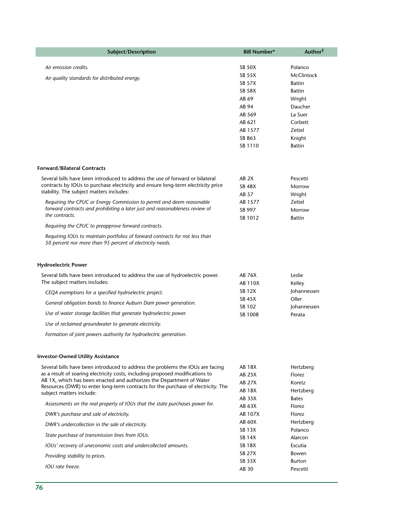| Subject/Description                                                                                                                       | <b>Bill Number*</b>            | Author <sup>†</sup> |
|-------------------------------------------------------------------------------------------------------------------------------------------|--------------------------------|---------------------|
|                                                                                                                                           |                                |                     |
| Air emission credits.                                                                                                                     | <b>SB 50X</b>                  | Polanco             |
| Air quality standards for distributed energy.                                                                                             | <b>SB 55X</b>                  | <b>McClintock</b>   |
|                                                                                                                                           | <b>SB 57X</b><br><b>SB 58X</b> | <b>Battin</b>       |
|                                                                                                                                           | AB 69                          | Battin              |
|                                                                                                                                           | AB 94                          | Wright<br>Daucher   |
|                                                                                                                                           | AB 569                         | La Suer             |
|                                                                                                                                           | AB 621                         | Corbett             |
|                                                                                                                                           | AB 1577                        | Zettel              |
|                                                                                                                                           | SB 863                         | Knight              |
|                                                                                                                                           | SB 1110                        | <b>Battin</b>       |
|                                                                                                                                           |                                |                     |
| <b>Forward/Bilateral Contracts</b>                                                                                                        |                                |                     |
| Several bills have been introduced to address the use of forward or bilateral                                                             | AB <sub>2X</sub>               | Pescetti            |
| contracts by IOUs to purchase electricity and ensure long-term electricity price                                                          | <b>SB 48X</b>                  | Morrow              |
| stability. The subject matters includes:                                                                                                  | AB 57                          | Wright              |
| Requiring the CPUC or Energy Commission to permit and deem reasonable                                                                     | AB 1577                        | Zettel              |
| forward contracts and prohibiting a later just and reasonableness review of                                                               | SB 997                         | Morrow              |
| the contracts.                                                                                                                            | SB 1012                        | <b>Battin</b>       |
| Requiring the CPUC to preapprove forward contracts.                                                                                       |                                |                     |
| Requiring IOUs to maintain portfolios of forward contracts for not less than<br>50 percent nor more than 95 percent of electricity needs. |                                |                     |
| <b>Hydroelectric Power</b>                                                                                                                |                                |                     |
| Several bills have been introduced to address the use of hydroelectric power.                                                             | AB 76X                         | Leslie              |
| The subject matters includes:                                                                                                             | AB 110X                        | Kelley              |
| CEQA exemptions for a specified hydroelectric project.                                                                                    | <b>SB 12X</b>                  | Johannessen         |
| General obligation bonds to finance Auburn Dam power generation.                                                                          | <b>SB 45X</b>                  | Oller               |
|                                                                                                                                           | SB 102                         | Johannessen         |
| Use of water storage facilities that generate hydroelectric power.                                                                        | SB 1008                        | Perata              |
| Use of reclaimed groundwater to generate electricity.                                                                                     |                                |                     |
| Formation of joint powers authority for hydroelectric generation.                                                                         |                                |                     |
| <b>Investor-Owned Utility Assistance</b>                                                                                                  |                                |                     |
| Several bills have been introduced to address the problems the IOUs are facing                                                            | AB 18X                         | Hertzberg           |
| as a result of soaring electricity costs, including proposed modifications to                                                             | <b>AB 25X</b>                  | Florez              |
| AB 1X, which has been enacted and authorizes the Department of Water                                                                      | <b>AB 27X</b>                  | Koretz              |
| Resources (DWR) to enter long-term contracts for the purchase of electricity. The                                                         | <b>AB 18X</b>                  | Hertzberg           |
| subject matters include:                                                                                                                  | <b>AB 35X</b>                  | <b>Bates</b>        |
| Assessments on the real property of IOUs that the state purchases power for.                                                              | AB 63X                         | Florez              |
| DWR's purchase and sale of electricity.                                                                                                   | AB 107X                        | Florez              |
| DWR's undercollection in the sale of electricity.                                                                                         | AB 60X                         | Hertzberg           |
| State purchase of transmission lines from IOUs.                                                                                           | <b>SB 13X</b>                  | Polanco             |
| IOUs' recovery of uneconomic costs and undercollected amounts.                                                                            | <b>SB 14X</b><br><b>SB 18X</b> | Alarcon<br>Escutia  |
|                                                                                                                                           | <b>SB 27X</b>                  | Bowen               |
| Providing stability to prices.                                                                                                            | SB 33X                         | Burton              |
| IOU rate freeze.                                                                                                                          | AB 30                          | Pescetti            |
|                                                                                                                                           |                                |                     |

p.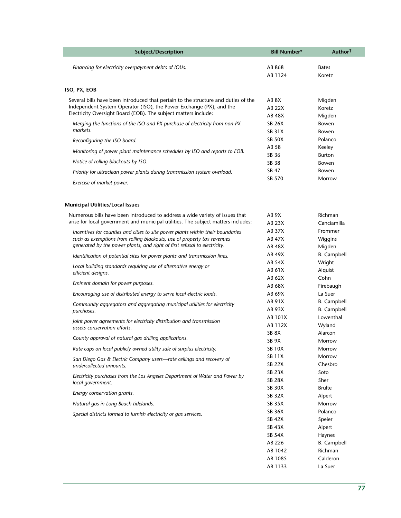| Subject/Description                                                                                                                    | <b>Bill Number*</b>            | Author <sup>†</sup> |
|----------------------------------------------------------------------------------------------------------------------------------------|--------------------------------|---------------------|
| Financing for electricity overpayment debts of IOUs.                                                                                   | AB 868                         | <b>Bates</b>        |
|                                                                                                                                        | AB 1124                        | Koretz              |
|                                                                                                                                        |                                |                     |
| ISO, PX, EOB                                                                                                                           |                                |                     |
| Several bills have been introduced that pertain to the structure and duties of the                                                     | AB <sub>8X</sub>               | Migden              |
| Independent System Operator (ISO), the Power Exchange (PX), and the<br>Electricity Oversight Board (EOB). The subject matters include: | <b>AB 22X</b>                  | Koretz              |
|                                                                                                                                        | <b>AB 48X</b>                  | Migden              |
| Merging the functions of the ISO and PX purchase of electricity from non-PX<br>markets.                                                | <b>SB 26X</b>                  | Bowen               |
|                                                                                                                                        | <b>SB 31X</b><br><b>SB 50X</b> | Bowen<br>Polanco    |
| Reconfiguring the ISO board.                                                                                                           | AB 58                          | Keeley              |
| Monitoring of power plant maintenance schedules by ISO and reports to EOB.                                                             | SB 36                          | Burton              |
| Notice of rolling blackouts by ISO.                                                                                                    | SB 38                          | Bowen               |
| Priority for ultraclean power plants during transmission system overload.                                                              | SB 47                          | Bowen               |
|                                                                                                                                        | SB 570                         | Morrow              |
| Exercise of market power.                                                                                                              |                                |                     |
| <b>Municipal Utilities/Local Issues</b>                                                                                                |                                |                     |
| Numerous bills have been introduced to address a wide variety of issues that                                                           | AB <sub>9X</sub>               | Richman             |
| arise for local government and municipal utilities. The subject matters includes:                                                      | <b>AB 23X</b>                  | Canciamilla         |
| Incentives for counties and cities to site power plants within their boundaries                                                        | <b>AB 37X</b>                  | Frommer             |
| such as exemptions from rolling blackouts, use of property tax revenues                                                                | <b>AB 47X</b>                  | Wiggins             |
| generated by the power plants, and right of first refusal to electricity.                                                              | AB 48X                         | Migden              |
| Identification of potential sites for power plants and transmission lines.                                                             | AB 49X                         | <b>B.</b> Campbell  |
| Local building standards requiring use of alternative energy or                                                                        | <b>AB 54X</b>                  | Wright              |
| efficient designs.                                                                                                                     | AB 61X                         | Alquist             |
|                                                                                                                                        | AB 62X                         | Cohn                |
| Eminent domain for power purposes.                                                                                                     | AB 68X                         | Firebaugh           |
| Encouraging use of distributed energy to serve local electric loads.                                                                   | AB 69X                         | La Suer             |
| Community aggregators and aggregating municipal utilities for electricity                                                              | <b>AB 91X</b>                  | <b>B.</b> Campbell  |
| purchases.                                                                                                                             | AB 93X                         | <b>B.</b> Campbell  |
| Joint power agreements for electricity distribution and transmission                                                                   | AB 101X<br>AB 112X             | Lowenthal<br>Wyland |
| assets conservation efforts.                                                                                                           | SB <sub>8X</sub>               | Alarcon             |
| County approval of natural gas drilling applications.                                                                                  | SB <sub>9X</sub>               | Morrow              |
| Rate caps on local publicly owned utility sale of surplus electricity.                                                                 | <b>SB 10X</b>                  | Morrow              |
| San Diego Gas & Electric Company users-rate ceilings and recovery of                                                                   | <b>SB 11X</b>                  | Morrow              |
| undercollected amounts.                                                                                                                | <b>SB 22X</b>                  | Chesbro             |
| Electricity purchases from the Los Angeles Department of Water and Power by                                                            | <b>SB 23X</b>                  | Soto                |
| local government.                                                                                                                      | <b>SB 28X</b>                  | Sher                |
| Energy conservation grants.                                                                                                            | <b>SB 30X</b>                  | <b>Brulte</b>       |
|                                                                                                                                        | <b>SB 32X</b>                  | Alpert              |
| Natural gas in Long Beach tidelands.                                                                                                   | <b>SB 35X</b>                  | Morrow              |
| Special districts formed to furnish electricity or gas services.                                                                       | SB 36X<br><b>SB 42X</b>        | Polanco             |
|                                                                                                                                        | <b>SB 43X</b>                  | Speier<br>Alpert    |
|                                                                                                                                        | <b>SB 54X</b>                  | Haynes              |
|                                                                                                                                        | AB 226                         | <b>B.</b> Campbell  |
|                                                                                                                                        | AB 1042                        | Richman             |
|                                                                                                                                        | AB 1085                        | Calderon            |
|                                                                                                                                        | AB 1133                        | La Suer             |
|                                                                                                                                        |                                |                     |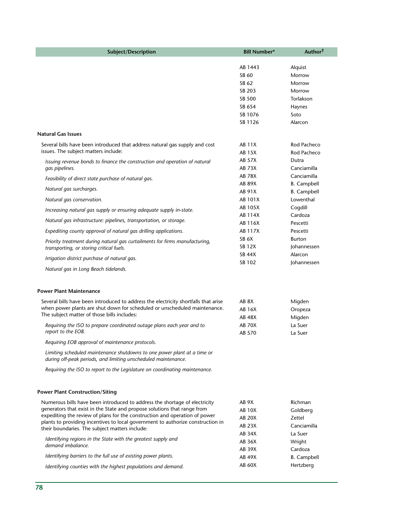| Subject/Description                                                                                                                        | <b>Bill Number*</b> | Author <sup>†</sup> |
|--------------------------------------------------------------------------------------------------------------------------------------------|---------------------|---------------------|
|                                                                                                                                            | AB 1443             | Alquist             |
|                                                                                                                                            | SB 60               | Morrow              |
|                                                                                                                                            | SB 62               | Morrow              |
|                                                                                                                                            | SB 203              | Morrow              |
|                                                                                                                                            | SB 500              | Torlakson           |
|                                                                                                                                            | SB 654              | Haynes              |
|                                                                                                                                            | SB 1076             | Soto                |
|                                                                                                                                            | SB 1126             | Alarcon             |
| <b>Natural Gas Issues</b>                                                                                                                  |                     |                     |
| Several bills have been introduced that address natural gas supply and cost                                                                | AB 11X              | Rod Pacheco         |
| issues. The subject matters include:                                                                                                       | AB 15X              | Rod Pacheco         |
| Issuing revenue bonds to finance the construction and operation of natural                                                                 | <b>AB 57X</b>       | Dutra               |
| gas pipelines.                                                                                                                             | <b>AB 73X</b>       | Canciamilla         |
| Feasibility of direct state purchase of natural gas.                                                                                       | <b>AB 78X</b>       | Canciamilla         |
| Natural gas surcharges.                                                                                                                    | <b>AB 89X</b>       | <b>B.</b> Campbell  |
|                                                                                                                                            | AB 91X              | <b>B.</b> Campbell  |
| Natural gas conservation.                                                                                                                  | AB 101X             | Lowenthal           |
| Increasing natural gas supply or ensuring adequate supply in-state.                                                                        | AB 105X             | Cogdill             |
| Natural gas infrastructure: pipelines, transportation, or storage.                                                                         | AB 114X             | Cardoza<br>Pescetti |
| Expediting county approval of natural gas drilling applications.                                                                           | AB 116X<br>AB 117X  | Pescetti            |
|                                                                                                                                            | SB 6X               | <b>Burton</b>       |
| Priority treatment during natural gas curtailments for firms manufacturing,                                                                | <b>SB 12X</b>       | Johannessen         |
| transporting, or storing critical fuels.                                                                                                   | <b>SB 44X</b>       | Alarcon             |
| Irrigation district purchase of natural gas.                                                                                               | SB 102              | Johannessen         |
| Natural gas in Long Beach tidelands.                                                                                                       |                     |                     |
| <b>Power Plant Maintenance</b>                                                                                                             |                     |                     |
| Several bills have been introduced to address the electricity shortfalls that arise                                                        | AB <sub>8X</sub>    | Migden              |
| when power plants are shut down for scheduled or unscheduled maintenance.                                                                  | AB 16X              | Oropeza             |
| The subject matter of those bills includes:                                                                                                | <b>AB 48X</b>       | Migden              |
| Requiring the ISO to prepare coordinated outage plans each year and to                                                                     | <b>AB 70X</b>       | La Suer             |
| report to the EOB.                                                                                                                         | AB 570              | La Suer             |
| Requiring EOB approval of maintenance protocols.                                                                                           |                     |                     |
| Limiting scheduled maintenance shutdowns to one power plant at a time or<br>during off-peak periods, and limiting unscheduled maintenance. |                     |                     |
| Requiring the ISO to report to the Legislature on coordinating maintenance.                                                                |                     |                     |
| <b>Power Plant Construction/Siting</b>                                                                                                     |                     |                     |
| Numerous bills have been introduced to address the shortage of electricity                                                                 | AB 9X               | Richman             |
| generators that exist in the State and propose solutions that range from                                                                   | <b>AB 10X</b>       | Goldberg            |
| expediting the review of plans for the construction and operation of power                                                                 | <b>AB 20X</b>       | Zettel              |
| plants to providing incentives to local government to authorize construction in                                                            | AB 23X              | Canciamilla         |
| their boundaries. The subject matters include:                                                                                             | AB 34X              | La Suer             |
| Identifying regions in the State with the greatest supply and                                                                              | AB 36X              | Wright              |
| demand imbalance.                                                                                                                          | AB 39X              | Cardoza             |
| Identifying barriers to the full use of existing power plants.                                                                             | AB 49X              | <b>B.</b> Campbell  |
| Identifying counties with the highest populations and demand.                                                                              | AB 60X              | Hertzberg           |
|                                                                                                                                            |                     |                     |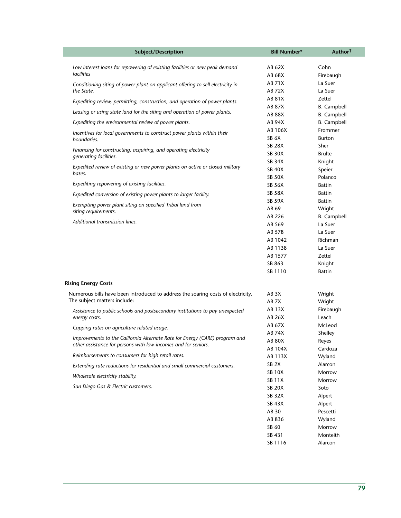| Subject/Description                                                              | <b>Bill Number*</b>            | Author <sup>†</sup> |
|----------------------------------------------------------------------------------|--------------------------------|---------------------|
| Low interest loans for repowering of existing facilities or new peak demand      | AB 62X                         | Cohn                |
| facilities                                                                       | AB 68X                         | Firebaugh           |
| Conditioning siting of power plant on applicant offering to sell electricity in  | AB 71X                         | La Suer             |
| the State.                                                                       | AB 72X                         | La Suer             |
| Expediting review, permitting, construction, and operation of power plants.      | AB 81X                         | Zettel              |
|                                                                                  | AB 87X                         | <b>B.</b> Campbell  |
| Leasing or using state land for the siting and operation of power plants.        | AB 88X                         | <b>B.</b> Campbell  |
| Expediting the environmental review of power plants.                             | AB 94X                         | <b>B.</b> Campbell  |
| Incentives for local governments to construct power plants within their          | AB 106X                        | Frommer             |
| boundaries.                                                                      | SB <sub>6</sub> X              | <b>Burton</b>       |
| Financing for constructing, acquiring, and operating electricity                 | <b>SB 28X</b>                  | Sher                |
| generating facilities.                                                           | <b>SB 30X</b>                  | <b>Brulte</b>       |
| Expedited review of existing or new power plants on active or closed military    | <b>SB 34X</b>                  | Knight              |
| bases.                                                                           | <b>SB 40X</b><br><b>SB 50X</b> | Speier<br>Polanco   |
| Expediting repowering of existing facilities.                                    | <b>SB 56X</b>                  | <b>Battin</b>       |
|                                                                                  | <b>SB 58X</b>                  | <b>Battin</b>       |
| Expedited conversion of existing power plants to larger facility.                | <b>SB 59X</b>                  | <b>Battin</b>       |
| Exempting power plant siting on specified Tribal land from                       | AB 69                          | Wright              |
| siting requirements.                                                             | AB 226                         | <b>B.</b> Campbell  |
| Additional transmission lines.                                                   | AB 569                         | La Suer             |
|                                                                                  | AB 578                         | La Suer             |
|                                                                                  | AB 1042                        | Richman             |
|                                                                                  | AB 1138                        | La Suer             |
|                                                                                  | AB 1577                        | Zettel              |
|                                                                                  | SB 863                         | Knight              |
|                                                                                  | SB 1110                        | <b>Battin</b>       |
| <b>Rising Energy Costs</b>                                                       |                                |                     |
| Numerous bills have been introduced to address the soaring costs of electricity. | AB 3X                          | Wright              |
| The subject matters include:                                                     | AB 7X                          | Wright              |
| Assistance to public schools and postsecondary institutions to pay unexpected    | AB 13X                         | Firebaugh           |
| energy costs.                                                                    | AB 26X                         | Leach               |
| Capping rates on agriculture related usage.                                      | AB 67X                         | McLeod              |
| Improvements to the California Alternate Rate for Energy (CARE) program and      | <b>AB 74X</b>                  | Shelley             |
| other assistance for persons with low-incomes and for seniors.                   | <b>AB 80X</b>                  | Reyes               |
| Reimbursements to consumers for high retail rates.                               | AB 104X<br>AB 113X             | Cardoza<br>Wyland   |
| Extending rate reductions for residential and small commercial customers.        | SB <sub>2X</sub>               | Alarcon             |
|                                                                                  | <b>SB 10X</b>                  | Morrow              |
| Wholesale electricity stability.                                                 | <b>SB 11X</b>                  | Morrow              |
| San Diego Gas & Electric customers.                                              | <b>SB 20X</b>                  | Soto                |
|                                                                                  | <b>SB 32X</b>                  | Alpert              |
|                                                                                  | <b>SB 43X</b>                  | Alpert              |
|                                                                                  | AB 30                          | Pescetti            |
|                                                                                  | AB 836                         | Wyland              |
|                                                                                  | SB 60                          | Morrow              |
|                                                                                  | SB 431                         | Monteith            |
|                                                                                  | SB 1116                        | Alarcon             |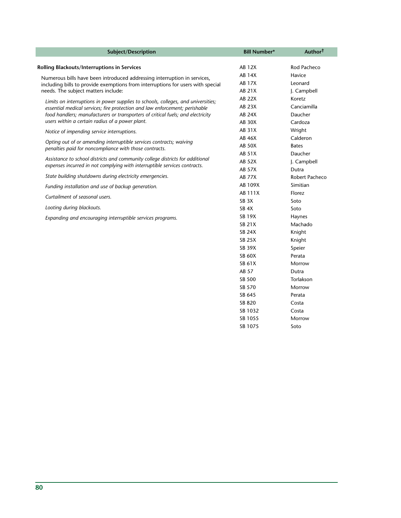| Subject/Description                                                                                                                                            | <b>Bill Number*</b> | Author <sup>†</sup> |
|----------------------------------------------------------------------------------------------------------------------------------------------------------------|---------------------|---------------------|
| Rolling Blackouts/Interruptions in Services                                                                                                                    | <b>AB 12X</b>       | Rod Pacheco         |
|                                                                                                                                                                | <b>AB 14X</b>       | Havice              |
| Numerous bills have been introduced addressing interruption in services,                                                                                       | <b>AB 17X</b>       | Leonard             |
| including bills to provide exemptions from interruptions for users with special<br>needs. The subject matters include:                                         | AB 21X              | J. Campbell         |
|                                                                                                                                                                | <b>AB 22X</b>       | Koretz              |
| Limits on interruptions in power supplies to schools, colleges, and universities;                                                                              | <b>AB 23X</b>       | Canciamilla         |
| essential medical services; fire protection and law enforcement; perishable<br>food handlers; manufacturers or transporters of critical fuels; and electricity | <b>AB 24X</b>       | Daucher             |
| users within a certain radius of a power plant.                                                                                                                | <b>AB 30X</b>       | Cardoza             |
|                                                                                                                                                                | <b>AB 31X</b>       | Wright              |
| Notice of impending service interruptions.                                                                                                                     | <b>AB 46X</b>       | Calderon            |
| Opting out of or amending interruptible services contracts; waiving                                                                                            | <b>AB 50X</b>       | <b>Bates</b>        |
| penalties paid for noncompliance with those contracts.                                                                                                         | AB 51X              | Daucher             |
| Assistance to school districts and community college districts for additional                                                                                  | <b>AB 52X</b>       | J. Campbell         |
| expenses incurred in not complying with interruptible services contracts.                                                                                      | <b>AB 57X</b>       | Dutra               |
| State building shutdowns during electricity emergencies.                                                                                                       | <b>AB 77X</b>       | Robert Pacheco      |
| Funding installation and use of backup generation.                                                                                                             | AB 109X             | Simitian            |
|                                                                                                                                                                | AB 111X             | Florez              |
| Curtailment of seasonal users.                                                                                                                                 | SB <sub>3</sub> X   | Soto                |
| Looting during blackouts.                                                                                                                                      | SB <sub>4X</sub>    | Soto                |
| Expanding and encouraging interruptible services programs.                                                                                                     | <b>SB 19X</b>       | Haynes              |
|                                                                                                                                                                | <b>SB 21X</b>       | Machado             |
|                                                                                                                                                                | <b>SB 24X</b>       | Knight              |
|                                                                                                                                                                | <b>SB 25X</b>       | Knight              |
|                                                                                                                                                                | <b>SB 39X</b>       | Speier              |
|                                                                                                                                                                | <b>SB 60X</b>       | Perata              |
|                                                                                                                                                                | SB 61X              | Morrow              |
|                                                                                                                                                                | AB 57               | Dutra               |
|                                                                                                                                                                | <b>SB 500</b>       | Torlakson           |
|                                                                                                                                                                | SB 570              | Morrow              |
|                                                                                                                                                                | SB 645              | Perata              |
|                                                                                                                                                                | SB 820              | Costa               |
|                                                                                                                                                                | SB 1032             | Costa               |
|                                                                                                                                                                | SB 1055             | Morrow              |
|                                                                                                                                                                | SB 1075             | Soto                |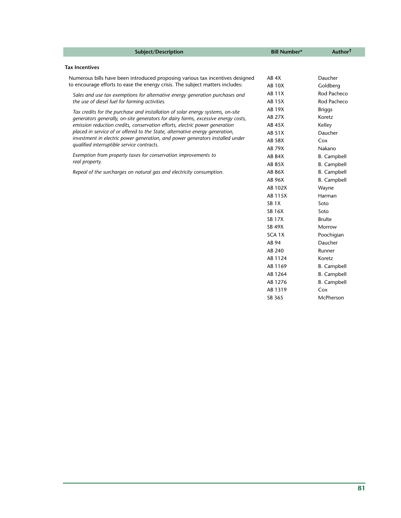| Subject/Description                                                                                                                                         | <b>Bill Number*</b> | Author <sup>†</sup> |
|-------------------------------------------------------------------------------------------------------------------------------------------------------------|---------------------|---------------------|
| <b>Tax Incentives</b>                                                                                                                                       |                     |                     |
| Numerous bills have been introduced proposing various tax incentives designed                                                                               | AB 4X               | Daucher             |
| to encourage efforts to ease the energy crisis. The subject matters includes:                                                                               | <b>AB 10X</b>       | Goldberg            |
|                                                                                                                                                             | <b>AB 11X</b>       | Rod Pacheco         |
| Sales and use tax exemptions for alternative energy generation purchases and<br>the use of diesel fuel for farming activities.                              | <b>AB 15X</b>       | Rod Pacheco         |
|                                                                                                                                                             | <b>AB 19X</b>       | <b>Briggs</b>       |
| Tax credits for the purchase and installation of solar energy systems, on-site                                                                              | <b>AB 27X</b>       | Koretz              |
| generators generally, on-site generators for dairy farms, excessive energy costs,                                                                           | <b>AB 45X</b>       |                     |
| emission reduction credits, conservation efforts, electric power generation<br>placed in service of or offered to the State, alternative energy generation, |                     | Kelley              |
| investment in electric power generation, and power generators installed under                                                                               | <b>AB 51X</b>       | Daucher             |
| qualified interruptible service contracts.                                                                                                                  | <b>AB 58X</b>       | Cox                 |
| Exemption from property taxes for conservation improvements to                                                                                              | <b>AB 79X</b>       | Nakano              |
| real property.                                                                                                                                              | <b>AB 84X</b>       | <b>B.</b> Campbell  |
|                                                                                                                                                             | <b>AB 85X</b>       | <b>B.</b> Campbell  |
| Repeal of the surcharges on natural gas and electricity consumption.                                                                                        | AB 86X              | <b>B.</b> Campbell  |
|                                                                                                                                                             | AB 96X              | <b>B.</b> Campbell  |
|                                                                                                                                                             | AB 102X             | Wayne               |
|                                                                                                                                                             | AB 115X             | Harman              |
|                                                                                                                                                             | SB <sub>1</sub> X   | Soto                |
|                                                                                                                                                             | <b>SB 16X</b>       | Soto                |
|                                                                                                                                                             | <b>SB 17X</b>       | <b>Brulte</b>       |
|                                                                                                                                                             | <b>SB 49X</b>       | Morrow              |
|                                                                                                                                                             | SCA <sub>1</sub> X  | Poochigian          |
|                                                                                                                                                             | AB 94               | Daucher             |
|                                                                                                                                                             | AB 240              | Runner              |
|                                                                                                                                                             | AB 1124             | Koretz              |
|                                                                                                                                                             | AB 1169             | <b>B.</b> Campbell  |
|                                                                                                                                                             | AB 1264             | <b>B.</b> Campbell  |
|                                                                                                                                                             | AB 1276             | <b>B.</b> Campbell  |
|                                                                                                                                                             | AB 1319             | Cox                 |

SB 365

McPherson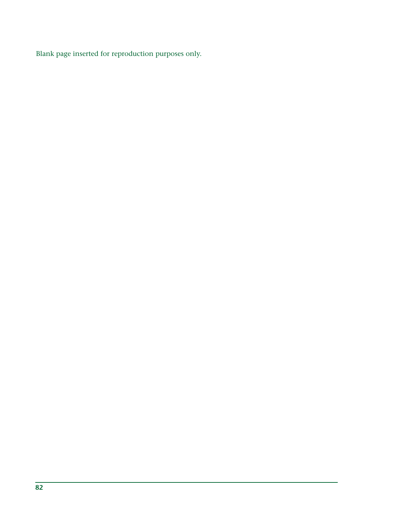Blank page inserted for reproduction purposes only.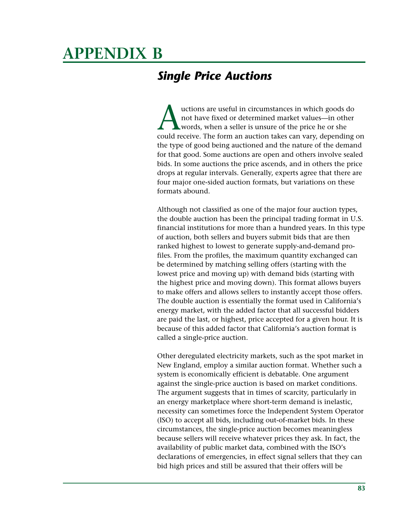# **APPENDIX B**

# *Single Price Auctions*

uctions are useful in circumstances in which goods do<br>not have fixed or determined market values—in other<br>words, when a seller is unsure of the price he or she<br>could receive. The form an auction takes can varv. depending not have fixed or determined market values—in other words, when a seller is unsure of the price he or she could receive. The form an auction takes can vary, depending on the type of good being auctioned and the nature of the demand for that good. Some auctions are open and others involve sealed bids. In some auctions the price ascends, and in others the price drops at regular intervals. Generally, experts agree that there are four major one-sided auction formats, but variations on these formats abound.

Although not classified as one of the major four auction types, the double auction has been the principal trading format in U.S. financial institutions for more than a hundred years. In this type of auction, both sellers and buyers submit bids that are then ranked highest to lowest to generate supply-and-demand profiles. From the profiles, the maximum quantity exchanged can be determined by matching selling offers (starting with the lowest price and moving up) with demand bids (starting with the highest price and moving down). This format allows buyers to make offers and allows sellers to instantly accept those offers. The double auction is essentially the format used in California's energy market, with the added factor that all successful bidders are paid the last, or highest, price accepted for a given hour. It is because of this added factor that California's auction format is called a single-price auction.

Other deregulated electricity markets, such as the spot market in New England, employ a similar auction format. Whether such a system is economically efficient is debatable. One argument against the single-price auction is based on market conditions. The argument suggests that in times of scarcity, particularly in an energy marketplace where short-term demand is inelastic, necessity can sometimes force the Independent System Operator (ISO) to accept all bids, including out-of-market bids. In these circumstances, the single-price auction becomes meaningless because sellers will receive whatever prices they ask. In fact, the availability of public market data, combined with the ISO's declarations of emergencies, in effect signal sellers that they can bid high prices and still be assured that their offers will be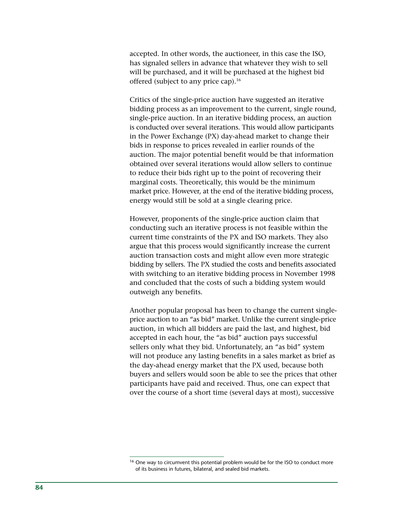accepted. In other words, the auctioneer, in this case the ISO, has signaled sellers in advance that whatever they wish to sell will be purchased, and it will be purchased at the highest bid offered (subject to any price cap).<sup>16</sup>

Critics of the single-price auction have suggested an iterative bidding process as an improvement to the current, single round, single-price auction. In an iterative bidding process, an auction is conducted over several iterations. This would allow participants in the Power Exchange (PX) day-ahead market to change their bids in response to prices revealed in earlier rounds of the auction. The major potential benefit would be that information obtained over several iterations would allow sellers to continue to reduce their bids right up to the point of recovering their marginal costs. Theoretically, this would be the minimum market price. However, at the end of the iterative bidding process, energy would still be sold at a single clearing price.

However, proponents of the single-price auction claim that conducting such an iterative process is not feasible within the current time constraints of the PX and ISO markets. They also argue that this process would significantly increase the current auction transaction costs and might allow even more strategic bidding by sellers. The PX studied the costs and benefits associated with switching to an iterative bidding process in November 1998 and concluded that the costs of such a bidding system would outweigh any benefits.

Another popular proposal has been to change the current singleprice auction to an "as bid" market. Unlike the current single-price auction, in which all bidders are paid the last, and highest, bid accepted in each hour, the "as bid" auction pays successful sellers only what they bid. Unfortunately, an "as bid" system will not produce any lasting benefits in a sales market as brief as the day-ahead energy market that the PX used, because both buyers and sellers would soon be able to see the prices that other participants have paid and received. Thus, one can expect that over the course of a short time (several days at most), successive

<sup>&</sup>lt;sup>16</sup> One way to circumvent this potential problem would be for the ISO to conduct more of its business in futures, bilateral, and sealed bid markets.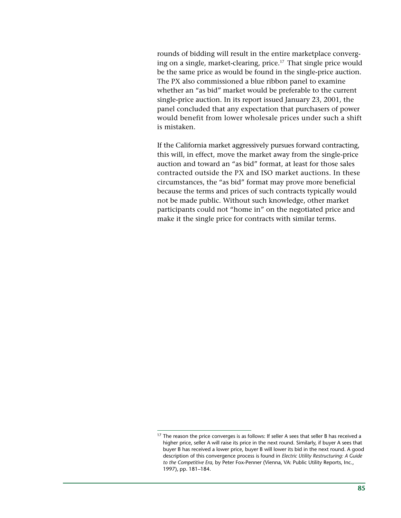rounds of bidding will result in the entire marketplace converging on a single, market-clearing, price.17 That single price would be the same price as would be found in the single-price auction. The PX also commissioned a blue ribbon panel to examine whether an "as bid" market would be preferable to the current single-price auction. In its report issued January 23, 2001, the panel concluded that any expectation that purchasers of power would benefit from lower wholesale prices under such a shift is mistaken.

If the California market aggressively pursues forward contracting, this will, in effect, move the market away from the single-price auction and toward an "as bid" format, at least for those sales contracted outside the PX and ISO market auctions. In these circumstances, the "as bid" format may prove more beneficial because the terms and prices of such contracts typically would not be made public. Without such knowledge, other market participants could not "home in" on the negotiated price and make it the single price for contracts with similar terms.

<sup>&</sup>lt;sup>17</sup> The reason the price converges is as follows: If seller A sees that seller B has received a higher price, seller A will raise its price in the next round. Similarly, if buyer A sees that buyer B has received a lower price, buyer B will lower its bid in the next round. A good description of this convergence process is found in *Electric Utility Restructuring: A Guide to the Competitive Era,* by Peter Fox-Penner (Vienna, VA: Public Utility Reports, Inc., 1997), pp. 181–184.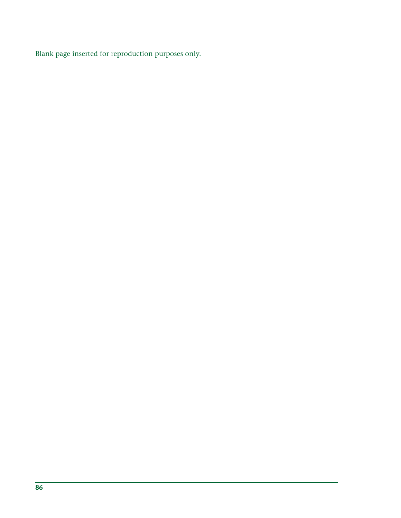Blank page inserted for reproduction purposes only.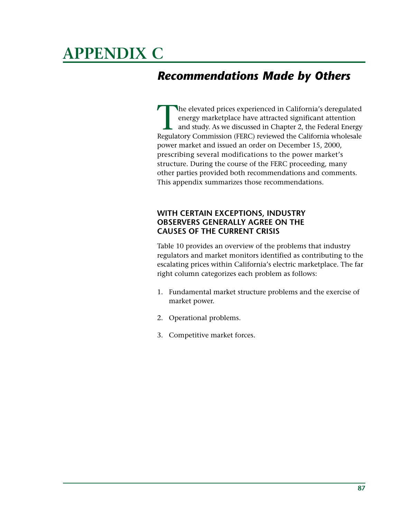# **APPENDIX C**

# *Recommendations Made by Others*

The elevated prices experienced in California's deregulated energy marketplace have attracted significant attention and study. As we discussed in Chapter 2, the Federal Energy Regulatory Commission (FERC) reviewed the California wholesale power market and issued an order on December 15, 2000, prescribing several modifications to the power market's structure. During the course of the FERC proceeding, many other parties provided both recommendations and comments. This appendix summarizes those recommendations.

## **WITH CERTAIN EXCEPTIONS, INDUSTRY OBSERVERS GENERALLY AGREE ON THE CAUSES OF THE CURRENT CRISIS**

Table 10 provides an overview of the problems that industry regulators and market monitors identified as contributing to the escalating prices within California's electric marketplace. The far right column categorizes each problem as follows:

- 1. Fundamental market structure problems and the exercise of market power.
- 2. Operational problems.
- 3. Competitive market forces.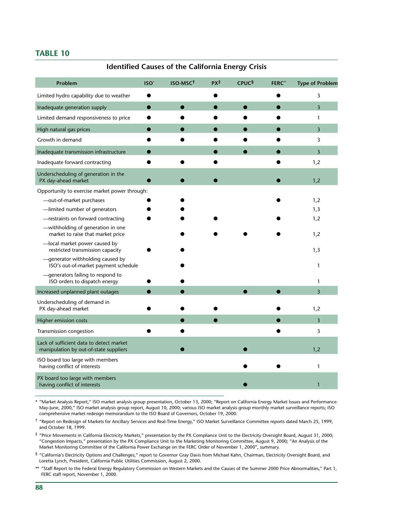#### **TABLE 10**

#### **Identified Causes of the California Energy Crisis**

| Problem                                                                            | ISO <sup>*</sup> | ISO-MSC <sup>t</sup> | PX <sup>‡</sup> | <b>CPUC</b> § | <b>FERC**</b> | <b>Type of Problem</b> |
|------------------------------------------------------------------------------------|------------------|----------------------|-----------------|---------------|---------------|------------------------|
| Limited hydro capability due to weather                                            |                  |                      |                 |               |               | 3                      |
| Inadequate generation supply                                                       |                  |                      |                 |               |               | 3                      |
| Limited demand responsiveness to price                                             |                  |                      |                 |               |               | $\mathbf{1}$           |
| High natural gas prices                                                            |                  |                      |                 |               |               | 3                      |
| Growth in demand                                                                   |                  |                      |                 |               |               | 3                      |
| Inadequate transmission infrastructure                                             |                  |                      |                 |               |               | 3                      |
| Inadequate forward contracting                                                     |                  |                      |                 |               |               | 1,2                    |
| Underscheduling of generation in the<br>PX day-ahead market                        |                  |                      |                 |               |               | 1,2                    |
| Opportunity to exercise market power through:                                      |                  |                      |                 |               |               |                        |
| -out-of-market purchases                                                           |                  |                      |                 |               |               | 1,2                    |
| -limited number of generators                                                      |                  |                      |                 |               |               | 1,3                    |
| -restraints on forward contracting                                                 |                  |                      |                 |               |               | 1,2                    |
| -withholding of generation in one<br>market to raise that market price             |                  |                      |                 |               |               | 1,2                    |
| -local market power caused by<br>restricted transmission capacity                  |                  |                      |                 |               |               | 1,3                    |
| -generator withholding caused by<br>ISO's out-of-market payment schedule           |                  |                      |                 |               |               | 1                      |
| - generators failing to respond to<br>ISO orders to dispatch energy                |                  |                      |                 |               |               | 1                      |
| Increased unplanned plant outages                                                  |                  |                      |                 |               |               | 3                      |
| Underscheduling of demand in<br>PX day-ahead market                                |                  |                      |                 |               |               | 1,2                    |
| Higher emission costs                                                              |                  |                      |                 |               |               | $\overline{3}$         |
| Transmission congestion                                                            |                  |                      |                 |               |               | 3                      |
| Lack of sufficient data to detect market<br>manipulation by out-of-state suppliers |                  |                      |                 |               |               | 1,2                    |
| ISO board too large with members<br>having conflict of interests                   |                  |                      |                 |               |               | $\mathbf{1}$           |
| PX board too large with members<br>having conflict of interests                    |                  |                      |                 |               |               | $\mathbf{1}$           |

\* "Market Analysis Report," ISO market analysis group presentation, October 13, 2000; "Report on California Energy Market Issues and Performance: May-June, 2000," ISO market analysis group report, August 10, 2000; various ISO market analysis group monthly market surveillance reports; ISO comprehensive market redesign memorandum to the ISO Board of Governors, October 19, 2000.

† "Report on Redesign of Markets for Ancillary Services and Real-Time Energy," ISO Market Surveillance Committee reports dated March 25, 1999, and October 18, 1999.

‡ "Price Movements in California Electricity Markets," presentation by the PX Compliance Unit to the Electricity Oversight Board, August 31, 2000; "Congestion Impacts," presentation by the PX Compliance Unit to the Marketing Monitoring Committee, August 9, 2000; "An Analysis of the Market Monitoring Committee of the California Power Exchange on the FERC Order of November 1, 2000", summary.

§ "California's Electricity Options and Challenges," report to Governor Gray Davis from Michael Kahn, Chairman, Electricity Oversight Board, and Loretta Lynch, President, California Public Utilities Commission, August 2, 2000.

\*\* "Staff Report to the Federal Energy Regulatory Commission on Western Markets and the Causes of the Summer 2000 Price Abnormalities," Part 1, FERC staff report, November 1, 2000.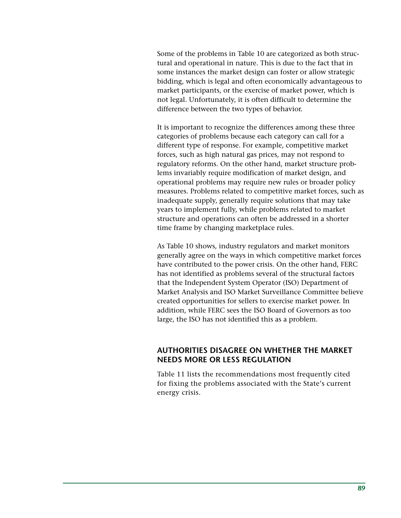Some of the problems in Table 10 are categorized as both structural and operational in nature. This is due to the fact that in some instances the market design can foster or allow strategic bidding, which is legal and often economically advantageous to market participants, or the exercise of market power, which is not legal. Unfortunately, it is often difficult to determine the difference between the two types of behavior.

It is important to recognize the differences among these three categories of problems because each category can call for a different type of response. For example, competitive market forces, such as high natural gas prices, may not respond to regulatory reforms. On the other hand, market structure problems invariably require modification of market design, and operational problems may require new rules or broader policy measures. Problems related to competitive market forces, such as inadequate supply, generally require solutions that may take years to implement fully, while problems related to market structure and operations can often be addressed in a shorter time frame by changing marketplace rules.

As Table 10 shows, industry regulators and market monitors generally agree on the ways in which competitive market forces have contributed to the power crisis. On the other hand, FERC has not identified as problems several of the structural factors that the Independent System Operator (ISO) Department of Market Analysis and ISO Market Surveillance Committee believe created opportunities for sellers to exercise market power. In addition, while FERC sees the ISO Board of Governors as too large, the ISO has not identified this as a problem.

### **AUTHORITIES DISAGREE ON WHETHER THE MARKET NEEDS MORE OR LESS REGULATION**

Table 11 lists the recommendations most frequently cited for fixing the problems associated with the State's current energy crisis.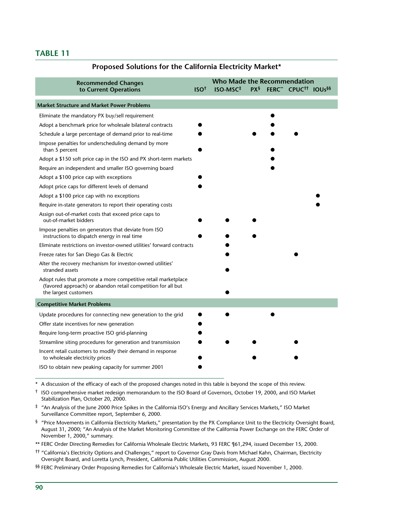#### **TABLE 11**

# **Recommended Changes to Current Operations ISO† ISO-MSC‡ PX§ FERC\*\* CPUC†† IOUs§§ Market Structure and Market Power Problems** Eliminate the mandatory PX buy/sell requirement  $\bullet$ **Who Made the Recommendation**

|  | Proposed Solutions for the California Electricity Market* |  |  |  |  |
|--|-----------------------------------------------------------|--|--|--|--|
|--|-----------------------------------------------------------|--|--|--|--|

| $\epsilon$ . The contract of $\epsilon$ is the contract of $\epsilon$ is the contract of $\epsilon$ is the contract of $\epsilon$                       |  |  |
|---------------------------------------------------------------------------------------------------------------------------------------------------------|--|--|
| Adopt a benchmark price for wholesale bilateral contracts                                                                                               |  |  |
| Schedule a large percentage of demand prior to real-time                                                                                                |  |  |
| Impose penalties for underscheduling demand by more<br>than 5 percent                                                                                   |  |  |
| Adopt a \$150 soft price cap in the ISO and PX short-term markets                                                                                       |  |  |
| Require an independent and smaller ISO governing board                                                                                                  |  |  |
| Adopt a \$100 price cap with exceptions                                                                                                                 |  |  |
| Adopt price caps for different levels of demand                                                                                                         |  |  |
| Adopt a \$100 price cap with no exceptions                                                                                                              |  |  |
| Require in-state generators to report their operating costs                                                                                             |  |  |
| Assign out-of-market costs that exceed price caps to<br>out-of-market bidders                                                                           |  |  |
| Impose penalties on generators that deviate from ISO<br>instructions to dispatch energy in real time                                                    |  |  |
| Eliminate restrictions on investor-owned utilities' forward contracts                                                                                   |  |  |
| Freeze rates for San Diego Gas & Electric                                                                                                               |  |  |
| Alter the recovery mechanism for investor-owned utilities'<br>stranded assets                                                                           |  |  |
| Adopt rules that promote a more competitive retail marketplace<br>(favored approach) or abandon retail competition for all but<br>the largest customers |  |  |
| <b>Competitive Market Problems</b>                                                                                                                      |  |  |
| Update procedures for connecting new generation to the grid                                                                                             |  |  |
| Offer state incentives for new generation                                                                                                               |  |  |
| Require long-term proactive ISO grid-planning                                                                                                           |  |  |
| Streamline siting procedures for generation and transmission                                                                                            |  |  |
| Incent retail customers to modify their demand in response<br>to wholesale electricity prices                                                           |  |  |
| ISO to obtain new peaking capacity for summer 2001                                                                                                      |  |  |
|                                                                                                                                                         |  |  |

\* A discussion of the efficacy of each of the proposed changes noted in this table is beyond the scope of this review.

† ISO comprehensive market redesign memorandum to the ISO Board of Governors, October 19, 2000, and ISO Market Stabilization Plan, October 20, 2000.

‡ "An Analysis of the June 2000 Price Spikes in the California ISO's Energy and Ancillary Services Markets," ISO Market Surveillance Committee report, September 6, 2000.

 $§$  "Price Movements in California Electricity Markets," presentation by the PX Compliance Unit to the Electricity Oversight Board, August 31, 2000; "An Analysis of the Market Monitoring Committee of the California Power Exchange on the FERC Order of November 1, 2000," summary.

\*\* FERC Order Directing Remedies for California Wholesale Electric Markets, 93 FERC ¶61,294, issued December 15, 2000.

†† "California's Electricity Options and Challenges," report to Governor Gray Davis from Michael Kahn, Chairman, Electricity Oversight Board, and Loretta Lynch, President, California Public Utilities Commission, August 2000.

§§ FERC Preliminary Order Proposing Remedies for California's Wholesale Electric Market, issued November 1, 2000.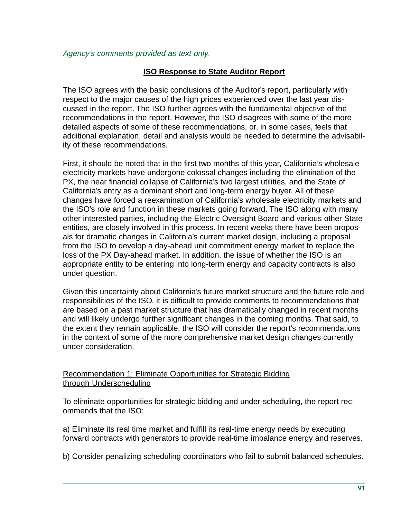### Agency's comments provided as text only.

## **ISO Response to State Auditor Report**

The ISO agrees with the basic conclusions of the Auditor's report, particularly with respect to the major causes of the high prices experienced over the last year discussed in the report. The ISO further agrees with the fundamental objective of the recommendations in the report. However, the ISO disagrees with some of the more detailed aspects of some of these recommendations, or, in some cases, feels that additional explanation, detail and analysis would be needed to determine the advisability of these recommendations.

First, it should be noted that in the first two months of this year, California's wholesale electricity markets have undergone colossal changes including the elimination of the PX, the near financial collapse of California's two largest utilities, and the State of California's entry as a dominant short and long-term energy buyer. All of these changes have forced a reexamination of California's wholesale electricity markets and the ISO's role and function in these markets going forward. The ISO along with many other interested parties, including the Electric Oversight Board and various other State entities, are closely involved in this process. In recent weeks there have been proposals for dramatic changes in California's current market design, including a proposal from the ISO to develop a day-ahead unit commitment energy market to replace the loss of the PX Day-ahead market. In addition, the issue of whether the ISO is an appropriate entity to be entering into long-term energy and capacity contracts is also under question.

Given this uncertainty about California's future market structure and the future role and responsibilities of the ISO, it is difficult to provide comments to recommendations that are based on a past market structure that has dramatically changed in recent months and will likely undergo further significant changes in the coming months. That said, to the extent they remain applicable, the ISO will consider the report's recommendations in the context of some of the more comprehensive market design changes currently under consideration.

### Recommendation 1: Eliminate Opportunities for Strategic Bidding through Underscheduling

To eliminate opportunities for strategic bidding and under-scheduling, the report recommends that the ISO:

a) Eliminate its real time market and fulfill its real-time energy needs by executing forward contracts with generators to provide real-time imbalance energy and reserves.

b) Consider penalizing scheduling coordinators who fail to submit balanced schedules.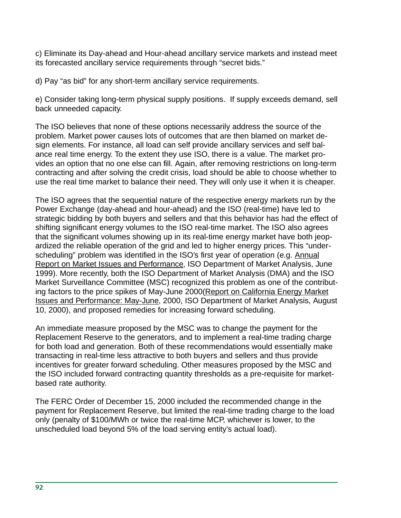c) Eliminate its Day-ahead and Hour-ahead ancillary service markets and instead meet its forecasted ancillary service requirements through "secret bids."

d) Pay "as bid" for any short-term ancillary service requirements.

e) Consider taking long-term physical supply positions. If supply exceeds demand, sell back unneeded capacity.

The ISO believes that none of these options necessarily address the source of the problem. Market power causes lots of outcomes that are then blamed on market design elements. For instance, all load can self provide ancillary services and self balance real time energy. To the extent they use ISO, there is a value. The market provides an option that no one else can fill. Again, after removing restrictions on long-term contracting and after solving the credit crisis, load should be able to choose whether to use the real time market to balance their need. They will only use it when it is cheaper.

The ISO agrees that the sequential nature of the respective energy markets run by the Power Exchange (day-ahead and hour-ahead) and the ISO (real-time) have led to strategic bidding by both buyers and sellers and that this behavior has had the effect of shifting significant energy volumes to the ISO real-time market. The ISO also agrees that the significant volumes showing up in its real-time energy market have both jeopardized the reliable operation of the grid and led to higher energy prices. This "underscheduling" problem was identified in the ISO's first year of operation (e.g. Annual Report on Market Issues and Performance, ISO Department of Market Analysis, June 1999). More recently, both the ISO Department of Market Analysis (DMA) and the ISO Market Surveillance Committee (MSC) recognized this problem as one of the contributing factors to the price spikes of May-June 2000(Report on California Energy Market Issues and Performance: May-June, 2000, ISO Department of Market Analysis, August 10, 2000), and proposed remedies for increasing forward scheduling.

An immediate measure proposed by the MSC was to change the payment for the Replacement Reserve to the generators, and to implement a real-time trading charge for both load and generation. Both of these recommendations would essentially make transacting in real-time less attractive to both buyers and sellers and thus provide incentives for greater forward scheduling. Other measures proposed by the MSC and the ISO included forward contracting quantity thresholds as a pre-requisite for marketbased rate authority.

The FERC Order of December 15, 2000 included the recommended change in the payment for Replacement Reserve, but limited the real-time trading charge to the load only (penalty of \$100/MWh or twice the real-time MCP, whichever is lower, to the unscheduled load beyond 5% of the load serving entity's actual load).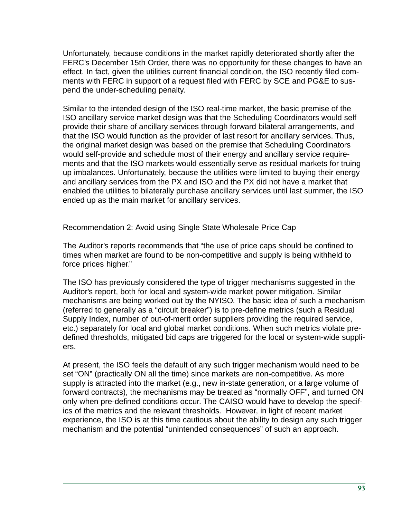Unfortunately, because conditions in the market rapidly deteriorated shortly after the FERC's December 15th Order, there was no opportunity for these changes to have an effect. In fact, given the utilities current financial condition, the ISO recently filed comments with FERC in support of a request filed with FERC by SCE and PG&E to suspend the under-scheduling penalty.

Similar to the intended design of the ISO real-time market, the basic premise of the ISO ancillary service market design was that the Scheduling Coordinators would self provide their share of ancillary services through forward bilateral arrangements, and that the ISO would function as the provider of last resort for ancillary services. Thus, the original market design was based on the premise that Scheduling Coordinators would self-provide and schedule most of their energy and ancillary service requirements and that the ISO markets would essentially serve as residual markets for truing up imbalances. Unfortunately, because the utilities were limited to buying their energy and ancillary services from the PX and ISO and the PX did not have a market that enabled the utilities to bilaterally purchase ancillary services until last summer, the ISO ended up as the main market for ancillary services.

### Recommendation 2: Avoid using Single State Wholesale Price Cap

The Auditor's reports recommends that "the use of price caps should be confined to times when market are found to be non-competitive and supply is being withheld to force prices higher."

The ISO has previously considered the type of trigger mechanisms suggested in the Auditor's report, both for local and system-wide market power mitigation. Similar mechanisms are being worked out by the NYISO. The basic idea of such a mechanism (referred to generally as a "circuit breaker") is to pre-define metrics (such a Residual Supply Index, number of out-of-merit order suppliers providing the required service, etc.) separately for local and global market conditions. When such metrics violate predefined thresholds, mitigated bid caps are triggered for the local or system-wide suppliers.

At present, the ISO feels the default of any such trigger mechanism would need to be set "ON" (practically ON all the time) since markets are non-competitive. As more supply is attracted into the market (e.g., new in-state generation, or a large volume of forward contracts), the mechanisms may be treated as "normally OFF", and turned ON only when pre-defined conditions occur. The CAISO would have to develop the specifics of the metrics and the relevant thresholds. However, in light of recent market experience, the ISO is at this time cautious about the ability to design any such trigger mechanism and the potential "unintended consequences" of such an approach.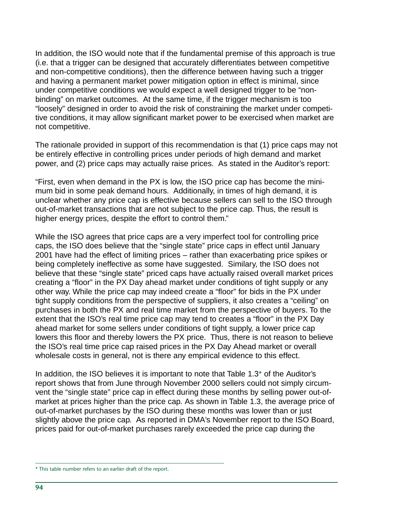In addition, the ISO would note that if the fundamental premise of this approach is true (i.e. that a trigger can be designed that accurately differentiates between competitive and non-competitive conditions), then the difference between having such a trigger and having a permanent market power mitigation option in effect is minimal, since under competitive conditions we would expect a well designed trigger to be "nonbinding" on market outcomes. At the same time, if the trigger mechanism is too "loosely" designed in order to avoid the risk of constraining the market under competitive conditions, it may allow significant market power to be exercised when market are not competitive.

The rationale provided in support of this recommendation is that (1) price caps may not be entirely effective in controlling prices under periods of high demand and market power, and (2) price caps may actually raise prices. As stated in the Auditor's report:

"First, even when demand in the PX is low, the ISO price cap has become the minimum bid in some peak demand hours. Additionally, in times of high demand, it is unclear whether any price cap is effective because sellers can sell to the ISO through out-of-market transactions that are not subject to the price cap. Thus, the result is higher energy prices, despite the effort to control them."

While the ISO agrees that price caps are a very imperfect tool for controlling price caps, the ISO does believe that the "single state" price caps in effect until January 2001 have had the effect of limiting prices – rather than exacerbating price spikes or being completely ineffective as some have suggested. Similary, the ISO does not believe that these "single state" priced caps have actually raised overall market prices creating a "floor" in the PX Day ahead market under conditions of tight supply or any other way. While the price cap may indeed create a "floor" for bids in the PX under tight supply conditions from the perspective of suppliers, it also creates a "ceiling" on purchases in both the PX and real time market from the perspective of buyers. To the extent that the ISO's real time price cap may tend to creates a "floor" in the PX Day ahead market for some sellers under conditions of tight supply, a lower price cap lowers this floor and thereby lowers the PX price. Thus, there is not reason to believe the ISO's real time price cap raised prices in the PX Day Ahead market or overall wholesale costs in general, not is there any empirical evidence to this effect.

In addition, the ISO believes it is important to note that Table 1.3\* of the Auditor's report shows that from June through November 2000 sellers could not simply circumvent the "single state" price cap in effect during these months by selling power out-ofmarket at prices higher than the price cap. As shown in Table 1.3, the average price of out-of-market purchases by the ISO during these months was lower than or just slightly above the price cap. As reported in DMA's November report to the ISO Board, prices paid for out-of-market purchases rarely exceeded the price cap during the

<sup>\*</sup> This table number refers to an earlier draft of the report.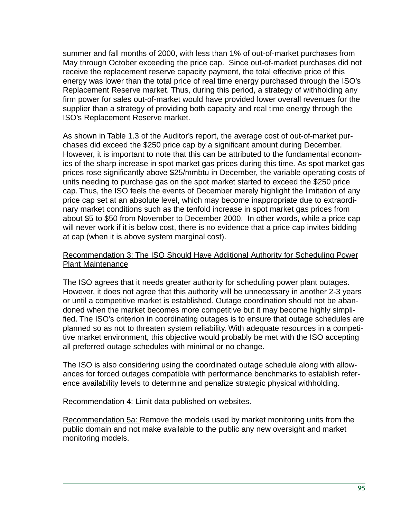summer and fall months of 2000, with less than 1% of out-of-market purchases from May through October exceeding the price cap. Since out-of-market purchases did not receive the replacement reserve capacity payment, the total effective price of this energy was lower than the total price of real time energy purchased through the ISO's Replacement Reserve market. Thus, during this period, a strategy of withholding any firm power for sales out-of-market would have provided lower overall revenues for the supplier than a strategy of providing both capacity and real time energy through the ISO's Replacement Reserve market.

As shown in Table 1.3 of the Auditor's report, the average cost of out-of-market purchases did exceed the \$250 price cap by a significant amount during December. However, it is important to note that this can be attributed to the fundamental economics of the sharp increase in spot market gas prices during this time. As spot market gas prices rose significantly above \$25/mmbtu in December, the variable operating costs of units needing to purchase gas on the spot market started to exceed the \$250 price cap. Thus, the ISO feels the events of December merely highlight the limitation of any price cap set at an absolute level, which may become inappropriate due to extraordinary market conditions such as the tenfold increase in spot market gas prices from about \$5 to \$50 from November to December 2000. In other words, while a price cap will never work if it is below cost, there is no evidence that a price cap invites bidding at cap (when it is above system marginal cost).

### Recommendation 3: The ISO Should Have Additional Authority for Scheduling Power Plant Maintenance

The ISO agrees that it needs greater authority for scheduling power plant outages. However, it does not agree that this authority will be unnecessary in another 2-3 years or until a competitive market is established. Outage coordination should not be abandoned when the market becomes more competitive but it may become highly simplified. The ISO's criterion in coordinating outages is to ensure that outage schedules are planned so as not to threaten system reliability. With adequate resources in a competitive market environment, this objective would probably be met with the ISO accepting all preferred outage schedules with minimal or no change.

The ISO is also considering using the coordinated outage schedule along with allowances for forced outages compatible with performance benchmarks to establish reference availability levels to determine and penalize strategic physical withholding.

#### Recommendation 4: Limit data published on websites.

Recommendation 5a: Remove the models used by market monitoring units from the public domain and not make available to the public any new oversight and market monitoring models.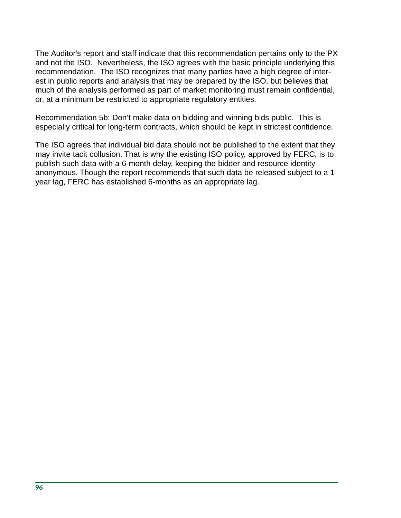The Auditor's report and staff indicate that this recommendation pertains only to the PX and not the ISO. Nevertheless, the ISO agrees with the basic principle underlying this recommendation. The ISO recognizes that many parties have a high degree of interest in public reports and analysis that may be prepared by the ISO, but believes that much of the analysis performed as part of market monitoring must remain confidential, or, at a minimum be restricted to appropriate regulatory entities.

Recommendation 5b: Don't make data on bidding and winning bids public. This is especially critical for long-term contracts, which should be kept in strictest confidence.

The ISO agrees that individual bid data should not be published to the extent that they may invite tacit collusion. That is why the existing ISO policy, approved by FERC, is to publish such data with a 6-month delay, keeping the bidder and resource identity anonymous. Though the report recommends that such data be released subject to a 1 year lag, FERC has established 6-months as an appropriate lag.